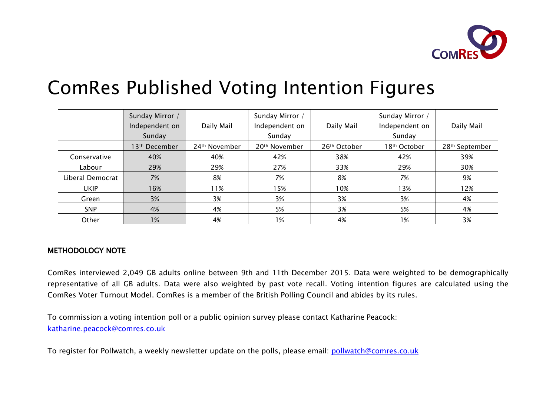

# ComRes Published Voting Intention Figures

|                  | Sunday Mirror /<br>Independent on<br>Sunday | Daily Mail    | Sunday Mirror /<br>Independent on<br>Sunday | Daily Mail   | Sunday Mirror /<br>Independent on<br>Sunday | Daily Mail                 |
|------------------|---------------------------------------------|---------------|---------------------------------------------|--------------|---------------------------------------------|----------------------------|
|                  | 13th December                               | 24th November | 20 <sup>th</sup> November                   | 26th October | 18 <sup>th</sup> October                    | 28 <sup>th</sup> September |
| Conservative     | 40%                                         | 40%           | 42%                                         | 38%          | 42%                                         | 39%                        |
| Labour           | 29%                                         | 29%           | 27%                                         | 33%          | 29%                                         | 30%                        |
| Liberal Democrat | 7%                                          | 8%            | 7%                                          | 8%           | 7%                                          | 9%                         |
| <b>UKIP</b>      | 16%                                         | 11%           | 15%                                         | 10%          | 13%                                         | 12%                        |
| Green            | 3%                                          | 3%            | 3%                                          | 3%           | 3%                                          | 4%                         |
| <b>SNP</b>       | 4%                                          | 4%            | 5%                                          | 3%           | 5%                                          | 4%                         |
| Other            | 1%                                          | 4%            | 1%                                          | 4%           | 1%                                          | 3%                         |

### METHODOLOGY NOTE

ComRes interviewed 2,049 GB adults online between 9th and 11th December 2015. Data were weighted to be demographically representative of all GB adults. Data were also weighted by past vote recall. Voting intention figures are calculated using the ComRes Voter Turnout Model. ComRes is a member of the British Polling Council and abides by its rules.

To commission a voting intention poll or a public opinion survey please contact Katharine Peacock: [katharine.peacock@comres.co.uk](mailto:keiran.pedley@comres.co.uk)

To register for Pollwatch, a weekly newsletter update on the polls, please email: [pollwatch@comres.co.uk](mailto:pollwatch@comres.co.uk)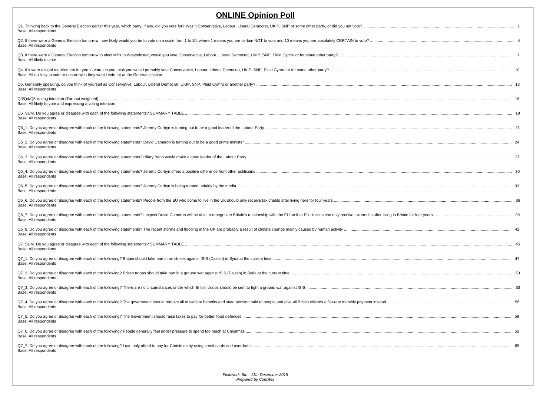| <b>ONLINE Opinion Poll</b>                                                                                                                                                                                                                              |      |
|---------------------------------------------------------------------------------------------------------------------------------------------------------------------------------------------------------------------------------------------------------|------|
| Q1. Thinking back to the General Election earlier this year, which party, if any, did you vote for? Was it Conservative, Labour, Liberal Democrat, UKIP, SNP or some other party, or did you not vote?<br>Base: All respondents                         |      |
| Q2. If there were a General Election tomorrow, how likely would you be to vote on a scale from 1 to 10, where 1 means you are certain NOT to vote and 10 means you are absolutely CERTAIN to vote?<br>Base: All respondents                             |      |
| Base: All likely to vote                                                                                                                                                                                                                                |      |
| Base: All unlikely to vote or unsure who they would vote for at the General election                                                                                                                                                                    |      |
| Q5. Generally speaking, do you think of yourself as Conservative, Labour, Liberal Democrat, UKIP, SNP, Plaid Cymru or another party?<br>Base: All respondents                                                                                           |      |
| Q3/Q4/Q5 Voting intention (Turnout weighted)<br>Base: All likely to vote and expressing a voting intention                                                                                                                                              |      |
| Q6 SUM. Do you agree or disagree with each of the following statements? SUMMARY TABLE.<br>Base: All respondents                                                                                                                                         |      |
| Base: All respondents                                                                                                                                                                                                                                   |      |
| Q6 2. Do you agree or disagree with each of the following statements? David Cameron is turning out to be a good prime minister<br>Base: All respondents                                                                                                 |      |
| Q6_3. Do you agree or disagree with each of the following statements? Hilary Benn would make a good leader of the Labour Party<br>Base: All respondents                                                                                                 |      |
| Q6_4. Do you agree or disagree with each of the following statements? Jeremy Corbyn offers a positive difference from other politicians<br>Base: All respondents                                                                                        |      |
| Q6_5. Do you agree or disagree with each of the following statements? Jeremy Corbyn is being treated unfairly by the media<br>Base: All respondents                                                                                                     |      |
| Base: All respondents                                                                                                                                                                                                                                   |      |
| Q6_7. Do you agree or disagree with each of the following statements? I expect David Cameron will be able to renegotiate Britain's relationship with the EU so that EU citizens can only receive tax credits after living in B<br>Base: All respondents |      |
| Q6_8. Do you agree or disagree with each of the following statements? The recent storms and flooding in the UK are probably a result of climate change mainly caused by human activity<br>Base: All respondents                                         |      |
| Q7_SUM. Do you agree or disagree with each of the following statements? SUMMARY TABLE.<br>Base: All respondents                                                                                                                                         |      |
| Q7_1. Do you agree or disagree with each of the following? Britain should take part in air strikes against ISIS (Da'esh) in Syria at the current time<br>Base: All respondents                                                                          |      |
| Base: All respondents                                                                                                                                                                                                                                   |      |
| Q7_3. Do you agree or disagree with each of the following? There are no circumstances under which British troops should be sent to fight a ground war against ISIS<br>Base: All respondents                                                             |      |
| Q7_4. Do you agree or disagree with each of the following? The government should remove all of welfare benefits and state pension paid to people and give all British citizens a flat-rate monthly payment instead<br>Base: All respondents             |      |
| Base: All respondents                                                                                                                                                                                                                                   |      |
| Q7_6. Do you agree or disagree with each of the following? People generally feel under pressure to spend too much at Christmas<br>Base: All respondents                                                                                                 | - 62 |
| Base: All respondents                                                                                                                                                                                                                                   |      |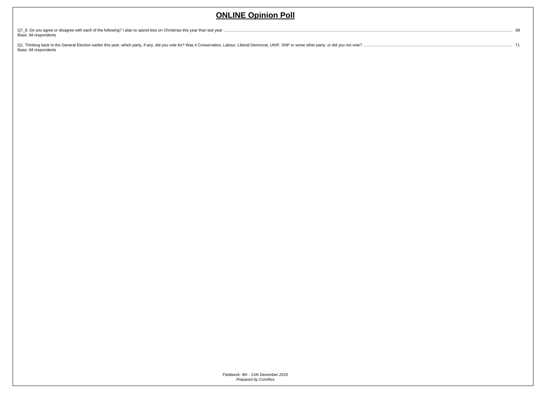| Base: All respondents                                                                                                                                                                                                           | 68 |
|---------------------------------------------------------------------------------------------------------------------------------------------------------------------------------------------------------------------------------|----|
| Q1. Thinking back to the General Election earlier this year, which party, if any, did you vote for? Was it Conservative, Labour, Liberal Democrat, UKIP, SNP or some other party, or did you not vote?<br>Base: All respondents |    |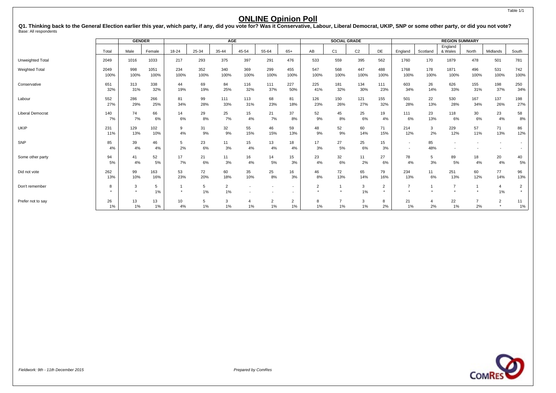Q1. Thinking back to the General Election earlier this year, which party, if any, did you vote for? Was it Conservative, Labour, Liberal Democrat, UKIP, SNP or some other party, or did you not vote?<br><sub>Base: All respondents</sub>

|                         |       | <b>GENDER</b> |        |           |       | <b>AGE</b>     |       |        |                          |      | <b>SOCIAL GRADE</b> |                |               |                          |          | <b>REGION SUMMARY</b> |       |                |                |
|-------------------------|-------|---------------|--------|-----------|-------|----------------|-------|--------|--------------------------|------|---------------------|----------------|---------------|--------------------------|----------|-----------------------|-------|----------------|----------------|
|                         |       |               |        |           |       |                |       |        |                          |      |                     |                |               |                          |          | England               |       |                |                |
|                         | Total | Male          | Female | $18 - 24$ | 25-34 | 35-44          | 45-54 | 55-64  | $65+$                    | AB   | C <sub>1</sub>      | C <sub>2</sub> | DE            | England                  | Scotland | & Wales               | North | Midlands       | South          |
| Unweighted Total        | 2049  | 1016          | 1033   | 217       | 293   | 375            | 397   | 291    | 476                      | 533  | 559                 | 395            | 562           | 1760                     | 170      | 1879                  | 478   | 501            | 781            |
| <b>Weighted Total</b>   | 2049  | 998           | 1051   | 234       | 352   | 340            | 369   | 299    | 455                      | 547  | 568                 | 447            | 488           | 1768                     | 178      | 1871                  | 496   | 531            | 742            |
|                         | 100%  | 100%          | 100%   | 100%      | 100%  | 100%           | 100%  | 100%   | 100%                     | 100% | 100%                | 100%           | 100%          | 100%                     | 100%     | 100%                  | 100%  | 100%           | 100%           |
| Conservative            | 651   | 313           | 338    | 44        | 69    | 84             | 116   | 111    | 227                      | 225  | 181                 | 134            | 111           | 603                      | 26       | 626                   | 155   | 198            | 250            |
|                         | 32%   | 31%           | 32%    | 19%       | 19%   | 25%            | 32%   | 37%    | 50%                      | 41%  | 32%                 | 30%            | 23%           | 34%                      | 14%      | 33%                   | 31%   | 37%            | 34%            |
| Labour                  | 552   | 286           | 266    | 81        | 99    | 111            | 113   | 68     | 81                       | 126  | 150                 | 121            | 155           | 501                      | 22       | 530                   | 167   | 137            | 198            |
|                         | 27%   | 29%           | 25%    | 34%       | 28%   | 33%            | 31%   | 23%    | 18%                      | 23%  | 26%                 | 27%            | 32%           | 28%                      | 13%      | 28%                   | 34%   | 26%            | 27%            |
| <b>Liberal Democrat</b> | 140   | 74            | 66     | 14        | 29    | 25             | 15    | 21     | 37                       | 52   | 45                  | 25             | 19            | 111                      | 23       | 118                   | 30    | 23             | 58             |
|                         | 7%    | 7%            | 6%     | 6%        | 8%    | 7%             | 4%    | 7%     | 8%                       | 9%   | 8%                  | 6%             | 4%            | 6%                       | 13%      | 6%                    | 6%    | 4%             | 8%             |
| <b>UKIP</b>             | 231   | 129           | 102    | 9         | 31    | 32             | 55    | 46     | 59                       | 48   | 52                  | 60             | 71            | 214                      | 3        | 229                   | 57    | 71             | 86             |
|                         | 11%   | 13%           | 10%    | 4%        | 9%    | 9%             | 15%   | 15%    | 13%                      | 9%   | 9%                  | 14%            | 15%           | 12%                      | 2%       | 12%                   | 11%   | 13%            | 12%            |
| SNP                     | 85    | 39            | 46     | 5         | 23    | 11             | 15    | 13     | 18                       | 17   | 27                  | 25             | 15            | $\overline{\phantom{a}}$ | 85       |                       |       |                |                |
|                         | 4%    | 4%            | 4%     | 2%        | 6%    | 3%             | 4%    | 4%     | 4%                       | 3%   | 5%                  | 6%             | 3%            | $\overline{\phantom{a}}$ | 48%      |                       |       |                |                |
| Some other party        | 94    | 41            | 52     | 17        | 21    | 11             | 16    | 14     | 15                       | 23   | 32                  | 11             | 27            | 78                       | 5        | 89                    | 18    | 20             | 40             |
|                         | 5%    | 4%            | 5%     | 7%        | 6%    | 3%             | 4%    | 5%     | 3%                       | 4%   | 6%                  | 2%             | 6%            | 4%                       | 3%       | 5%                    | 4%    | 4%             | 5%             |
| Did not vote            | 262   | 99            | 163    | 53        | 72    | 60             | 35    | 25     | 16                       | 46   | 72                  | 65             | 79            | 234                      | 11       | 251                   | 60    | 77             | 96             |
|                         | 13%   | 10%           | 16%    | 23%       | 20%   | 18%            | 10%   | 8%     | 3%                       | 8%   | 13%                 | 14%            | 16%           | 13%                      | 6%       | 13%                   | 12%   | 14%            | 13%            |
| Don't remember          | 8     | 3             | 5      |           | 5     | $\overline{2}$ |       |        | $\overline{\phantom{a}}$ | 2    |                     | 3              | 2             | $\overline{7}$           |          | 7                     |       | $\overline{a}$ | $\overline{2}$ |
|                         |       |               | 1%     |           | 1%    | 1%             |       |        |                          |      |                     | 1%             | $\rightarrow$ |                          |          |                       |       | 1%             |                |
| Prefer not to say       | 26    | 13            | 13     | 10        |       | 3              |       | $\sim$ | $\overline{2}$           | 8    |                     | 3              | 8             | 21                       |          | 22                    |       | $\overline{2}$ | 11             |
|                         | $1\%$ | 1%            | 1%     | 4%        | 1%    | 1%             | $1\%$ | 1%     | $1\%$                    | 1%   | 1%                  | $1\%$          | 2%            | 1%                       | 2%       | $1\%$                 | 2%    |                | $1\%$          |

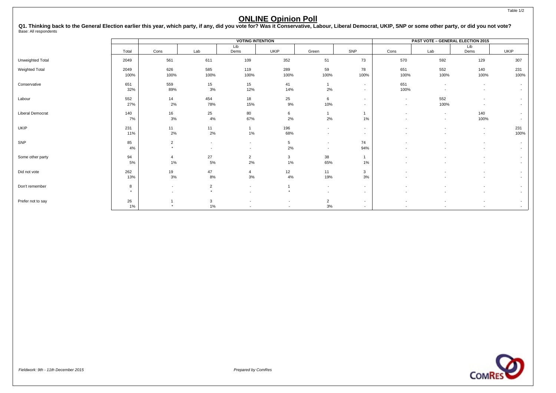Q1. Thinking back to the General Election earlier this year, which party, if any, did you vote for? Was it Conservative, Labour, Liberal Democrat, UKIP, SNP or some other party, or did you not vote?<br><sub>Base: All respondents</sub>

|                         |               |                |                          | <b>VOTING INTENTION</b>  |                 |                          |                          | <b>PAST VOTE - GENERAL ELECTION 2015</b> |                          |                          |                                    |
|-------------------------|---------------|----------------|--------------------------|--------------------------|-----------------|--------------------------|--------------------------|------------------------------------------|--------------------------|--------------------------|------------------------------------|
|                         |               |                |                          | Lib                      |                 |                          |                          |                                          |                          | Lib                      |                                    |
|                         | Total         | Cons           | Lab                      | Dems                     | <b>UKIP</b>     | Green                    | SNP                      | Cons                                     | Lab                      | Dems                     | <b>UKIP</b>                        |
| Unweighted Total        | 2049          | 561            | 611                      | 109                      | 352             | 51                       | 73                       | 570                                      | 592                      | 129                      | 307                                |
| Weighted Total          | 2049<br>100%  | 626<br>100%    | 585<br>100%              | 119<br>100%              | 289<br>100%     | 59<br>100%               | 78<br>100%               | 651<br>100%                              | 552<br>100%              | 140<br>100%              | 231<br>100%                        |
|                         |               |                |                          |                          |                 |                          |                          |                                          |                          |                          |                                    |
| Conservative            | 651           | 559            | 15                       | 15                       | 41              |                          | $\sim$                   | 651                                      | $\overline{\phantom{a}}$ | $\overline{a}$           | $\overline{\phantom{a}}$           |
|                         | 32%           | 89%            | 3%                       | 12%                      | 14%             | 2%                       | $\sim$                   | 100%                                     | $\overline{\phantom{a}}$ |                          | $\overline{\phantom{a}}$           |
| Labour                  | 552           | 14             | 454                      | 18                       | 25              | $6\phantom{.0}$          | $\sim$                   | $\overline{\phantom{a}}$                 | 552                      |                          | $\overline{\phantom{a}}$           |
|                         | 27%           | 2%             | 78%                      | 15%                      | 9%              | 10%                      | $\sim$                   | $\overline{\phantom{a}}$                 | 100%                     |                          | $\overline{\phantom{a}}$           |
| <b>Liberal Democrat</b> | 140           | 16             | 25                       | 80                       | 6               |                          |                          |                                          | $\overline{\phantom{a}}$ | 140                      | $\overline{\phantom{a}}$           |
|                         | 7%            | 3%             | 4%                       | 67%                      | 2%              | 2%                       | 1%                       |                                          | $\overline{\phantom{a}}$ | 100%                     |                                    |
| UKIP                    | 231           | 11             | 11                       | $\mathbf{1}$             | 196             | $\overline{\phantom{a}}$ | $\overline{\phantom{a}}$ |                                          | ٠                        | $\overline{\phantom{a}}$ | 231                                |
|                         | 11%           | 2%             | 2%                       | 1%                       | 68%             | $\overline{\phantom{a}}$ | $\overline{\phantom{a}}$ |                                          |                          | $\overline{a}$           | 100%                               |
| SNP                     | 85            | $\overline{2}$ | $\overline{\phantom{a}}$ | $\overline{\phantom{a}}$ | $5\overline{)}$ | $\overline{\phantom{a}}$ | 74                       |                                          |                          |                          |                                    |
|                         | 4%            | $\star$        | $\overline{\phantom{a}}$ | $\overline{\phantom{a}}$ | 2%              | $\overline{\phantom{a}}$ | 94%                      |                                          |                          |                          | $\overline{\phantom{a}}$           |
| Some other party        | 94            | $\overline{4}$ | 27                       | $\overline{2}$           | 3               | 38                       | $\overline{1}$           |                                          |                          |                          | $\overline{\phantom{a}}$           |
|                         | 5%            | 1%             | 5%                       | 2%                       | 1%              | 65%                      | 1%                       |                                          |                          |                          | $\overline{\phantom{a}}$           |
| Did not vote            | 262           | 19             | 47                       | $\overline{4}$           | 12              | 11                       | $\mathbf{3}$             |                                          |                          |                          | $\overline{\phantom{a}}$           |
|                         | 13%           | 3%             | 8%                       | 3%                       | 4%              | 19%                      | 3%                       |                                          |                          |                          | $\overline{\phantom{a}}$           |
| Don't remember          | 8             | $\sim$         | $\overline{2}$           | $\overline{a}$           |                 | $\overline{\phantom{a}}$ | $\sim$                   |                                          |                          |                          | $\overline{\phantom{a}}$           |
|                         | $\rightarrow$ |                | $\star$                  | $\overline{\phantom{a}}$ |                 | $\overline{\phantom{a}}$ | $\overline{\phantom{a}}$ |                                          |                          |                          | $\overline{\phantom{a}}$           |
|                         |               |                |                          |                          |                 |                          |                          |                                          |                          |                          |                                    |
| Prefer not to say       | 26<br>$1\%$   |                | 3<br>1%                  | $\overline{\phantom{a}}$ |                 | $\overline{2}$<br>3%     | $\sim$<br>$\sim$         | $\overline{\phantom{a}}$                 | $\overline{\phantom{a}}$ |                          | $\overline{\phantom{a}}$<br>$\sim$ |

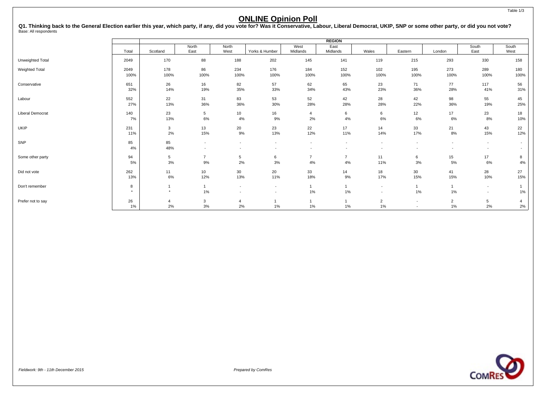Q1. Thinking back to the General Election earlier this year, which party, if any, did you vote for? Was it Conservative, Labour, Liberal Democrat, UKIP, SNP or some other party, or did you not vote?<br><sub>Base: All respondents</sub>

|                         |           | <b>REGION</b>  |                          |                          |                          |                          |                          |                          |                          |                          |                          |                          |  |  |
|-------------------------|-----------|----------------|--------------------------|--------------------------|--------------------------|--------------------------|--------------------------|--------------------------|--------------------------|--------------------------|--------------------------|--------------------------|--|--|
|                         |           |                | North                    | North                    |                          | West                     | East                     |                          |                          |                          | South                    | South                    |  |  |
|                         | Total     | Scotland       | East                     | West                     | Yorks & Humber           | Midlands                 | Midlands                 | Wales                    | Eastern                  | London                   | East                     | West                     |  |  |
| Unweighted Total        | 2049      | 170            | 88                       | 188                      | 202                      | 145                      | 141                      | 119                      | 215                      | 293                      | 330                      | 158                      |  |  |
| Weighted Total          | 2049      | 178            | 86                       | 234                      | 176                      | 184                      | 152                      | 102                      | 195                      | 273                      | 289                      | 180                      |  |  |
|                         | 100%      | 100%           | 100%                     | 100%                     | 100%                     | 100%                     | 100%                     | 100%                     | 100%                     | 100%                     | 100%                     | 100%                     |  |  |
| Conservative            | 651       | 26             | 16                       | 82                       | 57                       | 62                       | 65                       | 23                       | 71                       | 77                       | 117                      | 56                       |  |  |
|                         | 32%       | 14%            | 19%                      | 35%                      | 33%                      | 34%                      | 43%                      | 23%                      | 36%                      | 28%                      | 41%                      | 31%                      |  |  |
| Labour                  | 552       | 22             | 31                       | 83                       | 53                       | 52                       | 42                       | 28                       | 42                       | 98                       | 55                       | 45                       |  |  |
|                         | 27%       | 13%            | 36%                      | 36%                      | 30%                      | 28%                      | 28%                      | 28%                      | 22%                      | 36%                      | 19%                      | 25%                      |  |  |
| <b>Liberal Democrat</b> | 140       | 23             | 5                        | 10                       | 16                       | $\overline{4}$           | 6                        | 6                        | 12                       | 17                       | 23                       | 18                       |  |  |
|                         | 7%        | 13%            | $6\%$                    | 4%                       | 9%                       | 2%                       | $4\%$                    | 6%                       | 6%                       | 6%                       | 8%                       | 10%                      |  |  |
| UKIP                    | 231       | 3              | 13                       | 20                       | 23                       | 22                       | 17                       | 14                       | 33                       | 21                       | 43                       | 22                       |  |  |
|                         | 11%       | 2%             | 15%                      | 9%                       | 13%                      | 12%                      | 11%                      | 14%                      | 17%                      | 8%                       | 15%                      | 12%                      |  |  |
| SNP                     | 85        | 85             | $\overline{\phantom{a}}$ | $\overline{\phantom{a}}$ | $\overline{\phantom{a}}$ | $\overline{\phantom{a}}$ | $\overline{\phantom{a}}$ | $\overline{\phantom{a}}$ | $\overline{\phantom{a}}$ | $\overline{\phantom{a}}$ | $\overline{\phantom{a}}$ | $\overline{\phantom{a}}$ |  |  |
|                         | 4%        | 48%            |                          | $\overline{\phantom{a}}$ |                          | $\overline{\phantom{a}}$ |                          | $\overline{\phantom{a}}$ |                          | $\overline{\phantom{a}}$ | $\overline{\phantom{a}}$ | $\overline{\phantom{a}}$ |  |  |
| Some other party        | 94        | 5              | $\overline{7}$           | 5                        | 6                        | $\overline{7}$           | $\overline{7}$           | 11                       | 6                        | 15                       | 17                       | 8                        |  |  |
|                         | 5%        | 3%             | $9%$                     | 2%                       | 3%                       | 4%                       | $4\%$                    | 11%                      | 3%                       | 5%                       | 6%                       | 4%                       |  |  |
| Did not vote            | 262       | 11             | 10                       | 30                       | 20                       | 33                       | 14                       | 18                       | 30 <sup>°</sup>          | 41                       | 28                       | 27                       |  |  |
|                         | 13%       | $6\%$          | 12%                      | 13%                      | 11%                      | 18%                      | 9%                       | 17%                      | 15%                      | 15%                      | 10%                      | 15%                      |  |  |
| Don't remember          | 8         |                |                          | $\overline{\phantom{a}}$ |                          |                          |                          | $\overline{\phantom{a}}$ | $\mathbf{1}$             |                          | $\overline{a}$           |                          |  |  |
|                         | $\bullet$ | $\star$        | $1\%$                    | $\overline{\phantom{a}}$ |                          | 1%                       | $1\%$                    | $\overline{\phantom{a}}$ | 1%                       | 1%                       | $\overline{\phantom{a}}$ | 1%                       |  |  |
| Prefer not to say       | 26        | $\overline{a}$ | 3                        | $\overline{a}$           |                          |                          |                          | $\overline{2}$           | $\overline{\phantom{a}}$ | $\overline{2}$           | 5                        |                          |  |  |
|                         | $1\%$     | 2%             | $3%$                     | 2%                       | $1\%$                    | 1%                       | $1\%$                    | 1%                       | $\overline{\phantom{a}}$ | 1%                       | 2%                       | 2%                       |  |  |

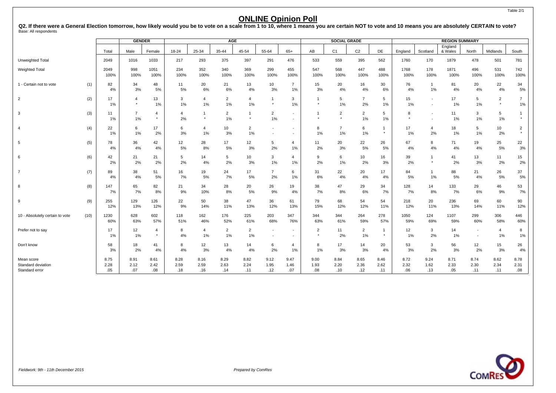Q2. If there were a General Election tomorrow, how likely would you be to vote on a scale from 1 to 10, where 1 means you are certain NOT to vote and 10 means you are absolutely CERTAIN to vote?<br><sub>Base:</sub> All respondents

|                                                    |      |                     | <b>GENDER</b>             |                           |                     |                         | <b>AGE</b>           |                      |                          |                                            |                     | <b>SOCIAL GRADE</b>  |                      |                         |                     |                                                      | <b>REGION SUMMARY</b> |                          |                           |                           |
|----------------------------------------------------|------|---------------------|---------------------------|---------------------------|---------------------|-------------------------|----------------------|----------------------|--------------------------|--------------------------------------------|---------------------|----------------------|----------------------|-------------------------|---------------------|------------------------------------------------------|-----------------------|--------------------------|---------------------------|---------------------------|
|                                                    |      | Total               | Male                      | Female                    | 18-24               | 25-34                   | 35-44                | 45-54                | 55-64                    | $65+$                                      | AB                  | C <sub>1</sub>       | C <sub>2</sub>       | DE                      | England             | Scotland                                             | England<br>& Wales    | North                    | Midlands                  | South                     |
| Unweighted Total                                   |      | 2049                | 1016                      | 1033                      | 217                 | 293                     | 375                  | 397                  | 291                      | 476                                        | 533                 | 559                  | 395                  | 562                     | 1760                | 170                                                  | 1879                  | 478                      | 501                       | 781                       |
| <b>Weighted Total</b>                              |      | 2049<br>100%        | 998<br>100%               | 1051<br>100%              | 234<br>100%         | 352<br>100%             | 340<br>100%          | 369<br>100%          | 299<br>100%              | 455<br>100%                                | 547<br>100%         | 568<br>100%          | 447<br>100%          | 488<br>100%             | 1768<br>100%        | 178<br>100%                                          | 1871<br>100%          | 496<br>100%              | 531<br>100%               | 742<br>100%               |
| 1 - Certain not to vote                            | (1)  | 82<br>4%            | 34<br>3%                  | 48<br>5%                  | 11<br>5%            | 20<br>6%                | 21<br>6%             | 13<br>4%             | 10<br>3%                 | $\overline{7}$<br>1%                       | 15<br>3%            | 20<br>4%             | 16<br>4%             | 30<br>6%                | 76<br>4%            | $\mathbf{1}$<br>1%                                   | 81<br>4%              | 20<br>4%                 | 22<br>4%                  | 34<br>5%                  |
| 2                                                  | (2)  | 17<br>1%            | $\overline{4}$<br>$\star$ | 13<br>1%                  | 3<br>$1\%$          | $\overline{4}$<br>1%    | 2<br>1%              | 4<br>1%              | $\star$                  | 3<br>1%                                    | $\star$             | 5<br>1%              | $\overline{7}$<br>2% | 5<br>1%                 | 15<br>1%            | $\overline{\phantom{a}}$<br>$\overline{\phantom{a}}$ | 17<br>1%              | 5<br>1%                  | $\overline{2}$<br>$\star$ | $\overline{7}$<br>$1\%$   |
| 3                                                  | (3)  | 11<br>1%            | $\overline{7}$<br>1%      | $\overline{4}$<br>$\star$ | 4<br>2%             | -1<br>$\star$           | $\overline{2}$<br>1% | $\star$              | $\overline{2}$<br>1%     | $\overline{\phantom{a}}$<br>$\blacksquare$ | $\star$             | $\overline{2}$       | $\overline{2}$<br>1% | 5<br>1%                 | 8<br>$\star$        | $\overline{\phantom{a}}$<br>$\overline{\phantom{a}}$ | 11<br>1%              | 3<br>1%                  | 5<br>$1\%$                | $\star$                   |
| $\overline{4}$                                     | (4)  | 22<br>1%            | 6<br>1%                   | 17<br>2%                  | 6<br>3%             | $\overline{4}$<br>$1\%$ | 10<br>3%             | $\overline{2}$<br>1% | $\overline{\phantom{a}}$ | $\overline{\phantom{a}}$<br>$\blacksquare$ | 8<br>$1\%$          | $\overline{7}$<br>1% | 6<br>1%              | $\mathbf{1}$<br>$\star$ | 17<br>1%            | $\overline{4}$<br>2%                                 | 18<br>1%              | 5<br>1%                  | 10<br>2%                  | $\overline{2}$<br>$\star$ |
| 5                                                  | (5)  | 78<br>4%            | 36<br>4%                  | 42<br>4%                  | 12<br>5%            | 28<br>8%                | 17<br>5%             | 12<br>3%             | 5<br>2%                  | 4<br>1%                                    | 11<br>2%            | 20<br>3%             | 22<br>5%             | 26<br>5%                | 67<br>4%            | 8<br>4%                                              | 71<br>4%              | 19<br>4%                 | 25<br>5%                  | 22<br>3%                  |
| 6                                                  | (6)  | 42<br>2%            | 21<br>2%                  | 21<br>2%                  | 5<br>2%             | 14<br>4%                | 5<br>2%              | 10<br>3%             | 3<br>1%                  | $\overline{a}$<br>1%                       | 9<br>2%             | 6<br>1%              | 10<br>2%             | 16<br>3%                | 39<br>2%            | $\mathbf{1}$<br>$\star$                              | 41<br>2%              | 13<br>3%                 | 11<br>2%                  | 15<br>2%                  |
| $\overline{7}$                                     | (7)  | 89<br>4%            | 38<br>4%                  | 51<br>5%                  | 16<br>7%            | 19<br>5%                | 24<br>7%             | 17<br>5%             | $\overline{7}$<br>2%     | 6<br>1%                                    | 31<br>6%            | 22<br>4%             | 20<br>4%             | 17<br>4%                | 84<br>5%            | $\mathbf{1}$<br>1%                                   | 88<br>5%              | 21<br>4%                 | 26<br>5%                  | 37<br>5%                  |
| 8                                                  | (8)  | 147<br>7%           | 65<br>7%                  | 82<br>8%                  | 21<br>9%            | 34<br>10%               | 28<br>8%             | 20<br>5%             | 26<br>9%                 | 19<br>4%                                   | 38<br>7%            | 47<br>8%             | 29<br>6%             | 34<br>7%                | 128<br>7%           | 14<br>8%                                             | 133<br>7%             | 29<br>6%                 | 46<br>9%                  | 53<br>7%                  |
| 9                                                  | (9)  | 255<br>12%          | 129<br>13%                | 126<br>12%                | 22<br>9%            | 50<br>14%               | 38<br>11%            | 47<br>13%            | 36<br>12%                | 61<br>13%                                  | 79<br>15%           | 68<br>12%            | 54<br>12%            | 54<br>11%               | 218<br>12%          | 20<br>11%                                            | 236<br>13%            | 69<br>14%                | 60<br>11%                 | 90<br>12%                 |
| 10 - Absolutely certain to vote                    | (10) | 1230<br>60%         | 628<br>63%                | 602<br>57%                | 118<br>51%          | 162<br>46%              | 176<br>52%           | 225<br>61%           | 203<br>68%               | 347<br>76%                                 | 344<br>63%          | 344<br>61%           | 264<br>59%           | 278<br>57%              | 1050<br>59%         | 124<br>69%                                           | 1107<br>59%           | 299<br>60%               | 306<br>58%                | 446<br>60%                |
| Prefer not to say                                  |      | 17<br>1%            | 12<br>1%                  | $\overline{4}$<br>$\star$ | 8<br>4%             | $\overline{4}$<br>1%    | 2<br>1%              | $\overline{2}$<br>1% | $\blacksquare$           | $\overline{\phantom{a}}$<br>$\blacksquare$ | 2<br>$\star$        | 11<br>2%             | $\overline{2}$<br>1% | $\mathbf{1}$<br>$\star$ | 12<br>1%            | 3<br>2%                                              | 14<br>1%              | $\overline{\phantom{a}}$ | $\overline{4}$<br>1%      | 8<br>1%                   |
| Don't know                                         |      | 58<br>3%            | 18<br>2%                  | 41<br>4%                  | 8<br>4%             | 12<br>3%                | 13<br>4%             | 14<br>4%             | 6<br>2%                  | 4<br>1%                                    | 8<br>$1\%$          | 17<br>3%             | 14<br>3%             | 20<br>4%                | 53<br>3%            | 3<br>2%                                              | 56<br>3%              | 12<br>2%                 | 15<br>3%                  | 26<br>4%                  |
| Mean score<br>Standard deviation<br>Standard error |      | 8.75<br>2.28<br>.05 | 8.91<br>2.12<br>.07       | 8.61<br>2.42<br>.08       | 8.28<br>2.59<br>.18 | 8.16<br>2.59<br>.16     | 8.29<br>2.63<br>.14  | 8.82<br>2.24<br>.11  | 9.12<br>1.95<br>.12      | 9.47<br>1.46<br>.07                        | 9.00<br>1.93<br>.08 | 8.84<br>2.20<br>.10  | 8.65<br>2.36<br>.12  | 8.46<br>2.62<br>.11     | 8.72<br>2.32<br>.06 | 9.24<br>1.62<br>.13                                  | 8.71<br>2.33<br>.05   | 8.74<br>2.30<br>.11      | 8.62<br>2.34<br>.11       | 8.78<br>2.31<br>.08       |



Table 2/1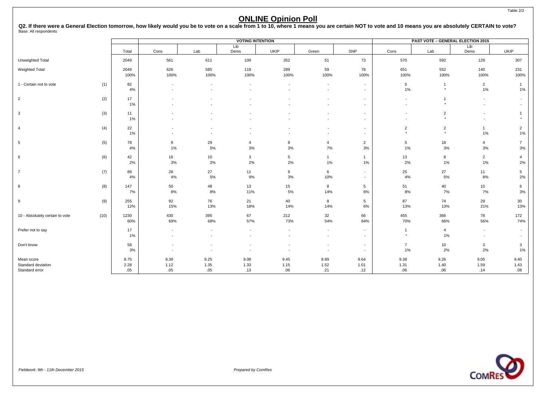Q2. If there were a General Election tomorrow, how likely would you be to vote on a scale from 1 to 10, where 1 means you are certain NOT to vote and 10 means you are absolutely CERTAIN to vote?<br><sub>Base:</sub> All respondents

|                                      |      | <b>VOTING INTENTION</b> |                |                                                      |                          |             |                          |                                                      |                          | <b>PAST VOTE - GENERAL ELECTION 2015</b> |                         |                          |
|--------------------------------------|------|-------------------------|----------------|------------------------------------------------------|--------------------------|-------------|--------------------------|------------------------------------------------------|--------------------------|------------------------------------------|-------------------------|--------------------------|
|                                      |      | Total                   | Cons           | Lab                                                  | Lib<br>Dems              | <b>UKIP</b> | Green                    | SNP                                                  | Cons                     | Lab                                      | Lib<br>Dems             | UKIP                     |
|                                      |      |                         |                |                                                      |                          |             |                          |                                                      |                          |                                          |                         |                          |
| Unweighted Total                     |      | 2049                    | 561            | 611                                                  | 109                      | 352         | 51                       | 73                                                   | 570                      | 592                                      | 129                     | 307                      |
| <b>Weighted Total</b>                |      | 2049<br>100%            | 626<br>100%    | 585<br>100%                                          | 119<br>100%              | 289<br>100% | 59<br>100%               | 78<br>100%                                           | 651<br>100%              | 552<br>100%                              | 140<br>100%             | 231<br>100%              |
|                                      |      |                         |                |                                                      |                          |             |                          |                                                      |                          |                                          |                         |                          |
| 1 - Certain not to vote              | (1)  | 82<br>4%                |                | $\overline{\phantom{a}}$<br>$\overline{\phantom{a}}$ |                          |             | $\overline{\phantom{a}}$ | $\sim$<br>$\sim$                                     | 5<br>1%                  | $\overline{1}$<br>$^\star$               | $\overline{2}$<br>$1\%$ | $\overline{1}$<br>1%     |
| $\overline{2}$                       | (2)  | 17                      |                |                                                      |                          |             |                          | $\overline{\phantom{a}}$                             |                          |                                          | $\overline{a}$          | $\overline{\phantom{a}}$ |
|                                      |      | $1\%$                   |                |                                                      |                          |             |                          | $\overline{\phantom{a}}$                             |                          | $\star$                                  |                         | $\overline{\phantom{a}}$ |
| $\mathbf{3}$                         | (3)  | 11<br>$1\%$             |                |                                                      |                          |             |                          | $\overline{\phantom{a}}$                             | $\overline{\phantom{a}}$ | $\overline{2}$<br>$\star$                |                         | $\star$                  |
|                                      |      |                         |                |                                                      |                          |             |                          |                                                      |                          |                                          |                         |                          |
| $\overline{4}$                       | (4)  | 22<br>$1\%$             |                |                                                      |                          |             |                          | $\overline{\phantom{a}}$<br>$\overline{\phantom{a}}$ | $\sqrt{2}$<br>$\star$    | $\overline{2}$<br>$\star$                | $\overline{1}$<br>$1\%$ | $\overline{2}$<br>1%     |
| 5                                    | (5)  | 78                      | 9              | 29                                                   | $\overline{4}$           | 8           | $\overline{4}$           | $\overline{2}$                                       | 5                        | 18                                       | $\overline{4}$          | $\overline{7}$           |
|                                      |      | 4%                      | $1\%$          | 5%                                                   | 3%                       | 3%          | 7%                       | 3%                                                   | 1%                       | 3%                                       | 3%                      | 3%                       |
| 6                                    | (6)  | 42<br>2%                | 16<br>3%       | 10<br>2%                                             | $\mathbf{3}$<br>2%       | 5<br>2%     | $\mathbf{1}$<br>1%       | $\mathbf{1}$<br>1%                                   | 13<br>2%                 | 8<br>1%                                  | $\overline{2}$<br>1%    | $\overline{4}$<br>2%     |
| $\overline{7}$                       |      | 89                      | 28             | 27                                                   | 11                       | 9           | 6                        | $\sim$                                               | 25                       | $27\,$                                   | 11                      | 5                        |
|                                      | (7)  | 4%                      | 4%             | 5%                                                   | 9%                       | 3%          | 10%                      | $\sim$                                               | 4%                       | 5%                                       | 8%                      | 2%                       |
| 8                                    | (8)  | 147                     | 50             | 48                                                   | 13                       | 15          | 8                        | 5                                                    | 51                       | 40                                       | 10                      | 6                        |
|                                      |      | 7%                      | 8%             | 8%                                                   | 11%                      | $5\%$       | 14%                      | 6%                                                   | 8%                       | 7%                                       | 7%                      | 3%                       |
| 9                                    | (9)  | 255<br>12%              | 92<br>15%      | 76<br>13%                                            | 21<br>18%                | 40<br>14%   | 8<br>14%                 | 5<br>6%                                              | 87<br>13%                | 74<br>13%                                | 29<br>21%               | 30<br>13%                |
|                                      | (10) | 1230                    |                |                                                      |                          |             |                          |                                                      |                          |                                          |                         |                          |
| 10 - Absolutely certain to vote      |      | 60%                     | 430<br>69%     | 395<br>68%                                           | 67<br>57%                | 212<br>73%  | 32<br>54%                | 66<br>84%                                            | 455<br>70%               | 366<br>66%                               | 78<br>56%               | 172<br>74%               |
| Prefer not to say                    |      | 17                      | $\blacksquare$ | $\overline{\phantom{a}}$                             | $\overline{\phantom{a}}$ |             | $\overline{\phantom{a}}$ | $\sim$                                               | $\overline{1}$           | $\overline{4}$                           | $\sim$                  | $\overline{\phantom{a}}$ |
|                                      |      | 1%                      |                |                                                      |                          |             |                          | $\overline{\phantom{a}}$                             | $\star$                  | 1%                                       |                         |                          |
| Don't know                           |      | 58                      |                |                                                      |                          |             |                          | $\sim$                                               | $\overline{7}$           | 10                                       | 3                       | $\mathbf{3}$             |
|                                      |      | 3%                      |                |                                                      |                          |             | $\overline{\phantom{a}}$ | $\overline{\phantom{a}}$                             | 1%                       | 2%                                       | 2%                      | 1%                       |
| Mean score                           |      | 8.75                    | 9.39           | 9.25                                                 | 9.08                     | 9.45        | 8.89                     | 9.64                                                 | 9.38                     | 9.26                                     | 9.05                    | 9.40                     |
| Standard deviation<br>Standard error |      | 2.28<br>.05             | 1.12<br>.05    | 1.35<br>.05                                          | 1.33<br>.13              | 1.15<br>.06 | 1.52<br>.21              | 1.01<br>.12                                          | 1.31<br>.06              | 1.40<br>.06                              | 1.59<br>.14             | 1.43<br>.08              |
|                                      |      |                         |                |                                                      |                          |             |                          |                                                      |                          |                                          |                         |                          |

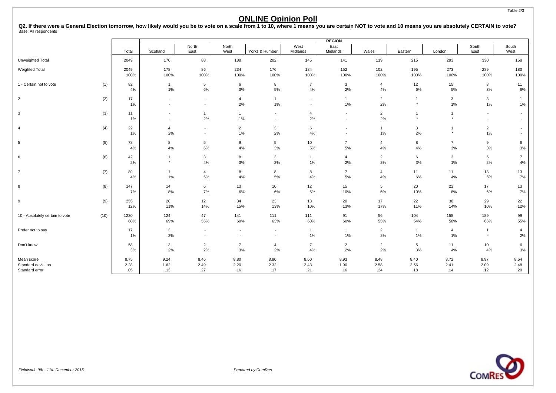Q2. If there were a General Election tomorrow, how likely would you be to vote on a scale from 1 to 10, where 1 means you are certain NOT to vote and 10 means you are absolutely CERTAIN to vote?<br><sub>Base:</sub> All respondents

|                                                    |      |                     | <b>REGION</b>                                        |                          |                                            |                      |                                            |                          |                      |                           |                      |                                                      |                                                      |
|----------------------------------------------------|------|---------------------|------------------------------------------------------|--------------------------|--------------------------------------------|----------------------|--------------------------------------------|--------------------------|----------------------|---------------------------|----------------------|------------------------------------------------------|------------------------------------------------------|
|                                                    |      | Total               | Scotland                                             | North<br>East            | North<br>West                              | Yorks & Humber       | West<br>Midlands                           | East<br>Midlands         | Wales                | Eastern                   | London               | South<br>East                                        | South<br>West                                        |
| Unweighted Total                                   |      | 2049                | 170                                                  | 88                       | 188                                        | 202                  | 145                                        | 141                      | 119                  | 215                       | 293                  | 330                                                  | 158                                                  |
| <b>Weighted Total</b>                              |      | 2049<br>100%        | 178<br>100%                                          | 86<br>100%               | 234<br>100%                                | 176<br>100%          | 184<br>100%                                | 152<br>100%              | 102<br>100%          | 195<br>100%               | 273<br>100%          | 289<br>100%                                          | 180<br>100%                                          |
| 1 - Certain not to vote                            | (1)  | 82<br>4%            | $\overline{1}$<br>$1\%$                              | 5<br>6%                  | 6<br>3%                                    | 8<br>5%              | $\overline{7}$<br>4%                       | 3<br>2%                  | $\overline{4}$<br>4% | 12<br>6%                  | 15<br>5%             | 8<br>3%                                              | 11<br>6%                                             |
| $\overline{2}$                                     | (2)  | 17<br>1%            | $\overline{\phantom{a}}$<br>$\overline{\phantom{a}}$ | $\overline{\phantom{a}}$ | $\overline{4}$<br>2%                       | $\mathbf{1}$<br>1%   | $\blacksquare$<br>$\overline{\phantom{a}}$ | 1<br>$1\%$               | $\overline{2}$<br>2% | $\overline{1}$<br>$\star$ | 3<br>1%              | 3<br>$1\%$                                           | $\mathbf{1}$<br>$1\%$                                |
| 3                                                  | (3)  | 11<br>1%            | $\overline{\phantom{a}}$<br>$\overline{\phantom{a}}$ | -1<br>2%                 | $\overline{1}$<br>1%                       |                      | 4<br>2%                                    | $\overline{\phantom{a}}$ | $\overline{2}$<br>2% | $\mathbf{1}$<br>$\star$   | $^\star$             | $\overline{\phantom{a}}$<br>$\overline{\phantom{a}}$ | $\overline{\phantom{a}}$<br>$\overline{\phantom{a}}$ |
| $\overline{4}$                                     | (4)  | 22<br>1%            | $\overline{4}$<br>2%                                 |                          | $\overline{2}$<br>1%                       | 3<br>2%              | 6<br>4%                                    |                          | $\mathbf{1}$<br>1%   | 3<br>2%                   | $\star$              | $\overline{c}$<br>$1\%$                              | $\blacksquare$<br>$\overline{\phantom{a}}$           |
| 5                                                  | (5)  | 78<br>4%            | 8<br>4%                                              | 5<br>6%                  | 9<br>4%                                    | 5<br>3%              | 10<br>5%                                   | $\overline{7}$<br>$5\%$  | $\overline{4}$<br>4% | 8<br>4%                   | $\overline{7}$<br>3% | 9<br>3%                                              | 6<br>3%                                              |
| 6                                                  | (6)  | 42<br>2%            | $\overline{1}$<br>$\star$                            | 3<br>4%                  | 8<br>3%                                    | 3<br>2%              | $\mathbf{1}$<br>1%                         | $\overline{4}$<br>2%     | $\overline{2}$<br>2% | 6<br>3%                   | 3<br>1%              | 5<br>2%                                              | $\overline{7}$<br>$4\%$                              |
| $\overline{7}$                                     | (7)  | 89<br>4%            | $\overline{1}$<br>$1\%$                              | 4<br>5%                  | 8<br>4%                                    | 8<br>5%              | 8<br>4%                                    | $\overline{7}$<br>5%     | $\overline{4}$<br>4% | 11<br>6%                  | 11<br>4%             | 13<br>$5\%$                                          | 13<br>7%                                             |
| 8                                                  | (8)  | 147<br>7%           | 14<br>8%                                             | 6<br>7%                  | 13<br>6%                                   | 10<br>6%             | 12<br>6%                                   | 15<br>10%                | 5<br>5%              | 20<br>10%                 | 22<br>8%             | 17<br>6%                                             | 13<br>7%                                             |
| $\boldsymbol{9}$                                   | (9)  | 255<br>12%          | 20<br>11%                                            | 12<br>14%                | 34<br>15%                                  | 23<br>13%            | 18<br>10%                                  | 20<br>13%                | 17<br>17%            | 22<br>11%                 | 38<br>14%            | 29<br>10%                                            | 22<br>12%                                            |
| 10 - Absolutely certain to vote                    | (10) | 1230<br>60%         | 124<br>69%                                           | 47<br>55%                | 141<br>60%                                 | 111<br>63%           | 111<br>60%                                 | 91<br>60%                | 56<br>55%            | 104<br>54%                | 158<br>58%           | 189<br>66%                                           | 99<br>55%                                            |
| Prefer not to say                                  |      | 17<br>1%            | $\mathbf{3}$<br>2%                                   |                          | $\overline{\phantom{a}}$<br>$\blacksquare$ |                      | $\mathbf{1}$<br>1%                         | 1<br>$1\%$               | $\overline{2}$<br>2% | $\mathbf{1}$<br>1%        | 4<br>1%              | $\overline{1}$<br>$\star$                            | 4<br>2%                                              |
| Don't know                                         |      | 58<br>3%            | 3<br>2%                                              | $\overline{2}$<br>2%     | $\overline{7}$<br>3%                       | $\overline{4}$<br>2% | $\overline{7}$<br>4%                       | $\overline{2}$<br>2%     | $\overline{2}$<br>2% | 5<br>3%                   | 11<br>4%             | 10<br>4%                                             | 6<br>3%                                              |
| Mean score<br>Standard deviation<br>Standard error |      | 8.75<br>2.28<br>.05 | 9.24<br>1.62<br>.13                                  | 8.46<br>2.49<br>.27      | 8.80<br>2.20<br>.16                        | 8.80<br>2.32<br>.17  | 8.60<br>2.43<br>.21                        | 8.93<br>1.90<br>.16      | 8.48<br>2.58<br>.24  | 8.40<br>2.56<br>.18       | 8.72<br>2.41<br>.14  | 8.97<br>2.09<br>.12                                  | 8.54<br>2.48<br>.20                                  |

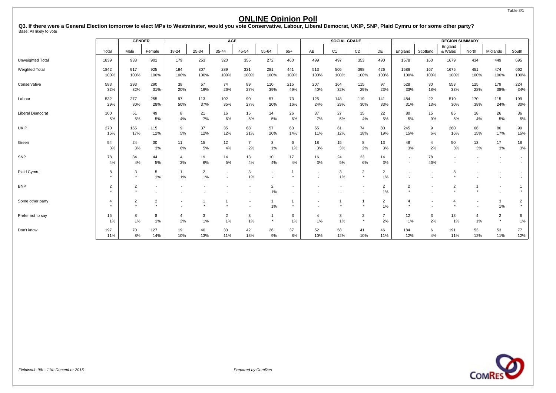#### Table 3/1

### **ONLINE Opinion Poll**

Q3. If there were a General Election tomorrow to elect MPs to Westminster, would you vote Conservative, Labour, Liberal Democrat, UKIP, SNP, Plaid Cymru or for some other party?<br><sub>Base: All likely to vote</sub>

|                         |              | <b>GENDER</b>  |                          |                |                | <b>AGE</b>     |                |                          |                          |                          | <b>SOCIAL GRADE</b> |                |                |                |                          | <b>REGION SUMMARY</b> |                          |                          |                          |
|-------------------------|--------------|----------------|--------------------------|----------------|----------------|----------------|----------------|--------------------------|--------------------------|--------------------------|---------------------|----------------|----------------|----------------|--------------------------|-----------------------|--------------------------|--------------------------|--------------------------|
|                         | Total        | Male           | Female                   | 18-24          | 25-34          | 35-44          | 45-54          | 55-64                    | $65+$                    | AB                       | C <sub>1</sub>      | C <sub>2</sub> | DE             | England        | Scotland                 | England<br>& Wales    | North                    | Midlands                 | South                    |
|                         |              |                |                          |                |                |                |                |                          |                          |                          |                     |                |                |                |                          |                       |                          |                          |                          |
| Unweighted Total        | 1839         | 938            | 901                      | 179            | 253            | 320            | 355            | 272                      | 460                      | 499                      | 497                 | 353            | 490            | 1578           | 160                      | 1679                  | 434                      | 449                      | 695                      |
| <b>Weighted Total</b>   | 1842<br>100% | 917<br>100%    | 925<br>100%              | 194<br>100%    | 307<br>100%    | 289<br>100%    | 331<br>100%    | 281<br>100%              | 441<br>100%              | 513<br>100%              | 505<br>100%         | 398<br>100%    | 426<br>100%    | 1586<br>100%   | 167<br>100%              | 1675<br>100%          | 451<br>100%              | 474<br>100%              | 662<br>100%              |
|                         |              |                |                          |                |                |                |                |                          |                          |                          |                     |                |                |                |                          |                       |                          |                          |                          |
| Conservative            | 583          | 293<br>32%     | 290                      | 38             | 57<br>19%      | 74             | 89<br>27%      | 110                      | 215<br>49%               | 207                      | 164<br>32%          | 115            | 97             | 528            | 30                       | 553                   | 125<br>28%               | 179                      | 224<br>34%               |
|                         | 32%          |                | 31%                      | 20%            |                | 26%            |                | 39%                      |                          | 40%                      |                     | 29%            | 23%            | 33%            | 18%                      | 33%                   |                          | 38%                      |                          |
| Labour                  | 532          | 277            | 255                      | 97             | 113            | 102            | 90             | 57                       | 73                       | 125                      | 148                 | 119            | 141            | 484            | 22                       | 510                   | 170                      | 115                      | 199                      |
|                         | 29%          | 30%            | 28%                      | 50%            | 37%            | 35%            | 27%            | 20%                      | 16%                      | 24%                      | 29%                 | 30%            | 33%            | 31%            | 13%                      | 30%                   | 38%                      | 24%                      | 30%                      |
| <b>Liberal Democrat</b> | 100          | 51             | 49                       | 8              | 21             | 16             | 15             | 14                       | 26                       | 37                       | 27                  | 15             | 22             | 80             | 15                       | 85                    | 18                       | 26                       | 36                       |
|                         | 5%           | 6%             | 5%                       | 4%             | 7%             | 6%             | 5%             | 5%                       | 6%                       | 7%                       | 5%                  | 4%             | 5%             | 5%             | 9%                       | 5%                    | 4%                       | 5%                       | $5%$                     |
| UKIP                    | 270          | 155            | 115                      | 9              | 37             | 35             | 68             | 57                       | 63                       | 55                       | 61                  | 74             | 80             | 245            | 9                        | 260                   | 66                       | 80                       | 99                       |
|                         | 15%          | 17%            | 12%                      | 5%             | 12%            | 12%            | 21%            | 20%                      | 14%                      | 11%                      | 12%                 | 18%            | 19%            | 15%            | 6%                       | 16%                   | 15%                      | 17%                      | 15%                      |
| Green                   | 54           | 24             | 30                       | 11             | 15             | 12             | $\overline{7}$ | 3                        | 6                        | 18                       | 15                  | 8              | 13             | 48             | $\overline{4}$           | 50                    | 13                       | 17                       | 18                       |
|                         | 3%           | 3%             | 3%                       | 6%             | 5%             | 4%             | 2%             | $1\%$                    | 1%                       | 3%                       | 3%                  | 2%             | 3%             | 3%             | 2%                       | 3%                    | 3%                       | 3%                       | 3%                       |
| SNP                     | 78           | 34             | 44                       | 4              | 19             | 14             | 13             | 10                       | 17                       | 16                       | 24                  | 23             | 14             | $\sim$         | 78                       |                       | $\overline{\phantom{a}}$ | $\overline{\phantom{a}}$ | $\sim$                   |
|                         | 4%           | 4%             | 5%                       | 2%             | 6%             | 5%             | 4%             | 4%                       | 4%                       | 3%                       | 5%                  | 6%             | 3%             | $\blacksquare$ | 46%                      |                       |                          |                          | $\blacksquare$           |
| Plaid Cymru             | 8            | 3              | 5                        | -1             | $\overline{2}$ |                | 3              | $\overline{\phantom{a}}$ | $\overline{1}$           | $\overline{\phantom{a}}$ | 3                   | $\overline{2}$ | $\overline{2}$ |                | $\overline{\phantom{a}}$ | 8                     |                          | $\overline{\phantom{a}}$ | $\overline{\phantom{a}}$ |
|                         | $\star$      | $\star$        | 1%                       | $1\%$          | $1\%$          |                | 1%             |                          |                          |                          | 1%                  | $\star$        | 1%             |                |                          |                       |                          |                          |                          |
| <b>BNP</b>              | 2            | $\overline{2}$ | $\overline{\phantom{0}}$ | ٠              |                |                |                | $\overline{2}$           | $\overline{\phantom{a}}$ |                          |                     |                | $\overline{2}$ | $\overline{2}$ |                          | $\overline{2}$        |                          | $\overline{\phantom{a}}$ |                          |
|                         | $\star$      |                | $\overline{\phantom{a}}$ |                |                |                |                | $1\%$                    | $\overline{\phantom{a}}$ |                          |                     |                | 1%             |                |                          |                       |                          |                          | $\star$                  |
| Some other party        | 4            | $\overline{2}$ | $\overline{2}$           | ٠              |                |                |                | $\overline{1}$           | $\overline{1}$           |                          |                     | $\overline{1}$ | $\overline{2}$ | $\overline{4}$ | . .                      | 4                     | $\overline{\phantom{a}}$ | 3                        | $\overline{2}$           |
|                         | $\star$      | $\star$        | $\star$                  |                | $\star$        |                |                | 1%                       | $\star$                  |                          |                     | $\star$        | 1%             |                |                          |                       |                          | 1%                       | $\star$                  |
| Prefer not to say       | 15           | 8              | 8                        | $\overline{4}$ | 3              | $\overline{2}$ | 3              |                          | 3                        | 4                        | 3                   | $\overline{2}$ | $\overline{7}$ | 12             | 3                        | 13                    | $\overline{4}$           | $\overline{2}$           | 6                        |
|                         | $1\%$        | 1%             | 1%                       | 2%             | 1%             | 1%             | 1%             | $\star$                  | 1%                       | 1%                       | 1%                  | $\star$        | 2%             | 1%             | 2%                       | $1\%$                 | 1%                       | $\star$                  | 1%                       |
| Don't know              | 197          | 70             | 127                      | 19             | 40             | 33             | 42             | 26                       | 37                       | 52                       | 58                  | 41             | 46             | 184            | 6                        | 191                   | 53                       | 53                       | 77                       |
|                         | 11%          | 8%             | 14%                      | 10%            | 13%            | 11%            | 13%            | 9%                       | 8%                       | 10%                      | 12%                 | 10%            | 11%            | 12%            | 4%                       | 11%                   | 12%                      | 11%                      | 12%                      |

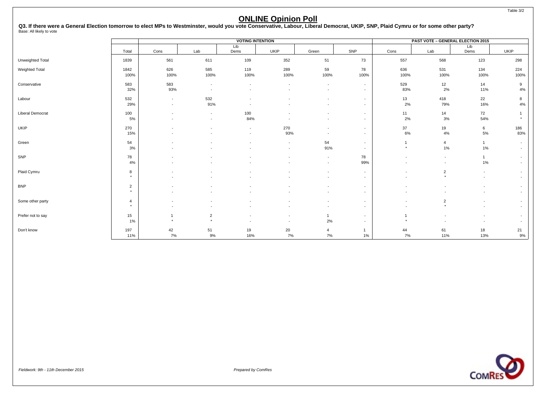Q3. If there were a General Election tomorrow to elect MPs to Westminster, would you vote Conservative, Labour, Liberal Democrat, UKIP, SNP, Plaid Cymru or for some other party?<br><sub>Base: All likely to vote</sub>

|                         |                           |                                                      |                                                      | <b>VOTING INTENTION</b>                              |             |                                                      |                                    | <b>PAST VOTE - GENERAL ELECTION 2015</b> |                                                      |                       |                                                      |
|-------------------------|---------------------------|------------------------------------------------------|------------------------------------------------------|------------------------------------------------------|-------------|------------------------------------------------------|------------------------------------|------------------------------------------|------------------------------------------------------|-----------------------|------------------------------------------------------|
|                         | Total                     | Cons                                                 | Lab                                                  | Lib<br>Dems                                          | UKIP        | Green                                                | SNP                                | Cons                                     | Lab                                                  | Lib<br>Dems           | UKIP                                                 |
| Unweighted Total        | 1839                      | 561                                                  | 611                                                  | 109                                                  | 352         | 51                                                   | 73                                 | 557                                      | 568                                                  | 123                   | 298                                                  |
| <b>Weighted Total</b>   | 1842<br>100%              | 626<br>100%                                          | 585<br>100%                                          | 119<br>100%                                          | 289<br>100% | 59<br>100%                                           | 78<br>100%                         | 636<br>100%                              | 531<br>100%                                          | 134<br>100%           | 224<br>100%                                          |
| Conservative            | 583<br>32%                | 583<br>93%                                           | $\overline{\phantom{a}}$<br>$\overline{\phantom{a}}$ | $\overline{\phantom{a}}$                             |             | $\overline{\phantom{a}}$<br>$\overline{\phantom{a}}$ | $\sim$<br>$\sim$                   | 529<br>83%                               | 12<br>2%                                             | 14<br>11%             | 9<br>4%                                              |
| Labour                  | 532<br>29%                | $\overline{\phantom{a}}$<br>$\overline{\phantom{a}}$ | 532<br>91%                                           |                                                      |             | $\blacksquare$                                       | $\sim$<br>$\sim$                   | 13<br>2%                                 | 418<br>79%                                           | 22<br>16%             | 8<br>4%                                              |
| <b>Liberal Democrat</b> | 100<br>5%                 | $\blacksquare$                                       | $\sim$<br>$\overline{\phantom{a}}$                   | 100<br>84%                                           |             | $\blacksquare$<br>$\blacksquare$                     | $\sim$<br>$\sim$                   | 11<br>2%                                 | 14<br>3%                                             | 72<br>54%             |                                                      |
| UKIP                    | 270<br>15%                |                                                      |                                                      | $\overline{\phantom{a}}$<br>$\overline{\phantom{a}}$ | 270<br>93%  | $\overline{\phantom{a}}$<br>$\overline{\phantom{a}}$ | $\sim$<br>$\sim$                   | 37<br>6%                                 | 19<br>4%                                             | 6<br>5%               | 186<br>83%                                           |
| Green                   | 54<br>3%                  |                                                      |                                                      |                                                      |             | 54<br>91%                                            | $\overline{\phantom{a}}$<br>$\sim$ | $\overline{1}$<br>$\star$                | $\overline{4}$<br>1%                                 | 1<br>$1\%$            | $\overline{\phantom{a}}$<br>$\overline{\phantom{a}}$ |
| SNP                     | 78<br>4%                  |                                                      |                                                      |                                                      |             | $\overline{\phantom{a}}$<br>$\overline{\phantom{a}}$ | 78<br>99%                          |                                          | $\overline{\phantom{a}}$<br>$\overline{\phantom{a}}$ | $\mathbf{1}$<br>$1\%$ | $\overline{\phantom{a}}$<br>$\overline{\phantom{a}}$ |
| Plaid Cymru             | 8<br>$\star$              |                                                      |                                                      |                                                      |             | $\overline{\phantom{a}}$<br>$\overline{\phantom{a}}$ | $\sim$<br>$\sim$                   | $\overline{\phantom{a}}$                 | $\overline{2}$<br>$\star$                            |                       | $\overline{\phantom{a}}$<br>$\overline{\phantom{a}}$ |
| <b>BNP</b>              | $\overline{2}$<br>$\star$ |                                                      |                                                      |                                                      |             | $\blacksquare$<br>$\overline{\phantom{a}}$           | $\overline{\phantom{a}}$<br>$\sim$ |                                          |                                                      |                       | $\overline{\phantom{a}}$<br>$\overline{\phantom{a}}$ |
| Some other party        | 4<br>$\star$              |                                                      |                                                      |                                                      |             | $\overline{\phantom{a}}$                             | $\sim$<br>$\sim$                   | $\overline{\phantom{a}}$                 | $\overline{2}$<br>$\star$                            |                       | $\overline{\phantom{a}}$                             |
| Prefer not to say       | 15<br>$1\%$               | $\star$                                              | $\overline{2}$<br>$\star$                            | $\overline{\phantom{a}}$                             |             | 2%                                                   | $\sim$<br>$\sim$                   | $\star$                                  | $\overline{\phantom{a}}$                             |                       | $\overline{\phantom{a}}$<br>$\overline{\phantom{a}}$ |
| Don't know              | 197<br>11%                | 42<br>7%                                             | 51<br>9%                                             | 19<br>16%                                            | 20<br>7%    | 7%                                                   | $\overline{1}$<br>1%               | 44<br>7%                                 | 61<br>11%                                            | 18<br>13%             | 21<br>9%                                             |

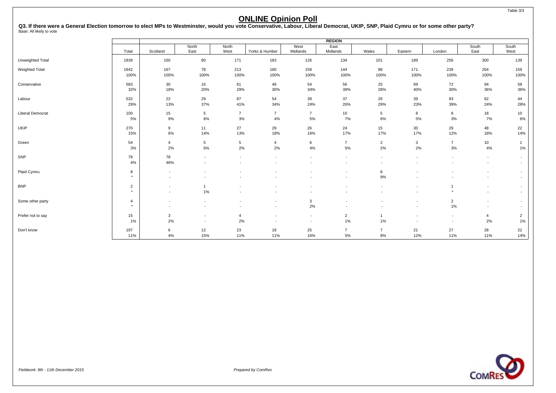Q3. If there were a General Election tomorrow to elect MPs to Westminster, would you vote Conservative, Labour, Liberal Democrat, UKIP, SNP, Plaid Cymru or for some other party?<br><sub>Base: All likely to vote</sub>

|                         | <b>REGION</b>             |                                                      |                       |                      |                      |                                                      |                         |                          |                                                      |                                                      |                                    |                                                      |  |
|-------------------------|---------------------------|------------------------------------------------------|-----------------------|----------------------|----------------------|------------------------------------------------------|-------------------------|--------------------------|------------------------------------------------------|------------------------------------------------------|------------------------------------|------------------------------------------------------|--|
|                         | Total                     | Scotland                                             | North<br>East         | North<br>West        | Yorks & Humber       | West<br>Midlands                                     | East<br>Midlands        | Wales                    | Eastern                                              | London                                               | South<br>East                      | South<br>West                                        |  |
| Unweighted Total        | 1839                      | 160                                                  | 80                    | 171                  | 183                  | 126                                                  | 134                     | 101                      | 189                                                  | 256                                                  | 300                                | 139                                                  |  |
| Weighted Total          | 1842<br>100%              | 167<br>100%                                          | 78<br>100%            | 213<br>100%          | 160<br>100%          | 159<br>100%                                          | 144<br>100%             | 88<br>100%               | 171<br>100%                                          | 239<br>100%                                          | 264<br>100%                        | 159<br>100%                                          |  |
| Conservative            | 583<br>32%                | 30<br>18%                                            | 16<br>20%             | 61<br>29%            | 48<br>30%            | 54<br>34%                                            | 56<br>39%               | 25<br>28%                | 69<br>40%                                            | 72<br>30%                                            | 94<br>36%                          | 58<br>36%                                            |  |
| Labour                  | 532<br>29%                | 22<br>13%                                            | 29<br>37%             | 87<br>41%            | 54<br>34%            | 39<br>24%                                            | 37<br>26%               | 26<br>29%                | 39<br>23%                                            | 93<br>39%                                            | 62<br>24%                          | 44<br>28%                                            |  |
| <b>Liberal Democrat</b> | 100<br>5%                 | 15<br>9%                                             | $5\phantom{.0}$<br>6% | $\overline{7}$<br>3% | $\overline{7}$<br>4% | $\overline{7}$<br>5%                                 | 10<br>7%                | $5\overline{)}$<br>6%    | 8<br>5%                                              | 8<br>3%                                              | 18<br>7%                           | 10<br>6%                                             |  |
| <b>UKIP</b>             | 270<br>15%                | 9<br>$6\%$                                           | 11<br>14%             | 27<br>13%            | 29<br>18%            | 26<br>16%                                            | 24<br>17%               | 15<br>17%                | 30 <sup>°</sup><br>17%                               | 29<br>12%                                            | 48<br>18%                          | 22<br>14%                                            |  |
| Green                   | 54<br>3%                  | $\overline{4}$<br>$2\%$                              | 5<br>6%               | 5<br>2%              | $\overline{4}$<br>2% | 6<br>4%                                              | $\overline{7}$<br>$5\%$ | $\overline{2}$<br>2%     | 3<br>$2\%$                                           | $\overline{7}$<br>$3%$                               | 10<br>4%                           | $\mathbf{1}$<br>$1\%$                                |  |
| SNP                     | 78<br>4%                  | 78<br>46%                                            |                       | $\blacksquare$       |                      | $\overline{\phantom{a}}$                             |                         | $\overline{\phantom{a}}$ |                                                      | $\overline{\phantom{a}}$                             | $\overline{\phantom{a}}$           | $\overline{\phantom{a}}$<br>$\blacksquare$           |  |
| Plaid Cymru             | 8<br>$\star$              | $\overline{\phantom{a}}$<br>$\overline{\phantom{a}}$ |                       |                      |                      |                                                      |                         | 8<br>9%                  |                                                      |                                                      |                                    | $\overline{\phantom{a}}$<br>$\overline{\phantom{a}}$ |  |
| <b>BNP</b>              | $\overline{2}$<br>$\star$ | $\overline{\phantom{a}}$<br>$\overline{\phantom{a}}$ | 1%                    |                      |                      | $\overline{\phantom{a}}$                             |                         | $\blacksquare$           | $\overline{\phantom{a}}$                             | $\star$                                              | $\overline{\phantom{a}}$           | $\overline{\phantom{a}}$<br>$\overline{\phantom{a}}$ |  |
| Some other party        | 4<br>$\star$              | $\overline{\phantom{a}}$<br>$\overline{\phantom{a}}$ |                       |                      |                      | 3<br>2%                                              |                         |                          | $\overline{\phantom{0}}$                             | $\overline{c}$<br>1%                                 | $\sim$<br>$\overline{\phantom{a}}$ | $\overline{\phantom{a}}$<br>$\overline{\phantom{a}}$ |  |
| Prefer not to say       | 15<br>1%                  | $\mathbf{3}$<br>2%                                   | $\overline{a}$        | $\overline{4}$<br>2% |                      | $\overline{\phantom{a}}$<br>$\overline{\phantom{a}}$ | $\overline{2}$<br>1%    | $\overline{1}$<br>1%     | $\overline{\phantom{a}}$<br>$\overline{\phantom{0}}$ | $\overline{\phantom{a}}$<br>$\overline{\phantom{a}}$ | $\overline{4}$<br>2%               | $\overline{2}$<br>1%                                 |  |
| Don't know              | 197<br>11%                | 6<br>4%                                              | 12<br>15%             | 23<br>11%            | 18<br>11%            | 25<br>16%                                            | $\overline{7}$<br>5%    | $\overline{7}$<br>8%     | 21<br>12%                                            | 27<br>11%                                            | 28<br>11%                          | 22<br>14%                                            |  |

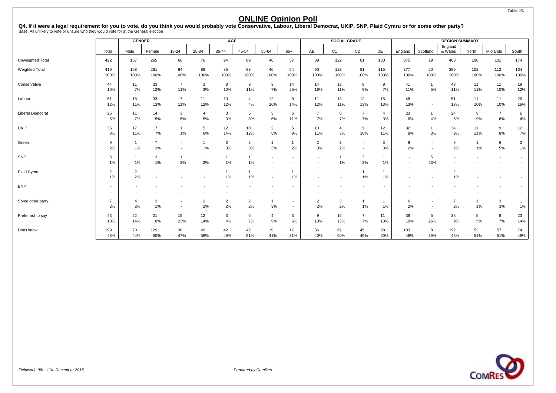|                         |                      | <b>GENDER</b>        |                                                      |                          |            | <b>AGE</b>           |                        |                      |                          |                          | <b>SOCIAL GRADE</b>  |                      |                      |                |                                                      | <b>REGION SUMMARY</b> |             |                          |                      |
|-------------------------|----------------------|----------------------|------------------------------------------------------|--------------------------|------------|----------------------|------------------------|----------------------|--------------------------|--------------------------|----------------------|----------------------|----------------------|----------------|------------------------------------------------------|-----------------------|-------------|--------------------------|----------------------|
|                         | Total                | Male                 | Female                                               | $18 - 24$                | 25-34      | 35-44                | 45-54                  | 55-64                | $65+$                    | AB                       | C <sub>1</sub>       | C <sub>2</sub>       | DE                   | England        | Scotland                                             | England<br>& Wales    | North       | Midlands                 | South                |
| Unweighted Total        | 422                  | 157                  | 265                                                  | 60                       | 76         | 94                   | 89                     | 46                   | 57                       | 89                       | 122                  | 81                   | 130                  | 375            | 19                                                   | 403                   | 100         | 101                      | 174                  |
| Weighted Total          | 419<br>100%          | 158<br>100%          | 261<br>100%                                          | 64<br>100%               | 88<br>100% | 85<br>100%           | 83<br>100%             | 46<br>100%           | 54<br>100%               | 90<br>100%               | 123<br>100%          | 91<br>100%           | 115<br>100%          | 377<br>100%    | 20<br>100%                                           | 399<br>100%           | 102<br>100% | 112<br>100%              | 164<br>100%          |
| Conservative            | 44<br>10%            | 11<br>7%             | 33<br>12%                                            | $\overline{7}$<br>11%    | 3<br>3%    | 8<br>10%             | 9<br>11%               | 3<br>7%              | 14<br>25%                | 14<br>16%                | 13<br>11%            | 8<br>9%              | 9<br>7%              | 41<br>11%      | $\overline{1}$<br>5%                                 | 43<br>11%             | 11<br>11%   | 11<br>10%                | 19<br>12%            |
| Labour                  | 51<br>12%            | 18<br>11%            | 33<br>13%                                            | $\overline{7}$<br>11%    | 11<br>12%  | 10<br>12%            | 4<br>4%                | 12<br>26%            | 8<br>14%                 | 11<br>12%                | 13<br>11%            | 12<br>13%            | 15<br>13%            | 48<br>13%      | $\overline{\phantom{a}}$<br>$\overline{\phantom{a}}$ | 51<br>13%             | 11<br>10%   | 11<br>10%                | 26<br>16%            |
| <b>Liberal Democrat</b> | 25<br>6%             | 11<br>7%             | 14<br>5%                                             | 3<br>5%                  | 4<br>5%    | $\mathbf{3}$<br>3%   | 6<br>8%                | 3<br>6%              | 6<br>11%                 | 7%                       | 8<br>7%              | $\overline{7}$<br>7% | $\overline{a}$<br>3% | 23<br>6%       | 4%                                                   | 24<br>6%              | 9<br>9%     | $\overline{7}$<br>6%     | 6<br>4%              |
| UKIP                    | 35<br>8%             | 17<br>11%            | 17<br>7%                                             | $\mathbf{1}$<br>1%       | 5<br>6%    | 12<br>14%            | 10<br>12%              | 2<br>5%              | 5<br>9%                  | 10<br>11%                | 4<br>3%              | 9<br>10%             | 12<br>11%            | 32<br>8%       | 3%                                                   | 34<br>9%              | 11<br>11%   | 9<br>8%                  | 12<br>7%             |
| Green                   | 9<br>2%              | 1%                   | 7<br>3%                                              | $\overline{\phantom{a}}$ | 1%         | 3<br>3%              | $\overline{2}$<br>$3%$ | $\overline{1}$<br>3% | $\mathbf{1}$<br>2%       | $\overline{2}$<br>3%     | 3<br>2%              | $\overline{a}$       | 3<br>3%              | 9<br>2%        | $\overline{\phantom{a}}$<br>$\overline{\phantom{a}}$ | 9<br>2%               | $1\%$       | 6<br>5%                  | $\overline{2}$<br>1% |
| SNP                     | 5<br>1%              | 1%                   | 3<br>1%                                              | -1<br>2%                 | 2%         | $\overline{1}$<br>1% | 1<br>$1\%$             |                      | $\sim$                   | $\overline{\phantom{a}}$ | $\overline{1}$<br>1% | $\overline{2}$<br>3% | -1<br>1%             | $\blacksquare$ | 5<br>23%                                             |                       |             | $\overline{\phantom{a}}$ |                      |
| Plaid Cymru             | $\overline{2}$<br>1% | $\overline{2}$<br>2% | $\overline{\phantom{a}}$<br>$\overline{\phantom{a}}$ |                          |            | 1%                   | $1\%$                  |                      | $\mathbf{1}$<br>1%       |                          |                      | 1<br>1%              | 1%                   |                |                                                      | $\mathcal{D}$<br>1%   |             |                          |                      |
| <b>BNP</b>              |                      |                      | $\overline{\phantom{a}}$<br>$\overline{\phantom{a}}$ |                          |            |                      |                        |                      | $\overline{\phantom{a}}$ |                          |                      |                      |                      |                |                                                      |                       |             |                          |                      |
| Some other party        | $\overline{7}$<br>2% | 2%                   | 3<br>1%                                              |                          | 2<br>2%    | $\overline{2}$<br>2% | $\overline{2}$<br>2%   | -1<br>3%             | $\sim$<br>$\sim$         | $\overline{2}$<br>2%     | 3<br>2%              | 1<br>1%              | 1<br>$1\%$           | 6<br>2%        | $\overline{\phantom{a}}$                             | 2%                    | $1\%$       | 3<br>3%                  | 1%                   |
| Prefer not to say       | 43<br>10%            | 22<br>14%            | 21<br>8%                                             | 15<br>23%                | 12<br>14%  | 3<br>4%              | 6<br>7%                | 4<br>9%              | 3<br>6%                  | 9<br>10%                 | 16<br>13%            | 7<br>7%              | 11<br>10%            | 36<br>10%      | 5<br>26%                                             | 38<br>9%              | 5<br>5%     | 8<br>7%                  | 23<br>14%            |
| Don't know              | 199<br>48%           | 70<br>44%            | 129<br>50%                                           | 30<br>47%                | 49<br>56%  | 42<br>49%            | 42<br>51%              | 19<br>41%            | 17<br>31%                | 36<br>40%                | 62<br>50%            | 45<br>49%            | 58<br>50%            | 183<br>48%     | 8<br>39%                                             | 192<br>48%            | 52<br>51%   | 57<br>51%                | 74<br>46%            |



#### Fieldwork: 9th - 11th December 2015 Prepared by ComRes

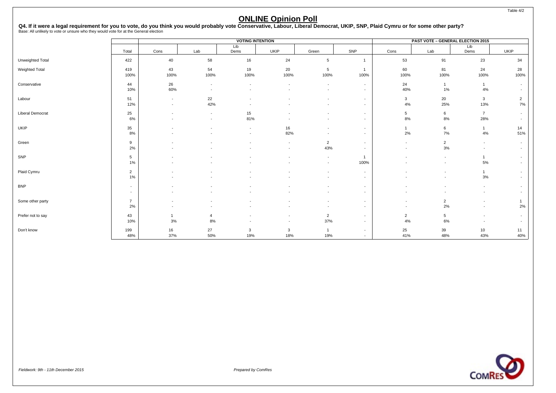|                         |                          |            |                          | <b>VOTING INTENTION</b>  |             |                          |                                                      |                | <b>PAST VOTE - GENERAL ELECTION 2015</b> |                       |                      |
|-------------------------|--------------------------|------------|--------------------------|--------------------------|-------------|--------------------------|------------------------------------------------------|----------------|------------------------------------------|-----------------------|----------------------|
|                         | Total                    | Cons       | Lab                      | Lib<br>Dems              | <b>UKIP</b> | Green                    | SNP                                                  | Cons           | Lab                                      | Lib<br>Dems           | <b>UKIP</b>          |
| Unweighted Total        | 422                      | 40         | 58                       | 16                       | 24          | 5                        | $\overline{1}$                                       | 53             | 91                                       | 23                    | 34                   |
| <b>Weighted Total</b>   | 419<br>100%              | 43<br>100% | 54<br>100%               | 19<br>100%               | 20<br>100%  | 5<br>100%                | $\overline{1}$<br>100%                               | 60<br>100%     | 81<br>100%                               | 24<br>100%            | 28<br>100%           |
| Conservative            | 44                       | 26         |                          |                          |             |                          | $\overline{\phantom{0}}$                             | 24             | $\mathbf{1}$                             |                       |                      |
|                         | 10%                      | 60%        | $\overline{\phantom{a}}$ |                          |             |                          | $\sim$                                               | 40%            | 1%                                       | $4\%$                 |                      |
| Labour                  | 51<br>12%                |            | 22<br>42%                |                          |             |                          | $\overline{\phantom{a}}$<br>$\overline{\phantom{a}}$ | 3<br>4%        | 20<br>25%                                | 3<br>13%              | $\overline{2}$<br>7% |
|                         |                          |            |                          |                          |             |                          |                                                      |                |                                          |                       |                      |
| <b>Liberal Democrat</b> | 25<br>6%                 |            | $\overline{\phantom{a}}$ | 15<br>81%                |             |                          | $\overline{\phantom{a}}$<br>$\overline{\phantom{a}}$ | 5<br>8%        | 6<br>8%                                  | $\overline{7}$<br>28% |                      |
| <b>UKIP</b>             | 35                       |            |                          | $\overline{\phantom{a}}$ | 16          |                          | $\overline{\phantom{a}}$                             | 1              | 6                                        | $\mathbf{1}$          | 14                   |
|                         | 8%                       |            |                          |                          | 82%         |                          | $\overline{\phantom{a}}$                             | 2%             | 7%                                       | 4%                    | 51%                  |
| Green                   | 9<br>2%                  |            |                          |                          |             | $\overline{2}$<br>43%    | $\overline{\phantom{a}}$<br>$\overline{\phantom{a}}$ |                | $\overline{2}$<br>$3%$                   |                       |                      |
| SNP                     | 5<br>$1\%$               |            |                          |                          |             | $\overline{\phantom{a}}$ | $\overline{1}$<br>100%                               |                |                                          | $\mathbf{1}$<br>$5\%$ |                      |
|                         |                          |            |                          |                          |             |                          |                                                      |                |                                          |                       |                      |
| Plaid Cymru             | $\overline{2}$<br>1%     |            |                          |                          |             |                          | $\overline{\phantom{a}}$<br>$\overline{\phantom{a}}$ |                |                                          | 3%                    |                      |
| <b>BNP</b>              | $\overline{\phantom{a}}$ |            |                          |                          |             |                          | $\overline{\phantom{a}}$                             |                |                                          |                       |                      |
|                         | ۰                        |            |                          |                          |             |                          | $\overline{\phantom{a}}$                             |                |                                          |                       |                      |
| Some other party        | $\overline{7}$<br>2%     |            |                          |                          |             |                          | $\overline{\phantom{a}}$                             |                | $\overline{2}$<br>2%                     |                       | 2%                   |
| Prefer not to say       | 43                       |            | 4                        |                          |             | $\overline{2}$           | $\sim$                                               | $\overline{2}$ | 5                                        |                       |                      |
|                         | 10%                      | 3%         | 8%                       |                          |             | 37%                      | $\overline{\phantom{a}}$                             | 4%             | 6%                                       |                       |                      |
| Don't know              | 199<br>48%               | 16<br>37%  | 27<br>50%                | 3<br>19%                 | 3<br>18%    | 19%                      | $\sim$<br>$\sim$                                     | 25<br>41%      | 39<br>48%                                | 10<br>43%             | 11<br>40%            |



Table 4/2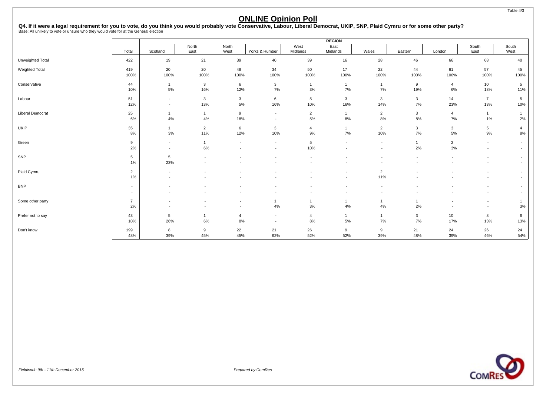# Q4. If it were a legal requirement for you to vote, do you think you would probably vote Conservative, Labour, Liberal Democrat, UKIP, SNP, Plaid Cymru or for some other party?<br>Base: All unlikely to vote or unsure who they

|                         |                      |                                    |                       |                                                      |                                                      |                          | <b>REGION</b>            |                                    |                      |                        |                                                      |                                                      |
|-------------------------|----------------------|------------------------------------|-----------------------|------------------------------------------------------|------------------------------------------------------|--------------------------|--------------------------|------------------------------------|----------------------|------------------------|------------------------------------------------------|------------------------------------------------------|
|                         | Total                | Scotland                           | North<br>East         | North<br>West                                        | Yorks & Humber                                       | West<br>Midlands         | East<br>Midlands         | Wales                              | Eastern              | London                 | South<br>East                                        | South<br>West                                        |
| Unweighted Total        | 422                  | 19                                 | 21                    | 39                                                   | 40                                                   | 39                       | 16                       | 28                                 | 46                   | 66                     | 68                                                   | 40                                                   |
| Weighted Total          | 419<br>100%          | 20<br>100%                         | 20<br>100%            | 48<br>100%                                           | 34<br>100%                                           | 50<br>100%               | 17<br>100%               | 22<br>100%                         | 44<br>100%           | 61<br>100%             | 57<br>100%                                           | 45<br>100%                                           |
| Conservative            | 44<br>10%            | $\overline{1}$<br>$5\%$            | 3<br>16%              | 6<br>12%                                             | 3<br>7%                                              | $\mathbf{1}$<br>3%       | $\mathbf{1}$<br>7%       | $\overline{1}$<br>7%               | 9<br>19%             | $\overline{4}$<br>6%   | 10<br>18%                                            | 5<br>11%                                             |
| Labour                  | 51<br>12%            | $\sim$<br>$\overline{\phantom{a}}$ | 3<br>13%              | $\mathbf{3}$<br>5%                                   | 6<br>16%                                             | $5\overline{5}$<br>10%   | 3<br>16%                 | $\mathbf{3}$<br>14%                | 3<br>7%              | 14<br>23%              | $\overline{7}$<br>13%                                | 5<br>10%                                             |
| <b>Liberal Democrat</b> | 25<br>6%             | $\mathbf{1}$<br>4%                 | $\mathbf{1}$<br>4%    | 9<br>18%                                             | $\overline{\phantom{a}}$<br>$\overline{\phantom{a}}$ | $\overline{2}$<br>5%     | $\mathbf{1}$<br>8%       | $\overline{2}$<br>8%               | 3<br>8%              | $\overline{4}$<br>7%   | $\mathbf{1}$<br>$1\%$                                | $\overline{1}$<br>2%                                 |
| UKIP                    | 35<br>8%             | $\mathbf{1}$<br>$3%$               | $\overline{2}$<br>11% | 6<br>12%                                             | 3<br>10%                                             | 4<br>9%                  | $\mathbf{1}$<br>$7\%$    | $\overline{2}$<br>10%              | 3<br>7%              | $\mathbf{3}$<br>5%     | 5 <sub>5</sub><br>9%                                 | $\overline{4}$<br>8%                                 |
| Green                   | 9<br>2%              | $\sim$<br>$\sim$                   | $\mathbf{1}$<br>$6\%$ | $\overline{\phantom{a}}$<br>$\overline{\phantom{a}}$ | $\overline{\phantom{a}}$                             | 5<br>10%                 | $\overline{\phantom{a}}$ | $\sim$<br>$\overline{\phantom{a}}$ | $\mathbf{1}$<br>2%   | $\overline{2}$<br>$3%$ | $\sim$<br>$\overline{\phantom{a}}$                   | $\sim$<br>$\overline{\phantom{a}}$                   |
| SNP                     | 5<br>1%              | 5<br>23%                           |                       |                                                      |                                                      | $\blacksquare$           |                          | $\overline{\phantom{a}}$           |                      | $\blacksquare$         | $\overline{\phantom{a}}$                             | $\overline{\phantom{a}}$<br>$\overline{\phantom{a}}$ |
| Plaid Cymru             | $\overline{2}$<br>1% |                                    |                       |                                                      |                                                      |                          |                          | $\overline{2}$<br>11%              |                      |                        |                                                      | $\overline{\phantom{a}}$<br>$\overline{\phantom{a}}$ |
| <b>BNP</b>              | $\sim$<br>$\sim$     | $\overline{\phantom{a}}$           |                       |                                                      | $\overline{\phantom{a}}$                             | $\overline{\phantom{a}}$ | $\overline{\phantom{a}}$ | $\blacksquare$                     |                      |                        | $\sim$                                               | $\overline{\phantom{a}}$<br>$\overline{\phantom{a}}$ |
| Some other party        | $\overline{7}$<br>2% | $\overline{\phantom{a}}$           |                       | $\overline{\phantom{a}}$<br>$\overline{\phantom{a}}$ | -1<br>4%                                             | $\mathbf{1}$<br>3%       | $\mathbf{1}$<br>4%       | $\overline{1}$<br>4%               | $\overline{1}$<br>2% |                        | $\overline{\phantom{a}}$<br>$\overline{\phantom{a}}$ | 3%                                                   |
| Prefer not to say       | 43<br>10%            | 5<br>26%                           | $\mathbf{1}$<br>6%    | $\overline{4}$<br>8%                                 | $\overline{\phantom{a}}$<br>$\overline{\phantom{a}}$ | $\overline{4}$<br>8%     | $\mathbf{1}$<br>5%       | $\mathbf{1}$<br>7%                 | 3<br>7%              | 10<br>17%              | 8<br>13%                                             | 6<br>13%                                             |
| Don't know              | 199<br>48%           | 8<br>39%                           | 9<br>45%              | 22<br>45%                                            | 21<br>62%                                            | 26<br>52%                | 9<br>52%                 | 9<br>39%                           | 21<br>48%            | 24<br>39%              | 26<br>46%                                            | 24<br>54%                                            |

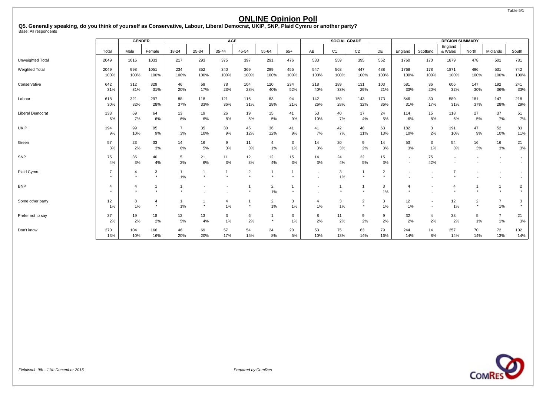**Q5. Generally speaking, do you think of yourself as Conservative, Labour, Liberal Democrat, UKIP, SNP, Plaid Cymru or another party?** Base: All respondents

|                         |                | <b>GENDER</b>  |                |                |             | <b>AGE</b>     |                |                |                |                          | <b>SOCIAL GRADE</b> |                |                |                          |                          | <b>REGION SUMMARY</b> |                |                          |                          |
|-------------------------|----------------|----------------|----------------|----------------|-------------|----------------|----------------|----------------|----------------|--------------------------|---------------------|----------------|----------------|--------------------------|--------------------------|-----------------------|----------------|--------------------------|--------------------------|
|                         | Total          | Male           | Female         | 18-24          | 25-34       | 35-44          | 45-54          | 55-64          | $65+$          | AB                       | C <sub>1</sub>      | C <sub>2</sub> | DE             | England                  | Scotland                 | England<br>& Wales    | North          | Midlands                 | South                    |
|                         |                |                |                |                |             |                |                |                |                |                          |                     |                |                |                          |                          |                       |                |                          |                          |
| Unweighted Total        | 2049           | 1016           | 1033           | 217            | 293         | 375            | 397            | 291            | 476            | 533                      | 559                 | 395            | 562            | 1760                     | 170                      | 1879                  | 478            | 501                      | 781                      |
| <b>Weighted Total</b>   | 2049<br>100%   | 998<br>100%    | 1051<br>100%   | 234<br>100%    | 352<br>100% | 340<br>100%    | 369<br>100%    | 299<br>100%    | 455<br>100%    | 547<br>100%              | 568<br>100%         | 447<br>100%    | 488<br>100%    | 1768<br>100%             | 178<br>100%              | 1871<br>100%          | 496<br>100%    | 531<br>100%              | 742<br>100%              |
|                         |                |                |                |                |             |                |                |                |                |                          |                     |                |                |                          |                          |                       |                |                          |                          |
| Conservative            | 642<br>31%     | 312<br>31%     | 329<br>31%     | 46<br>20%      | 59<br>17%   | 78<br>23%      | 104<br>28%     | 120<br>40%     | 234<br>52%     | 218<br>40%               | 189<br>33%          | 131<br>29%     | 103<br>21%     | 581<br>33%               | 36<br>20%                | 606<br>32%            | 147<br>30%     | 192<br>36%               | 241<br>33%               |
| Labour                  | 618            | 321            | 297            | 88             | 118         | 121            | 116            | 83             | 94             | 142                      | 159                 | 143            | 173            | 546                      | 30                       | 589                   | 181            | 147                      | 218                      |
|                         | 30%            | 32%            | 28%            | 37%            | 33%         | 36%            | 31%            | 28%            | 21%            | 26%                      | 28%                 | 32%            | 36%            | 31%                      | 17%                      | 31%                   | 37%            | 28%                      | 29%                      |
| <b>Liberal Democrat</b> | 133            | 69             | 64             | 13             | 19          | 26             | 19             | 15             | 41             | 53                       | 40                  | 17             | 24             | 114                      | 15                       | 118                   | 27             | 37                       | 51                       |
|                         | 6%             | 7%             | 6%             | 6%             | 6%          | 8%             | 5%             | 5%             | 9%             | 10%                      | 7%                  | 4%             | 5%             | 6%                       | 8%                       | 6%                    | 5%             | 7%                       | 7%                       |
| UKIP                    | 194            | 99             | 95             | $\overline{7}$ | 35          | 30             | 45             | 36             | 41             | 41                       | 42                  | 48             | 63             | 182                      | 3                        | 191                   | 47             | 52                       | 83                       |
|                         | 9%             | 10%            | 9%             | 3%             | 10%         | 9%             | 12%            | 12%            | 9%             | 7%                       | 7%                  | 11%            | 13%            | 10%                      | 2%                       | 10%                   | 9%             | 10%                      | 11%                      |
| Green                   | 57             | 23             | 33             | 14             | 16          | 9              | 11             | $\overline{a}$ | 3              | 14                       | 20                  | 9              | 14             | 53                       | 3                        | 54                    | 16             | 16                       | 21                       |
|                         | 3%             | 2%             | 3%             | 6%             | 5%          | 3%             | 3%             | 1%             | 1%             | 3%                       | 3%                  | 2%             | 3%             | 3%                       | 1%                       | 3%                    | 3%             | 3%                       | 3%                       |
| SNP                     | 75             | 35             | 40             | 5              | 21          | 11             | 12             | 12             | 15             | 14                       | 24                  | 22             | 15             | $\overline{\phantom{a}}$ | 75                       |                       |                | $\overline{\phantom{a}}$ | $\overline{\phantom{a}}$ |
|                         | 4%             | 3%             | 4%             | 2%             | 6%          | 3%             | 3%             | 4%             | 3%             | 3%                       | 4%                  | 5%             | 3%             | $\overline{\phantom{a}}$ | 42%                      |                       |                |                          | $\overline{\phantom{a}}$ |
| Plaid Cymru             | $\overline{7}$ | 4              | 3              | $\mathbf{1}$   |             |                | $\overline{2}$ |                | $\overline{1}$ | $\overline{\phantom{a}}$ | 3                   | $\overline{1}$ | $\overline{2}$ |                          |                          | $\overline{7}$        |                |                          |                          |
|                         | $\star$        |                | $\star$        | 1%             | $\star$     |                |                |                | $\star$        |                          | 1%                  | $\star$        | $\star$        |                          |                          |                       |                |                          |                          |
| <b>BNP</b>              | 4              | $\overline{4}$ | 1              | $\mathbf{1}$   |             |                |                | $\overline{2}$ | $\overline{1}$ |                          |                     | $\overline{1}$ | 3              | $\overline{4}$           |                          | $\overline{4}$        |                |                          | $\overline{2}$           |
|                         | ٠              |                | $\star$        |                |             |                |                | $1\%$          | $\star$        |                          |                     | $\star$        | 1%             |                          |                          |                       |                |                          |                          |
| Some other party        | 12             | 8              | $\overline{4}$ | $\overline{1}$ | 1           | $\overline{4}$ |                | $\overline{2}$ | 3              | 4                        | 3                   | $\overline{2}$ | 3              | 12                       | $\overline{\phantom{a}}$ | 12                    | $\overline{2}$ | $\overline{7}$           | 3                        |
|                         | 1%             | 1%             | $\star$        | 1%             | $\star$     | 1%             |                | 1%             | 1%             | 1%                       | 1%                  | $\star$        | 1%             | 1%                       | $\overline{\phantom{a}}$ | 1%                    | $\star$        | 1%                       |                          |
| Prefer not to say       | 37             | 19             | 18             | 12             | 13          | 3              | 6              |                | 3              | 8                        | 11                  | 9              | 9              | 32                       | 4                        | 33                    | 5              | $\overline{7}$           | 21                       |
|                         | 2%             | 2%             | 2%             | 5%             | 4%          | 1%             | 2%             | $\star$        | 1%             | 2%                       | 2%                  | 2%             | 2%             | 2%                       | 2%                       | 2%                    | $1\%$          | $1\%$                    | 3%                       |
| Don't know              | 270            | 104            | 166            | 46             | 69          | 57             | 54             | 24             | 20             | 53                       | 75                  | 63             | 79             | 244                      | 14                       | 257                   | 70             | 72                       | 102                      |
|                         | 13%            | 10%            | 16%            | 20%            | 20%         | 17%            | 15%            | 8%             | 5%             | 10%                      | 13%                 | 14%            | 16%            | 14%                      | 8%                       | 14%                   | 14%            | 13%                      | 14%                      |

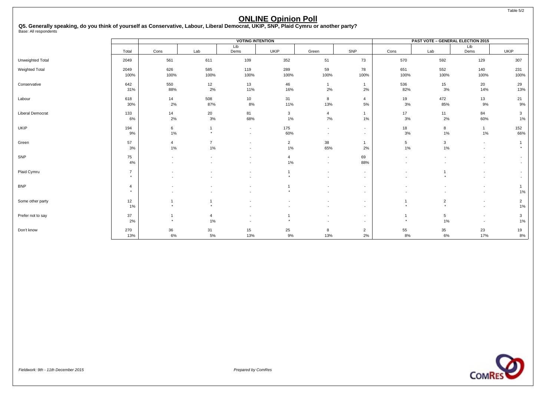Table 5/2

### **ONLINE Opinion Poll**

**Q5. Generally speaking, do you think of yourself as Conservative, Labour, Liberal Democrat, UKIP, SNP, Plaid Cymru or another party?** Base: All respondents

|                         |                           |                          |                      | <b>VOTING INTENTION</b>                    |                         |                                                      |                                                      |                           | <b>PAST VOTE - GENERAL ELECTION 2015</b> |                                                      |                                            |
|-------------------------|---------------------------|--------------------------|----------------------|--------------------------------------------|-------------------------|------------------------------------------------------|------------------------------------------------------|---------------------------|------------------------------------------|------------------------------------------------------|--------------------------------------------|
|                         | Total                     | Cons                     | Lab                  | Lib<br>Dems                                | <b>UKIP</b>             | Green                                                | SNP                                                  | Cons                      | Lab                                      | Lib<br>Dems                                          | <b>UKIP</b>                                |
| Unweighted Total        | 2049                      | 561                      | 611                  | 109                                        | 352                     | 51                                                   | 73                                                   | 570                       | 592                                      | 129                                                  | 307                                        |
| <b>Weighted Total</b>   | 2049<br>100%              | 626<br>100%              | 585<br>100%          | 119<br>100%                                | 289<br>100%             | 59<br>100%                                           | 78<br>100%                                           | 651<br>100%               | 552<br>100%                              | 140<br>100%                                          | 231<br>100%                                |
| Conservative            | 642<br>31%                | 550<br>88%               | 12<br>2%             | 13<br>11%                                  | 46<br>16%               | $\mathbf{1}$<br>2%                                   | $\overline{1}$<br>2%                                 | 536<br>82%                | 15<br>3%                                 | 20<br>14%                                            | 29<br>13%                                  |
| Labour                  | 618<br>30%                | 14<br>2%                 | 508<br>87%           | 10<br>8%                                   | 31<br>11%               | 8<br>13%                                             | $\overline{4}$<br>5%                                 | 19<br>3%                  | 472<br>85%                               | 13<br>9%                                             | 21<br>9%                                   |
| <b>Liberal Democrat</b> | 133<br>6%                 | 14<br>2%                 | 20<br>3%             | 81<br>68%                                  | $\mathbf{3}$<br>1%      | $\overline{4}$<br>7%                                 | $\overline{1}$<br>1%                                 | 17<br>3%                  | 11<br>2%                                 | 84<br>60%                                            | 3<br>1%                                    |
| UKIP                    | 194<br>9%                 | 6<br>$1\%$               | 1<br>$\star$         | $\sim$<br>$\sim$                           | 175<br>60%              | $\overline{\phantom{a}}$<br>$\overline{\phantom{a}}$ | $\sim$<br>$\sim$                                     | 18<br>3%                  | 8<br>1%                                  | $\mathbf{1}$<br>$1\%$                                | 152<br>66%                                 |
| Green                   | 57<br>3%                  | $\overline{4}$<br>$1\%$  | $\overline{7}$<br>1% | $\overline{\phantom{a}}$                   | $\overline{2}$<br>$1\%$ | 38<br>65%                                            | $\overline{1}$<br>2%                                 | 5<br>1%                   | 3<br>1%                                  | $\sim$<br>$\overline{\phantom{a}}$                   | $\overline{\mathbf{1}}$<br>$\star$         |
| SNP                     | 75<br>4%                  | $\overline{\phantom{a}}$ |                      | $\overline{\phantom{a}}$                   | $\overline{4}$<br>1%    | $\sim$<br>$\overline{\phantom{a}}$                   | 69<br>88%                                            | $\overline{\phantom{a}}$  | $\overline{\phantom{a}}$                 | $\overline{\phantom{a}}$                             | $\sim$<br>$\sim$                           |
| Plaid Cymru             | $\overline{7}$<br>$\star$ |                          |                      |                                            | $\star$                 | $\overline{\phantom{a}}$<br>$\overline{\phantom{a}}$ | $\sim$<br>$\overline{a}$                             |                           |                                          |                                                      | $\overline{\phantom{a}}$<br>$\overline{a}$ |
| <b>BNP</b>              | $\overline{4}$<br>$\star$ |                          |                      |                                            |                         | $\overline{\phantom{a}}$                             | $\overline{\phantom{a}}$<br>$\overline{\phantom{a}}$ |                           |                                          | $\overline{\phantom{a}}$                             | $\overline{1}$<br>1%                       |
| Some other party        | 12<br>$1\%$               |                          | $\star$              |                                            |                         |                                                      | $\overline{a}$<br>$\overline{\phantom{a}}$           | $\ddot{}$                 | $\overline{2}$<br>$\rightarrow$          | $\overline{\phantom{a}}$<br>$\overline{\phantom{a}}$ | $\overline{2}$<br>1%                       |
| Prefer not to say       | 37<br>2%                  | $\ddot{\phantom{1}}$     | $\overline{4}$<br>1% | $\overline{a}$<br>$\overline{\phantom{a}}$ |                         | $\overline{\phantom{a}}$                             | $\overline{a}$<br>$\sim$                             | $\overline{1}$<br>$\star$ | 5<br>1%                                  | $\overline{\phantom{a}}$<br>$\overline{\phantom{a}}$ | 3<br>1%                                    |
| Don't know              | 270<br>13%                | 36<br>6%                 | 31<br>5%             | 15<br>13%                                  | 25<br>9%                | 8<br>13%                                             | $\overline{2}$<br>2%                                 | 55<br>8%                  | 35<br>6%                                 | 23<br>17%                                            | 19<br>8%                                   |

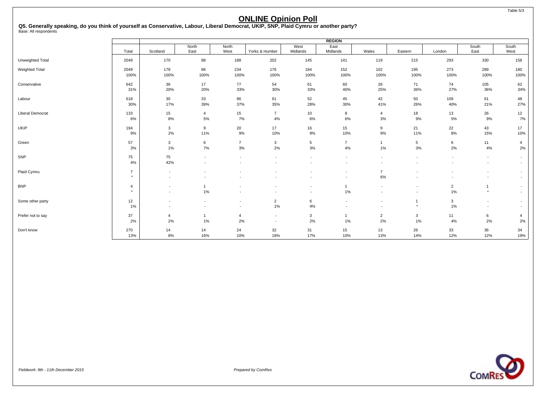Table 5/3

### **ONLINE Opinion Poll**

**Q5. Generally speaking, do you think of yourself as Conservative, Labour, Liberal Democrat, UKIP, SNP, Plaid Cymru or another party?** Base: All respondents

|                         |                |                          |                |                          |                          |                          | <b>REGION</b>            |                          |                          |                          |                          |                          |
|-------------------------|----------------|--------------------------|----------------|--------------------------|--------------------------|--------------------------|--------------------------|--------------------------|--------------------------|--------------------------|--------------------------|--------------------------|
|                         |                |                          | North          | North                    |                          | West                     | East                     |                          |                          |                          | South                    | South                    |
|                         | Total          | Scotland                 | East           | West                     | Yorks & Humber           | Midlands                 | Midlands                 | Wales                    | Eastern                  | London                   | East                     | West                     |
| Unweighted Total        | 2049           | 170                      | 88             | 188                      | 202                      | 145                      | 141                      | 119                      | 215                      | 293                      | 330                      | 158                      |
| <b>Weighted Total</b>   | 2049           | 178                      | 86             | 234                      | 176                      | 184                      | 152                      | 102                      | 195                      | 273                      | 289                      | 180                      |
|                         | 100%           | 100%                     | 100%           | 100%                     | 100%                     | 100%                     | 100%                     | 100%                     | 100%                     | 100%                     | 100%                     | 100%                     |
| Conservative            | 642            | 36                       | 17             | 77                       | 54                       | 61                       | 60                       | 26                       | 71                       | 74                       | 105                      | 62                       |
|                         | 31%            | 20%                      | 20%            | 33%                      | 30%                      | 33%                      | 40%                      | 25%                      | 36%                      | 27%                      | 36%                      | 34%                      |
| Labour                  | 618            | 30                       | 33             | 86                       | 61                       | 52                       | 45                       | 42                       | 50                       | 109                      | 61                       | 48                       |
|                         | 30%            | 17%                      | 39%            | 37%                      | 35%                      | 28%                      | 30%                      | 41%                      | 26%                      | 40%                      | 21%                      | 27%                      |
| <b>Liberal Democrat</b> | 133            | 15                       | $\overline{4}$ | 15                       | $\overline{7}$           | 10                       | 8                        | $\overline{4}$           | 18                       | 13                       | 26                       | 12                       |
|                         | 6%             | 8%                       | $5\%$          | 7%                       | 4%                       | 6%                       | 6%                       | 3%                       | 9%                       | 5%                       | 9%                       | 7%                       |
| UKIP                    | 194            | $\mathbf{3}$             | 9              | 20                       | 17                       | 16                       | 15                       | 9                        | 21                       | 22                       | 43                       | 17                       |
|                         | 9%             | 2%                       | 11%            | 9%                       | 10%                      | 9%                       | 10%                      | 9%                       | 11%                      | 8%                       | 15%                      | 10%                      |
| Green                   | 57             | $\mathbf{3}$             | 6              | $\overline{7}$           | 3                        | 5                        | $\overline{7}$           | $\mathbf{1}$             | 5                        | 6                        | 11                       | 4                        |
|                         | 3%             | $1\%$                    | 7%             | 3%                       | 2%                       | 3%                       | 4%                       | 1%                       | 3%                       | 2%                       | 4%                       | 2%                       |
| SNP                     | 75             | 75                       |                | $\overline{\phantom{a}}$ |                          | $\overline{\phantom{a}}$ |                          | $\blacksquare$           | $\overline{\phantom{a}}$ | $\overline{\phantom{a}}$ | $\overline{\phantom{a}}$ | $\overline{\phantom{a}}$ |
|                         | 4%             | 42%                      |                |                          |                          | $\blacksquare$           |                          | $\overline{\phantom{a}}$ |                          | $\blacksquare$           | $\overline{a}$           | $\overline{\phantom{a}}$ |
| Plaid Cymru             | $\overline{7}$ | ٠                        |                |                          |                          |                          |                          | $\overline{7}$           |                          |                          |                          | $\overline{\phantom{a}}$ |
|                         | $\star$        | $\blacksquare$           |                | $\blacksquare$           |                          | $\blacksquare$           | $\overline{\phantom{a}}$ | 6%                       |                          | $\overline{\phantom{a}}$ | $\overline{\phantom{a}}$ | $\blacksquare$           |
| <b>BNP</b>              | 4              | $\overline{\phantom{a}}$ |                |                          |                          | $\blacksquare$           |                          | $\overline{\phantom{a}}$ |                          | $\overline{2}$           |                          | $\overline{\phantom{a}}$ |
|                         | $\star$        | $\overline{\phantom{a}}$ | 1%             | $\overline{\phantom{a}}$ |                          | $\overline{\phantom{a}}$ | $1\%$                    | $\overline{\phantom{a}}$ | $\overline{\phantom{a}}$ | 1%                       | $\star$                  | $\overline{\phantom{a}}$ |
| Some other party        | 12             | $\overline{\phantom{a}}$ |                | $\overline{\phantom{a}}$ | $\overline{2}$           | 6                        |                          | $\overline{\phantom{a}}$ | 1                        | $\mathbf{3}$             | $\overline{\phantom{a}}$ | $\overline{\phantom{a}}$ |
|                         | 1%             | $\blacksquare$           |                | $\overline{\phantom{a}}$ | 1%                       | 4%                       |                          | $\blacksquare$           | $\star$                  | 1%                       | $\overline{\phantom{a}}$ | $\overline{\phantom{a}}$ |
| Prefer not to say       | 37             | 4                        | -1             | $\overline{4}$           | $\overline{\phantom{a}}$ | 3                        | 1                        | $\overline{2}$           | 3                        | 11                       | 6                        | $\overline{4}$           |
|                         | 2%             | 2%                       | 1%             | 2%                       | $\overline{\phantom{a}}$ | 2%                       | 1%                       | 2%                       | 1%                       | 4%                       | 2%                       | 2%                       |
| Don't know              | 270            | 14                       | 14             | 24                       | 32                       | 31                       | 15                       | 13                       | 26                       | 33                       | 36                       | 34                       |
|                         | 13%            | 8%                       | 16%            | 10%                      | 18%                      | 17%                      | 10%                      | 13%                      | 14%                      | 12%                      | 12%                      | 19%                      |

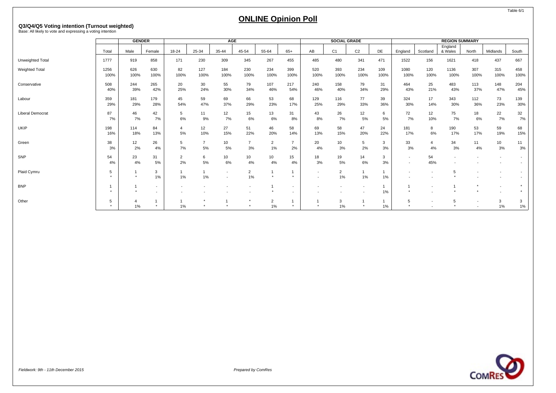# **Q3/Q4/Q5 Voting intention (Turnout weighted)** Base: All likely to vote and expressing a voting intention

|                         |       | <b>GENDER</b> |                          |                |                | <b>AGE</b> |                 |       |                          |      | <b>SOCIAL GRADE</b> |                |       |         |                          | <b>REGION SUMMARY</b> |       |          |       |
|-------------------------|-------|---------------|--------------------------|----------------|----------------|------------|-----------------|-------|--------------------------|------|---------------------|----------------|-------|---------|--------------------------|-----------------------|-------|----------|-------|
|                         | Total | Male          | Female                   | 18-24          | 25-34          | 35-44      | 45-54           |       | $65+$                    | AB   | C <sub>1</sub>      | C <sub>2</sub> | DE    |         | Scotland                 | England<br>& Wales    | North | Midlands |       |
|                         |       |               |                          |                |                |            |                 | 55-64 |                          |      |                     |                |       | England |                          |                       |       |          | South |
| Unweighted Total        | 1777  | 919           | 858                      | 171            | 230            | 309        | 345             | 267   | 455                      | 485  | 480                 | 341            | 471   | 1522    | 156                      | 1621                  | 418   | 437      | 667   |
| Weighted Total          | 1256  | 626           | 630                      | 82             | 127            | 184        | 230             | 234   | 399                      | 520  | 393                 | 234            | 109   | 1080    | 120                      | 1136                  | 307   | 315      | 458   |
|                         | 100%  | 100%          | 100%                     | 100%           | 100%           | 100%       | 100%            | 100%  | 100%                     | 100% | 100%                | 100%           | 100%  | 100%    | 100%                     | 100%                  | 100%  | 100%     | 100%  |
| Conservative            | 508   | 244           | 265                      | 20             | 30             | 55         | 79              | 107   | 217                      | 240  | 158                 | 79             | 31    | 464     | 25                       | 483                   | 113   | 148      | 204   |
|                         | 40%   | 39%           | 42%                      | 25%            | 24%            | 30%        | 34%             | 46%   | 54%                      | 46%  | 40%                 | 34%            | 29%   | 43%     | 21%                      | 43%                   | 37%   | 47%      | 45%   |
| Labour                  | 359   | 181           | 179                      | 45             | 59             | 69         | 66              | 53    | 68                       | 129  | 116                 | 77             | 39    | 324     | 17                       | 343                   | 112   | 73       | 139   |
|                         | 29%   | 29%           | 28%                      | 54%            | 47%            | 37%        | 29%             | 23%   | 17%                      | 25%  | 29%                 | 33%            | 36%   | 30%     | 14%                      | 30%                   | 36%   | 23%      | 30%   |
| <b>Liberal Democrat</b> | 87    | 46            | 42                       | 5              | 11             | 12         | 15              | 13    | 31                       | 43   | 26                  | 12             | 6     | 72      | 12                       | 75                    | 18    | 22       | 32    |
|                         | 7%    | 7%            | 7%                       | 6%             | 9%             | 7%         | 6%              | 6%    | 8%                       | 8%   | 7%                  | 5%             | 5%    | 7%      | 10%                      | 7%                    | 6%    | 7%       | 7%    |
| <b>UKIP</b>             | 198   | 114           | 84                       | 4              | 12             | 27         | 51              | 46    | 58                       | 69   | 58                  | 47             | 24    | 181     | 8                        | 190                   | 53    | 59       | 68    |
|                         | 16%   | 18%           | 13%                      | 5%             | 10%            | 15%        | 22%             | 20%   | 14%                      | 13%  | 15%                 | 20%            | 22%   | 17%     | 6%                       | 17%                   | 17%   | 19%      | 15%   |
| Green                   | 38    | 12            | 26                       | 5              | $\overline{7}$ | 10         | $\overline{7}$  | 2     | $\overline{7}$           | 20   | 10                  | 5              | 3     | 33      | $\overline{a}$           | 34                    | 11    | 10       | 11    |
|                         | 3%    | 2%            | 4%                       | 7%             | 5%             | 5%         | 3%              | 1%    | 2%                       | 4%   | 3%                  | 2%             | 3%    | 3%      | 4%                       | 3%                    | 4%    | 3%       | 3%    |
| SNP                     | 54    | 23            | 31                       | $\overline{2}$ | 6              | 10         | 10 <sup>1</sup> | 10    | 15                       | 18   | 19                  | 14             | 3     | $\sim$  | 54                       |                       |       |          |       |
|                         | 4%    | 4%            | 5%                       | 2%             | 5%             | 6%         | 4%              | 4%    | 4%                       | 3%   | 5%                  | 6%             | 3%    |         | 45%                      |                       |       |          |       |
| Plaid Cymru             | 5     |               | 3                        |                |                |            | $\overline{2}$  |       |                          |      | $\overline{2}$      |                |       |         |                          |                       |       |          |       |
|                         |       |               | 1%                       | 1%             | 1%             |            | $1\%$           |       | $\star$                  |      | 1%                  | 1%             | 1%    |         |                          |                       |       |          |       |
| <b>BNP</b>              |       |               | $\sim$                   |                |                |            |                 |       | $\overline{\phantom{a}}$ |      |                     |                |       |         | $\overline{\phantom{a}}$ |                       |       | $\sim$   |       |
|                         |       |               | $\overline{\phantom{a}}$ |                |                |            |                 |       | $\overline{\phantom{a}}$ |      |                     |                | $1\%$ |         |                          |                       |       |          |       |
| Other                   | 5     | 4             |                          |                |                |            |                 | 2     | $\mathbf{1}$             |      | 3                   |                |       | 5       |                          | 5                     |       | 3        | 3     |
|                         |       | 1%            |                          | 1%             |                |            |                 | 1%    | $\star$                  |      | 1%                  |                | $1\%$ |         |                          |                       |       | $1\%$    | $1\%$ |

Table 6/1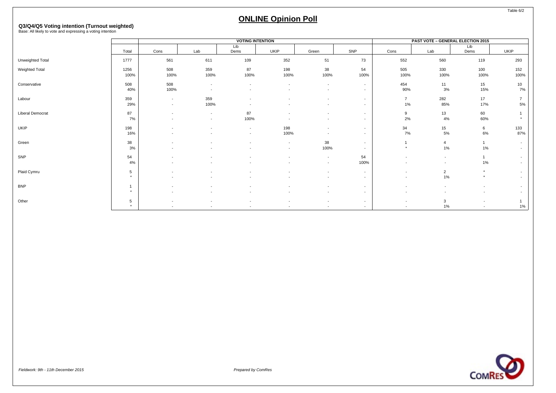# **Q3/Q4/Q5 Voting intention (Turnout weighted)** Base: All likely to vote and expressing a voting intention

|                         |                      |                          |                          | <b>VOTING INTENTION</b>  |                          |                          |        |                          | <b>PAST VOTE - GENERAL ELECTION 2015</b> |         |                          |
|-------------------------|----------------------|--------------------------|--------------------------|--------------------------|--------------------------|--------------------------|--------|--------------------------|------------------------------------------|---------|--------------------------|
|                         | Total                |                          |                          | Lib<br>Dems              |                          |                          | SNP    |                          |                                          | Lib     |                          |
|                         |                      | Cons                     | Lab                      |                          | UKIP                     | Green                    |        | Cons                     | Lab                                      | Dems    | <b>UKIP</b>              |
| Unweighted Total        | 1777                 | 561                      | 611                      | 109                      | 352                      | 51                       | 73     | 552                      | 560                                      | 119     | 293                      |
| Weighted Total          | 1256                 | 508                      | 359                      | 87                       | 198                      | 38                       | 54     | 505                      | 330                                      | 100     | 152                      |
|                         | 100%                 | 100%                     | 100%                     | 100%                     | 100%                     | 100%                     | 100%   | 100%                     | 100%                                     | 100%    | 100%                     |
| Conservative            | 508                  | 508                      | $\overline{\phantom{a}}$ |                          | $\overline{\phantom{a}}$ | $\overline{\phantom{a}}$ | $\sim$ | 454                      | 11                                       | 15      | 10                       |
|                         | 40%                  | 100%                     | $\overline{\phantom{a}}$ |                          |                          | $\overline{\phantom{a}}$ | $\sim$ | 90%                      | 3%                                       | 15%     | 7%                       |
| Labour                  | 359                  | $\sim$                   | 359                      |                          |                          | $\overline{\phantom{a}}$ | $\sim$ | $\overline{7}$           | 282                                      | 17      | $\overline{7}$           |
|                         | 29%                  | $\overline{\phantom{a}}$ | 100%                     |                          |                          | $\overline{\phantom{a}}$ | $\sim$ | 1%                       | 85%                                      | 17%     | 5%                       |
| <b>Liberal Democrat</b> | 87                   | $\overline{\phantom{a}}$ | $\overline{\phantom{a}}$ | 87                       |                          | $\overline{\phantom{a}}$ | $\sim$ | 9                        | 13                                       | 60      |                          |
|                         | 7%                   |                          | $\overline{\phantom{a}}$ | 100%                     |                          |                          | $\sim$ | 2%                       | 4%                                       | 60%     |                          |
| UKIP                    | 198                  | $\overline{\phantom{a}}$ | $\overline{\phantom{a}}$ | $\overline{\phantom{a}}$ | 198                      | $\overline{\phantom{a}}$ | $\sim$ | 34                       | 15                                       | 6       | 133                      |
|                         | 16%                  |                          |                          | $\overline{\phantom{a}}$ | 100%                     |                          | $\sim$ | 7%                       | 5%                                       | 6%      | 87%                      |
| Green                   | 38                   | $\overline{\phantom{a}}$ |                          |                          | $\overline{a}$           | 38                       | $\sim$ |                          | $\overline{4}$                           |         | $\overline{\phantom{a}}$ |
|                         | 3%                   |                          |                          |                          | $\overline{\phantom{a}}$ | 100%                     | $\sim$ | $\rightarrow$            | 1%                                       | $1\%$   | $\overline{\phantom{a}}$ |
| SNP                     | 54                   | $\sim$                   | $\overline{\phantom{a}}$ |                          |                          | $\overline{\phantom{a}}$ | 54     |                          | $\overline{\phantom{a}}$                 |         | $\overline{\phantom{a}}$ |
|                         | 4%                   |                          |                          |                          |                          | $\overline{\phantom{a}}$ | 100%   |                          | $\overline{\phantom{a}}$                 | $1\%$   | $\overline{\phantom{a}}$ |
| Plaid Cymru             | 5                    |                          |                          |                          |                          | $\overline{\phantom{a}}$ | $\sim$ | $\overline{\phantom{a}}$ | $\overline{2}$                           | $\star$ |                          |
|                         | $\ddot{\phantom{1}}$ |                          |                          |                          |                          | $\overline{\phantom{a}}$ | $\sim$ | $\overline{\phantom{a}}$ | 1%                                       | $\star$ | $\overline{\phantom{a}}$ |
| <b>BNP</b>              |                      | $\overline{\phantom{a}}$ | $\overline{\phantom{a}}$ |                          |                          | $\overline{\phantom{a}}$ | $\sim$ | $\overline{\phantom{a}}$ | $\overline{\phantom{a}}$                 |         | $\overline{\phantom{a}}$ |
|                         | $\star$              |                          |                          |                          |                          | $\overline{\phantom{a}}$ | $\sim$ |                          |                                          |         | $\overline{\phantom{a}}$ |
| Other                   | 5                    | $\overline{\phantom{a}}$ | $\overline{\phantom{a}}$ |                          | $\overline{\phantom{a}}$ | $\overline{\phantom{a}}$ | $\sim$ | $\overline{\phantom{a}}$ | 3                                        |         |                          |
|                         | $\star$              |                          |                          |                          |                          |                          | $\sim$ |                          | 1%                                       |         | 1%                       |

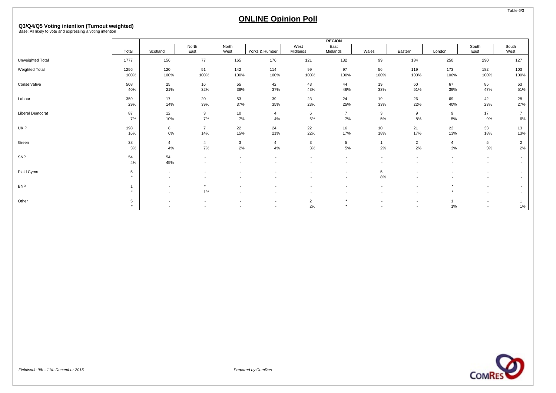# **Q3/Q4/Q5 Voting intention (Turnout weighted)** Base: All likely to vote and expressing a voting intention

|                  |              |                                    |                                                      |                                                      |                                    |                      | <b>REGION</b>                                        |                                            |                                                      |                          |                                                      |                                    |
|------------------|--------------|------------------------------------|------------------------------------------------------|------------------------------------------------------|------------------------------------|----------------------|------------------------------------------------------|--------------------------------------------|------------------------------------------------------|--------------------------|------------------------------------------------------|------------------------------------|
|                  | Total        | Scotland                           | North<br>East                                        | North<br>West                                        | Yorks & Humber                     | West<br>Midlands     | East<br>Midlands                                     | Wales                                      | Eastern                                              | London                   | South<br>East                                        | South<br>West                      |
| Unweighted Total | 1777         | 156                                | 77                                                   | 165                                                  | 176                                | 121                  | 132                                                  | 99                                         | 184                                                  | 250                      | 290                                                  | 127                                |
| Weighted Total   | 1256<br>100% | 120<br>100%                        | 51<br>100%                                           | 142<br>100%                                          | 114<br>100%                        | 99<br>100%           | 97<br>100%                                           | 56<br>100%                                 | 119<br>100%                                          | 173<br>100%              | 182<br>100%                                          | 103<br>100%                        |
| Conservative     | 508<br>40%   | 25<br>21%                          | 16<br>32%                                            | 55<br>38%                                            | 42<br>37%                          | 43<br>43%            | 44<br>46%                                            | 19<br>33%                                  | 60<br>51%                                            | 67<br>39%                | 85<br>47%                                            | 53<br>51%                          |
| Labour           | 359<br>29%   | 17<br>14%                          | 20<br>39%                                            | 53<br>37%                                            | 39<br>35%                          | 23<br>23%            | 24<br>25%                                            | 19<br>33%                                  | 26<br>22%                                            | 69<br>40%                | 42<br>23%                                            | 28<br>27%                          |
| Liberal Democrat | 87<br>7%     | 12<br>10%                          | $\mathbf{3}$<br>7%                                   | 10<br>7%                                             | $\overline{4}$<br>4%               | 6<br>6%              | $\overline{7}$<br>7%                                 | 3<br>5%                                    | 9<br>8%                                              | 9<br>5%                  | 17<br>9%                                             | $\overline{7}$<br>6%               |
| <b>UKIP</b>      | 198<br>16%   | 8<br>6%                            | $\overline{7}$<br>14%                                | 22<br>15%                                            | 24<br>21%                          | 22<br>22%            | 16<br>17%                                            | 10<br>18%                                  | 21<br>17%                                            | 22<br>13%                | 33<br>18%                                            | 13<br>13%                          |
| Green            | 38<br>3%     | $\overline{4}$<br>4%               | $\overline{4}$<br>7%                                 | $\mathbf{3}$<br>2%                                   | $\overline{4}$<br>4%               | $\mathbf{3}$<br>3%   | $5\phantom{.0}$<br>5%                                | $\mathbf{1}$<br>2%                         | $\overline{2}$<br>2%                                 | $\overline{4}$<br>3%     | 5<br>3%                                              | $\overline{2}$<br>2%               |
| SNP              | 54<br>4%     | 54<br>45%                          | $\overline{\phantom{a}}$                             | ٠                                                    |                                    |                      | ٠                                                    | $\overline{\phantom{a}}$                   |                                                      | $\overline{\phantom{a}}$ | $\overline{\phantom{a}}$<br>$\overline{\phantom{a}}$ | $\overline{\phantom{a}}$<br>$\sim$ |
| Plaid Cymru      | 5<br>$\star$ | $\sim$                             | $\overline{\phantom{a}}$<br>$\overline{\phantom{a}}$ | ٠                                                    |                                    |                      | $\overline{\phantom{a}}$<br>$\overline{\phantom{a}}$ | 5<br>8%                                    |                                                      |                          | $\overline{\phantom{a}}$<br>$\overline{\phantom{a}}$ | $\sim$<br>$\overline{\phantom{a}}$ |
| <b>BNP</b>       | $\star$      | $\sim$<br>$\overline{\phantom{a}}$ | $^\star$<br>1%                                       | $\sim$<br>$\overline{\phantom{a}}$                   |                                    |                      | $\overline{\phantom{a}}$<br>$\overline{\phantom{a}}$ | $\sim$<br>$\overline{\phantom{a}}$         |                                                      | $\star$<br>$\star$       | $\overline{\phantom{a}}$<br>$\overline{\phantom{a}}$ | $\overline{a}$<br>$\sim$           |
| Other            | 5<br>$\star$ | $\overline{\phantom{a}}$           | $\overline{\phantom{a}}$<br>$\sim$                   | $\overline{\phantom{a}}$<br>$\overline{\phantom{a}}$ | $\overline{\phantom{a}}$<br>$\sim$ | $\overline{2}$<br>2% | $\star$<br>$^\star$                                  | $\overline{\phantom{a}}$<br>$\overline{a}$ | $\overline{\phantom{a}}$<br>$\overline{\phantom{a}}$ | 1%                       | $\overline{\phantom{a}}$<br>$\overline{\phantom{a}}$ | 1%                                 |



Table 6/3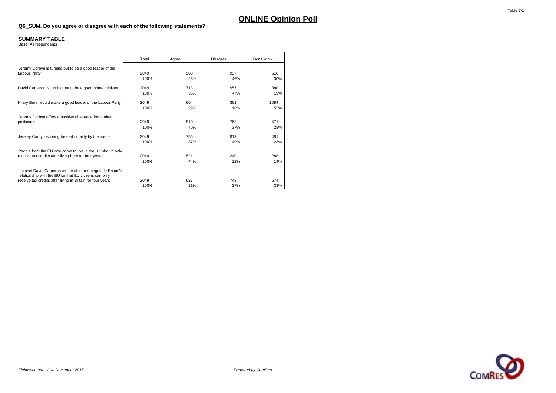#### **Q6\_SUM. Do you agree or disagree with each of the following statements?**

#### **SUMMARY TABLE**

Base: All respondents

|                                                                                                                       | Total        | Agree      | Disagree   | Don't know |
|-----------------------------------------------------------------------------------------------------------------------|--------------|------------|------------|------------|
| Jeremy Corbyn is turning out to be a good leader of the<br>Labour Party                                               | 2049         | 503        | 937        | 610        |
|                                                                                                                       | 100%         | 25%        | 46%        | 30%        |
| David Cameron is turning out to be a good prime minister                                                              | 2049<br>100% | 713<br>35% | 957<br>47% | 380<br>19% |
|                                                                                                                       |              |            |            |            |
| Hilary Benn would make a good leader of the Labour Party                                                              | 2049         | 604        | 361        | 1084       |
|                                                                                                                       | 100%         | 29%        | 18%        | 53%        |
| Jeremy Corbyn offers a positive difference from other                                                                 |              |            |            |            |
| politicians                                                                                                           | 2049         | 810        | 768        | 471        |
|                                                                                                                       | 100%         | 40%        | 37%        | 23%        |
| Jeremy Corbyn is being treated unfairly by the media                                                                  | 2049         | 755        | 813        | 481        |
|                                                                                                                       | 100%         | 37%        | 40%        | 23%        |
| People from the EU who come to live in the UK should only                                                             |              |            |            |            |
| receive tax credits after living here for four years                                                                  | 2049         | 1521       | 240        | 288        |
|                                                                                                                       | 100%         | 74%        | 12%        | 14%        |
| I expect David Cameron will be able to renegotiate Britain's<br>relationship with the EU so that EU citizens can only |              |            |            |            |
| receive tax credits after living in Britain for four years                                                            | 2049         | 627        | 748        | 674        |
|                                                                                                                       | 100%         | 31%        | 37%        | 33%        |



Table 7/1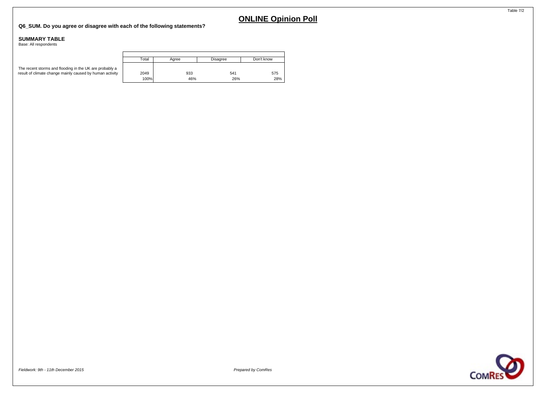#### **Q6\_SUM. Do you agree or disagree with each of the following statements?**

#### **SUMMARY TABLE**

Base: All respondents

|                                                                                                                     | Total | Aaree | Disagree | Don't know |
|---------------------------------------------------------------------------------------------------------------------|-------|-------|----------|------------|
| The recent storms and flooding in the UK are probably a<br>result of climate change mainly caused by human activity | 2049  | 933   | 541      | 575        |
|                                                                                                                     | 100%  | 46%   | 26%      | 28%        |

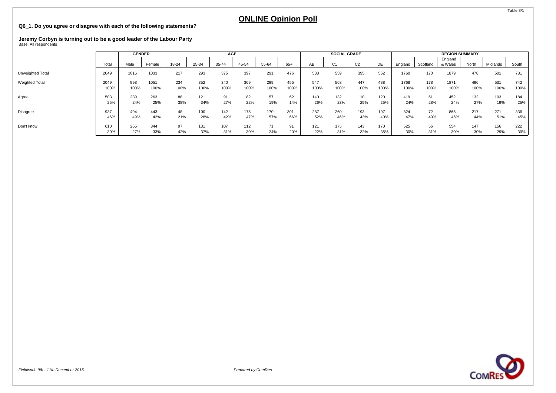#### **Q6\_1. Do you agree or disagree with each of the following statements?**

# **Jeremy Corbyn is turning out to be a good leader of the Labour Party** Base: All respondents

|                       |       | <b>GENDER</b> |        |       |       | AGE   |       |       |      |      | <b>SOCIAL GRADE</b> |                |      |         |          | <b>REGION SUMMARY</b> |       |          |       |
|-----------------------|-------|---------------|--------|-------|-------|-------|-------|-------|------|------|---------------------|----------------|------|---------|----------|-----------------------|-------|----------|-------|
|                       | Total | Male          | Female | 18-24 | 25-34 | 35-44 | 45-54 | 55-64 | 65+  | AB   | C <sub>1</sub>      | C <sub>2</sub> | DE   | England | Scotland | England<br>& Wales    | North | Midlands | South |
| Unweighted Total      | 2049  | 1016          | 1033   | 217   | 293   | 375   | 397   | 291   | 476  | 533  | 559                 | 395            | 562  | 1760    | 170      | 1879                  | 478   | 501      | 781   |
| <b>Weighted Total</b> | 2049  | 998           | 1051   | 234   | 352   | 340   | 369   | 299   | 455  | 547  | 568                 | 447            | 488  | 1768    | 178      | 1871                  | 496   | 531      | 742   |
|                       | 100%  | 100%          | 100%   | 100%  | 100%  | 100%  | 100%  | 100%  | 100% | 100% | 100%                | 100%           | 100% | 100%    | 100%     | 100%                  | 100%  | 100%     | 100%  |
| Agree                 | 503   | 239           | 263    | 88    | 121   | 91    | 82    | 57    | 62   | 140  | 132                 | 110            | 120  | 419     | 51       | 452                   | 132   | 103      | 184   |
|                       | 25%   | 24%           | 25%    | 38%   | 34%   | 27%   | 22%   | 19%   | 14%  | 26%  | 23%                 | 25%            | 25%  | 24%     | 28%      | 24%                   | 27%   | 19%      | 25%   |
| Disagree              | 937   | 494           | 443    | 48    | 100   | 142   | 175   | 170   | 301  | 287  | 260                 | 193            | 197  | 824     | 72       | 865                   | 217   | 271      | 336   |
|                       | 46%   | 49%           | 42%    | 21%   | 28%   | 42%   | 47%   | 57%   | 66%  | 52%  | 46%                 | 43%            | 40%  | 47%     | 40%      | 46%                   | 44%   | 51%      | 45%   |
| Don't know            | 610   | 265           | 344    | 97    | 131   | 107   | 112   | 71    | 91   | 121  | 175                 | 143            | 170  | 525     | 56       | 554                   | 147   | 156      | 222   |
|                       | 30%   | 27%           | 33%    | 42%   | 37%   | 31%   | 30%   | 24%   | 20%  | 22%  | 31%                 | 32%            | 35%  | 30%     | 31%      | 30%                   | 30%   | 29%      | 30%   |



Table 8/1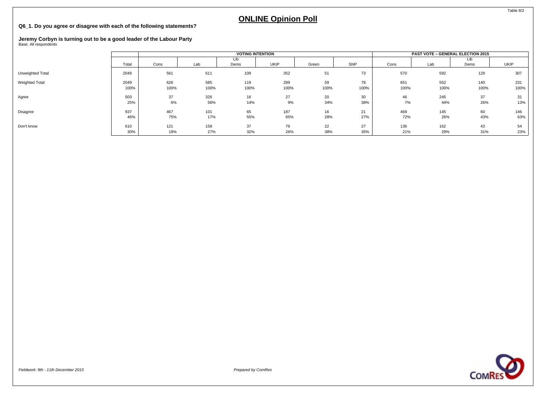#### **Q6\_1. Do you agree or disagree with each of the following statements?**

### **Jeremy Corbyn is turning out to be a good leader of the Labour Party** Base: All respondents

|                       |       |      |      | <b>VOTING INTENTION</b> |             |       |      |      | <b>PAST VOTE - GENERAL ELECTION 2015</b> |      |      |
|-----------------------|-------|------|------|-------------------------|-------------|-------|------|------|------------------------------------------|------|------|
|                       | Total |      |      | Lib                     | <b>UKIP</b> |       | SNP  | Cons |                                          | Lib  | UKIP |
|                       |       | Cons | Lab  | Dems                    |             | Green |      |      | Lab                                      | Dems |      |
| Unweighted Total      | 2049  | 561  | 611  | 109                     | 352         | 51    | 73   | 570  | 592                                      | 129  | 307  |
| <b>Weighted Total</b> | 2049  | 626  | 585  | 119                     | 289         | 59    | 78   | 651  | 552                                      | 140  | 231  |
|                       | 100%  | 100% | 100% | 100%                    | 100%        | 100%  | 100% | 100% | 100%                                     | 100% | 100% |
| Agree                 | 503   | 37   | 326  | 16                      | 27          | 20    | 30   | 46   | 245                                      | 37   | 31   |
|                       | 25%   | 6%   | 56%  | 14%                     | 9%          | 34%   | 38%  | 7%   | 44%                                      | 26%  | 13%  |
| Disagree              | 937   | 467  | 101  | 65                      | 187         | 16    | 21   | 469  | 145                                      | 60   | 146  |
|                       | 46%   | 75%  | 17%  | 55%                     | 65%         | 28%   | 27%  | 72%  | 26%                                      | 43%  | 63%  |
| Don't know            | 610   | 121  | 158  | 37                      | 76          | 22    | 27   | 136  | 162                                      | 43   | 54   |
|                       | 30%   | 19%  | 27%  | 32%                     | 26%         | 38%   | 35%  | 21%  | 29%                                      | 31%  | 23%  |



Fieldwork: 9th - 11th December 2015 Prepared by ComRes

Table 8/2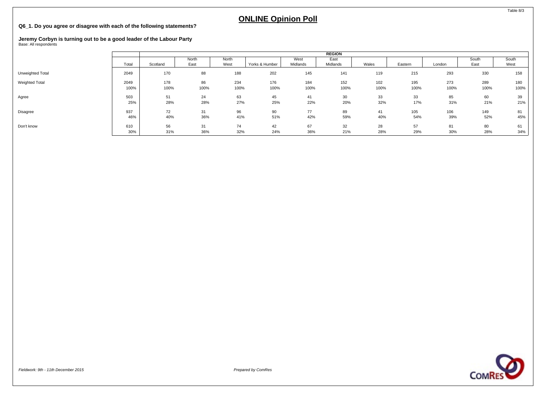#### **Q6\_1. Do you agree or disagree with each of the following statements?**

### **Jeremy Corbyn is turning out to be a good leader of the Labour Party** Base: All respondents

|                  |       |          |       |       |                |          | <b>REGION</b> |       |         |        |       |       |
|------------------|-------|----------|-------|-------|----------------|----------|---------------|-------|---------|--------|-------|-------|
|                  |       |          | North | North |                | West     | East          |       |         |        | South | South |
|                  | Total | Scotland | East  | West  | Yorks & Humber | Midlands | Midlands      | Wales | Eastern | London | East  | West  |
| Unweighted Total | 2049  | 170      | 88    | 188   | 202            | 145      | 141           | 119   | 215     | 293    | 330   | 158   |
| Weighted Total   | 2049  | 178      | 86    | 234   | 176            | 184      | 152           | 102   | 195     | 273    | 289   | 180   |
|                  | 100%  | 100%     | 100%  | 100%  | 100%           | 100%     | 100%          | 100%  | 100%    | 100%   | 100%  | 100%  |
| Agree            | 503   | 51       | 24    | 63    | 45             | 41       | 30            | 33    | 33      | 85     | 60    | 39    |
|                  | 25%   | 28%      | 28%   | 27%   | 25%            | 22%      | 20%           | 32%   | 17%     | 31%    | 21%   | 21%   |
| Disagree         | 937   | 72       | 31    | 96    | 90             | 77       | 89            | 41    | 105     | 106    | 149   | 81    |
|                  | 46%   | 40%      | 36%   | 41%   | 51%            | 42%      | 59%           | 40%   | 54%     | 39%    | 52%   | 45%   |
| Don't know       | 610   | 56       | 31    | 74    | 42             | 67       | 32            | 28    | 57      | 81     | 80    | 61    |
|                  | 30%   | 31%      | 36%   | 32%   | 24%            | 36%      | 21%           | 28%   | 29%     | 30%    | 28%   | 34%   |

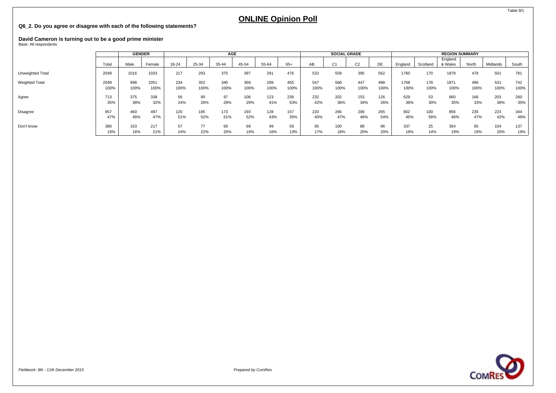#### **Q6\_2. Do you agree or disagree with each of the following statements?**

# **David Cameron is turning out to be a good prime minister** Base: All respondents

|                  |              | <b>GENDER</b> |              |             |             | <b>AGE</b>  |             |             |             |             |              | <b>SOCIAL GRADE</b> |             |              |             | <b>REGION SUMMARY</b> |             |             |             |
|------------------|--------------|---------------|--------------|-------------|-------------|-------------|-------------|-------------|-------------|-------------|--------------|---------------------|-------------|--------------|-------------|-----------------------|-------------|-------------|-------------|
|                  | Total        | Male          | Female       | 18-24       | 25-34       | 35-44       | 45-54       | 55-64       | 65+         | AВ          | $\sim$<br>U1 | C <sub>2</sub>      | DE          | England      | Scotland    | England<br>& Wales    | North       | Midlands    | South       |
| Unweighted Total | 2049         | 1016          | 1033         | 217         | 293         | 375         | 397         | 291         | 476         | 533         | 559          | 395                 | 562         | 1760         | 170         | 1879                  | 478         | 501         | 781         |
| Weighted Total   | 2049<br>100% | 998<br>100%   | 1051<br>100% | 234<br>100% | 352<br>100% | 340<br>100% | 369<br>100% | 299<br>100% | 455<br>100% | 547<br>100% | 568<br>100%  | 447<br>100%         | 488<br>100% | 1768<br>100% | 178<br>100% | 1871<br>100%          | 496<br>100% | 531<br>100% | 742<br>100% |
| Agree            | 713<br>35%   | 375<br>38%    | 338<br>32%   | 56<br>24%   | 90<br>26%   | 97<br>29%   | 106<br>29%  | 123<br>41%  | 239<br>53%  | 232<br>42%  | 202<br>36%   | 153<br>34%          | 126<br>26%  | 629<br>36%   | 53<br>30%   | 660<br>35%            | 166<br>33%  | 203<br>38%  | 260<br>35%  |
| Disagree         | 957<br>47%   | 460<br>46%    | 497<br>47%   | 120<br>51%  | 185<br>52%  | 173<br>51%  | 193<br>52%  | 128<br>43%  | 157<br>35%  | 220<br>40%  | 266<br>47%   | 206<br>46%          | 265<br>54%  | 802<br>45%   | 100<br>56%  | 856<br>46%            | 235<br>47%  | 223<br>42%  | 344<br>46%  |
| Don't know       | 380<br>19%   | 163<br>16%    | 217<br>21%   | 57<br>24%   | 22%         | 69<br>20%   | 69<br>19%   | 49<br>16%   | 59<br>13%   | 95<br>17%   | 100<br>18%   | 88<br>20%           | 96<br>20%   | 337<br>19%   | 25<br>14%   | 354<br>19%            | 95<br>19%   | 104<br>20%  | 137<br>19%  |



Table 9/1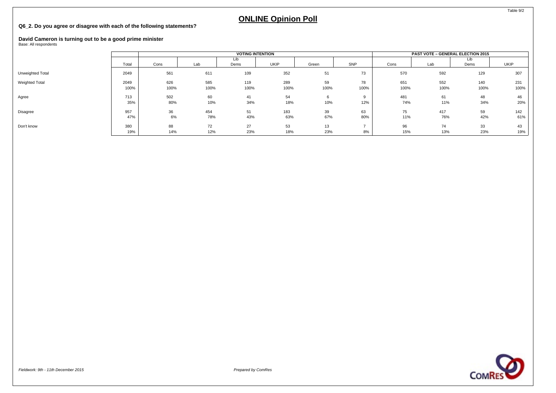#### **Q6\_2. Do you agree or disagree with each of the following statements?**

### **David Cameron is turning out to be a good prime minister** Base: All respondents

|                  |              |             |             | <b>VOTING INTENTION</b> |             |            |            |             | <b>PAST VOTE - GENERAL ELECTION 2015</b> |             |             |
|------------------|--------------|-------------|-------------|-------------------------|-------------|------------|------------|-------------|------------------------------------------|-------------|-------------|
|                  | Total        | Cons        | Lab         | Dems                    | <b>UKIP</b> | Green      | SNP        | Cons        | Lab                                      | Lib<br>Dems | <b>UKIP</b> |
| Unweighted Total | 2049         | 561         | 611         | 109                     | 352         | 51         | 73         | 570         | 592                                      | 129         | 307         |
| Weighted Total   | 2049<br>100% | 626<br>100% | 585<br>100% | 119<br>100%             | 289<br>100% | 59<br>100% | 78<br>100% | 651<br>100% | 552<br>100%                              | 140<br>100% | 231<br>100% |
| Agree            | 713<br>35%   | 502<br>80%  | 60<br>10%   | 41<br>34%               | 54<br>18%   | 6<br>10%   | 12%        | 481<br>74%  | 61<br>11%                                | 48<br>34%   | 46<br>20%   |
| Disagree         | 957<br>47%   | 36<br>6%    | 454<br>78%  | 51<br>43%               | 183<br>63%  | 39<br>67%  | 63<br>80%  | 75<br>11%   | 417<br>76%                               | 59<br>42%   | 142<br>61%  |
| Don't know       | 380<br>19%   | 88<br>14%   | 72<br>12%   | 27<br>23%               | 53<br>18%   | 13<br>23%  | 8%         | 96<br>15%   | 74<br>13%                                | 33<br>23%   | 43<br>19%   |

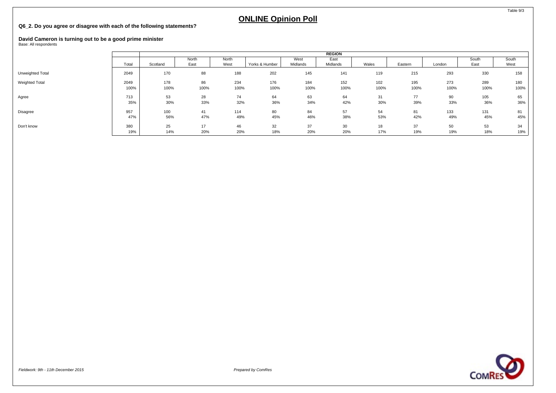#### **Q6\_2. Do you agree or disagree with each of the following statements?**

### **David Cameron is turning out to be a good prime minister** Base: All respondents

|                  |       |          |       |       |                |          | <b>REGION</b> |       |         |        |       |       |
|------------------|-------|----------|-------|-------|----------------|----------|---------------|-------|---------|--------|-------|-------|
|                  |       |          | North | North |                | West     | East          |       |         |        | South | South |
|                  | Total | Scotland | East  | West  | Yorks & Humber | Midlands | Midlands      | Wales | Eastern | London | East  | West  |
| Unweighted Total | 2049  | 170      | 88    | 188   | 202            | 145      | 141           | 119   | 215     | 293    | 330   | 158   |
| Weighted Total   | 2049  | 178      | 86    | 234   | 176            | 184      | 152           | 102   | 195     | 273    | 289   | 180   |
|                  | 100%  | 100%     | 100%  | 100%  | 100%           | 100%     | 100%          | 100%  | 100%    | 100%   | 100%  | 100%  |
| Agree            | 713   | 53       | 28    | 74    | 64             | 63       | 64            | 31    | 77      | 90     | 105   | 65    |
|                  | 35%   | 30%      | 33%   | 32%   | 36%            | 34%      | 42%           | 30%   | 39%     | 33%    | 36%   | 36%   |
| Disagree         | 957   | 100      | 41    | 114   | 80             | 84       | 57            | 54    | 81      | 133    | 131   | 81    |
|                  | 47%   | 56%      | 47%   | 49%   | 45%            | 46%      | 38%           | 53%   | 42%     | 49%    | 45%   | 45%   |
| Don't know       | 380   | 25       | 17    | 46    | 32             | 37       | 30            | 18    | 37      | 50     | 53    | 34    |
|                  | 19%   | 14%      | 20%   | 20%   | 18%            | 20%      | 20%           | 17%   | 19%     | 19%    | 18%   | 19%   |

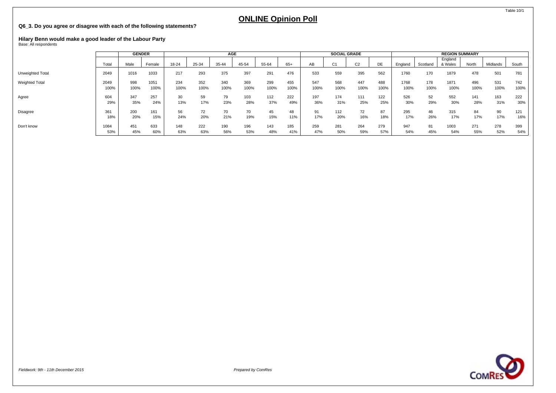#### **Q6\_3. Do you agree or disagree with each of the following statements?**

# **Hilary Benn would make a good leader of the Labour Party** Base: All respondents

|                  |       | <b>GENDER</b> |        |       |       | AGE   |       |       |       |      | <b>SOCIAL GRADE</b> |                |      |         |          | <b>REGION SUMMARY</b> |       |          |       |
|------------------|-------|---------------|--------|-------|-------|-------|-------|-------|-------|------|---------------------|----------------|------|---------|----------|-----------------------|-------|----------|-------|
|                  | Total | Male          | Female | 18-24 | 25-34 | 35-44 | 45-54 | 55-64 | $65+$ | AB   | C <sub>1</sub>      | C <sub>2</sub> | DE   | England | Scotland | England<br>& Wales    | North | Midlands | South |
| Unweighted Total | 2049  | 1016          | 1033   | 217   | 293   | 375   | 397   | 291   | 476   | 533  | 559                 | 395            | 562  | 1760    | 170      | 1879                  | 478   | 501      | 781   |
| Weighted Total   | 2049  | 998           | 1051   | 234   | 352   | 340   | 369   | 299   | 455   | 547  | 568                 | 447            | 488  | 1768    | 178      | 1871                  | 496   | 531      | 742   |
|                  | 100%  | 100%          | 100%   | 100%  | 100%  | 100%  | 100%  | 100%  | 100%  | 100% | 100%                | 100%           | 100% | 100%    | 100%     | 100%                  | 100%  | 100%     | 100%  |
| Agree            | 604   | 347           | 257    | 30    | 59    | 79    | 103   | 112   | 222   | 197  | 174                 | 111            | 122  | 526     | 52       | 552                   | 141   | 163      | 222   |
|                  | 29%   | 35%           | 24%    | 13%   | 17%   | 23%   | 28%   | 37%   | 49%   | 36%  | 31%                 | 25%            | 25%  | 30%     | 29%      | 30%                   | 28%   | 31%      | 30%   |
| Disagree         | 361   | 200           | 161    | 56    | 72    | 70    | 70    | 45    | 48    | 91   | 112                 | 72             | 87   | 295     | 46       | 315                   | 84    | 90       | 121   |
|                  | 18%   | 20%           | 15%    | 24%   | 20%   | 21%   | 19%   | 15%   | 11%   | 17%  | 20%                 | 16%            | 18%  | 17%     | 26%      | 17%                   | 17%   | 17%      | 16%   |
| Don't know       | 1084  | 451           | 633    | 148   | 222   | 190   | 196   | 143   | 185   | 259  | 281                 | 264            | 279  | 947     | 81       | 1003                  | 271   | 278      | 399   |
|                  | 53%   | 45%           | 60%    | 63%   | 63%   | 56%   | 53%   | 48%   | 41%   | 47%  | 50%                 | 59%            | 57%  | 54%     | 45%      | 54%                   | 55%   | 52%      | 54%   |

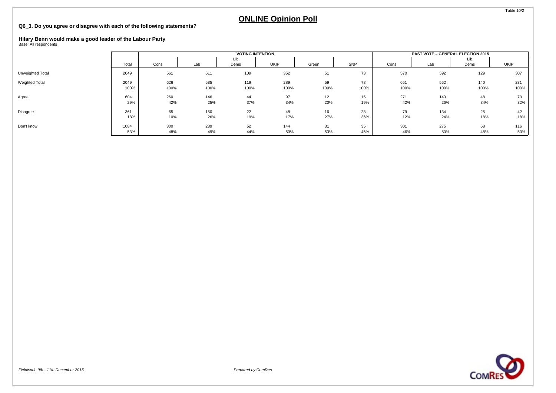#### **Q6\_3. Do you agree or disagree with each of the following statements?**

# **Hilary Benn would make a good leader of the Labour Party** Base: All respondents

|                       |       |      |      | <b>VOTING INTENTION</b> |      |       |      |      | <b>PAST VOTE - GENERAL ELECTION 2015</b> |             |             |
|-----------------------|-------|------|------|-------------------------|------|-------|------|------|------------------------------------------|-------------|-------------|
|                       | Total | Cons | Lab  | Lib<br>Dems             | UKIP | Green | SNP  | Cons | Lab                                      | Lib<br>Dems | <b>UKIP</b> |
| Unweighted Total      | 2049  | 561  | 611  | 109                     | 352  | 51    | 73   | 570  | 592                                      | 129         | 307         |
| <b>Weighted Total</b> | 2049  | 626  | 585  | 119                     | 289  | 59    | 78   | 651  | 552                                      | 140         | 231         |
|                       | 100%  | 100% | 100% | 100%                    | 100% | 100%  | 100% | 100% | 100%                                     | 100%        | 100%        |
| Agree                 | 604   | 260  | 146  | 44                      | 97   | 12    | 15   | 271  | 143                                      | 48          | 73          |
|                       | 29%   | 42%  | 25%  | 37%                     | 34%  | 20%   | 19%  | 42%  | 26%                                      | 34%         | 32%         |
| Disagree              | 361   | 65   | 150  | 22                      | 48   | 16    | 28   | 79   | 134                                      | 25          | 42          |
|                       | 18%   | 10%  | 26%  | 19%                     | 17%  | 27%   | 36%  | 12%  | 24%                                      | 18%         | 18%         |
| Don't know            | 1084  | 300  | 289  | 52                      | 144  | 31    | 35   | 301  | 275                                      | 68          | 116         |
|                       | 53%   | 48%  | 49%  | 44%                     | 50%  | 53%   | 45%  | 46%  | 50%                                      | 48%         | 50%         |



Table 10/2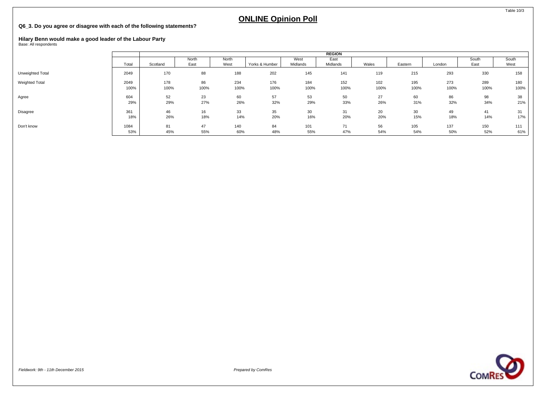#### **Q6\_3. Do you agree or disagree with each of the following statements?**

# **Hilary Benn would make a good leader of the Labour Party** Base: All respondents

|                  |       |          |       |       |                |          | <b>REGION</b> |       |         |        |       |       |
|------------------|-------|----------|-------|-------|----------------|----------|---------------|-------|---------|--------|-------|-------|
|                  |       |          | North | North |                | West     | East          |       |         |        | South | South |
|                  | Total | Scotland | East  | West  | Yorks & Humber | Midlands | Midlands      | Wales | Eastern | London | East  | West  |
| Unweighted Total | 2049  | 170      | 88    | 188   | 202            | 145      | 141           | 119   | 215     | 293    | 330   | 158   |
| Weighted Total   | 2049  | 178      | 86    | 234   | 176            | 184      | 152           | 102   | 195     | 273    | 289   | 180   |
|                  | 100%  | 100%     | 100%  | 100%  | 100%           | 100%     | 100%          | 100%  | 100%    | 100%   | 100%  | 100%  |
| Agree            | 604   | 52       | 23    | 60    | 57             | 53       | 50            | 27    | 60      | 86     | 98    | 38    |
|                  | 29%   | 29%      | 27%   | 26%   | 32%            | 29%      | 33%           | 26%   | 31%     | 32%    | 34%   | 21%   |
| Disagree         | 361   | 46       | 16    | 33    | 35             | 30       | 31            | 20    | 30      | 49     | 41    | 31    |
|                  | 18%   | 26%      | 18%   | 14%   | 20%            | 16%      | 20%           | 20%   | 15%     | 18%    | 14%   | 17%   |
| Don't know       | 1084  | 81       | 47    | 140   | 84             | 101      | 71            | 56    | 105     | 137    | 150   | 111   |
|                  | 53%   | 45%      | 55%   | 60%   | 48%            | 55%      | 47%           | 54%   | 54%     | 50%    | 52%   | 61%   |



Table 10/3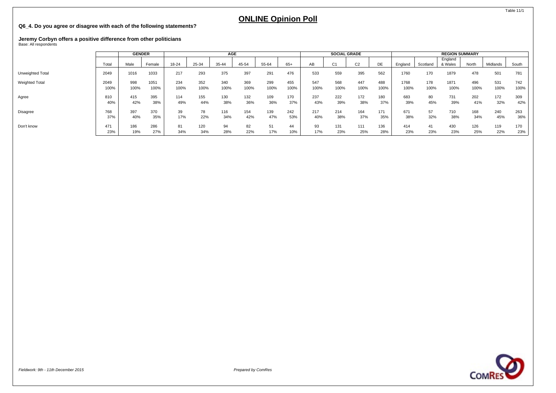#### **Q6\_4. Do you agree or disagree with each of the following statements?**

# **Jeremy Corbyn offers a positive difference from other politicians** Base: All respondents

|                       |              | <b>GENDER</b> |              |             |             | <b>AGE</b>  |             |             |             |             | <b>SOCIAL GRADE</b> |                |             |              |             | <b>REGION SUMMARY</b> |             |             |             |
|-----------------------|--------------|---------------|--------------|-------------|-------------|-------------|-------------|-------------|-------------|-------------|---------------------|----------------|-------------|--------------|-------------|-----------------------|-------------|-------------|-------------|
|                       | Total        | Male          | Female       | 18-24       | 25-34       | 35-44       | 45-54       | 55-64       | 65+         | AВ          | $\sim$              | C <sub>2</sub> | DE          | England      | Scotland    | England<br>& Wales    | North       | Midlands    | South       |
| Unweighted Total      | 2049         | 1016          | 1033         | 217         | 293         | 375         | 397         | 291         | 476         | 533         | 559                 | 395            | 562         | 1760         | 170         | 1879                  | 478         | 501         | 781         |
| <b>Weighted Total</b> | 2049<br>100% | 998<br>100%   | 1051<br>100% | 234<br>100% | 352<br>100% | 340<br>100% | 369<br>100% | 299<br>100% | 455<br>100% | 547<br>100% | 568<br>100%         | 447<br>100%    | 488<br>100% | 1768<br>100% | 178<br>100% | 1871<br>100%          | 496<br>100% | 531<br>100% | 742<br>100% |
| Agree                 | 810<br>40%   | 415<br>42%    | 395<br>38%   | 114<br>49%  | 155<br>44%  | 130<br>38%  | 132<br>36%  | 109<br>36%  | 170<br>37%  | 237<br>43%  | 222<br>39%          | 172<br>38%     | 180<br>37%  | 683<br>39%   | 80<br>45%   | 731<br>39%            | 202<br>41%  | 172<br>32%  | 309<br>42%  |
| Disagree              | 768<br>37%   | 397<br>40%    | 370<br>35%   | 39<br>17%   | 78<br>22%   | 116<br>34%  | 154<br>42%  | 139<br>47%  | 242<br>53%  | 217<br>40%  | 214<br>38%          | 164<br>37%     | 171<br>35%  | 671<br>38%   | 57<br>32%   | 710<br>38%            | 168<br>34%  | 240<br>45%  | 263<br>36%  |
| Don't know            | 471<br>23%   | 186<br>19%    | 286<br>27%   | 81<br>34%   | 120<br>34%  | 94<br>28%   | 82<br>22%   | 17%         | 44<br>10%   | 93<br>17%   | 131<br>23%          | 111<br>25%     | 136<br>28%  | 414<br>23%   | 41<br>23%   | 430<br>23%            | 126<br>25%  | 119<br>22%  | 170<br>23%  |



Table 11/1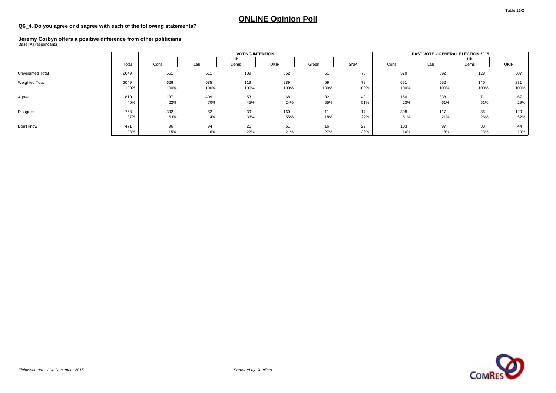#### **Q6\_4. Do you agree or disagree with each of the following statements?**

## **Jeremy Corbyn offers a positive difference from other politicians** Base: All respondents

|                       |       |      |      | <b>VOTING INTENTION</b> |      |       |      |      | <b>PAST VOTE - GENERAL ELECTION 2015</b> |             |             |
|-----------------------|-------|------|------|-------------------------|------|-------|------|------|------------------------------------------|-------------|-------------|
|                       | Total | Cons | Lab  | Lib<br>Dems             | UKIP | Green | SNP  | Cons | Lab                                      | Lib<br>Dems | <b>UKIP</b> |
| Unweighted Total      | 2049  | 561  | 611  | 109                     | 352  | 51    | 73   | 570  | 592                                      | 129         | 307         |
| <b>Weighted Total</b> | 2049  | 626  | 585  | 119                     | 289  | 59    | 78   | 651  | 552                                      | 140         | 231         |
|                       | 100%  | 100% | 100% | 100%                    | 100% | 100%  | 100% | 100% | 100%                                     | 100%        | 100%        |
| Agree                 | 810   | 137  | 409  | 53                      | 68   | 32    | 40   | 150  | 338                                      | 71          | 67          |
|                       | 40%   | 22%  | 70%  | 45%                     | 24%  | 55%   | 51%  | 23%  | 61%                                      | 51%         | 29%         |
| Disagree              | 768   | 392  | 82   | 39                      | 160  | 11    | 17   | 398  | 117                                      | 36          | 120         |
|                       | 37%   | 63%  | 14%  | 33%                     | 55%  | 18%   | 22%  | 61%  | 21%                                      | 26%         | 52%         |
| Don't know            | 471   | 96   | 94   | 26                      | 61   | 16    | 22   | 103  | 97                                       | 33          | 44          |
|                       | 23%   | 15%  | 16%  | 22%                     | 21%  | 27%   | 28%  | 16%  | 18%                                      | 23%         | 19%         |



Table 11/2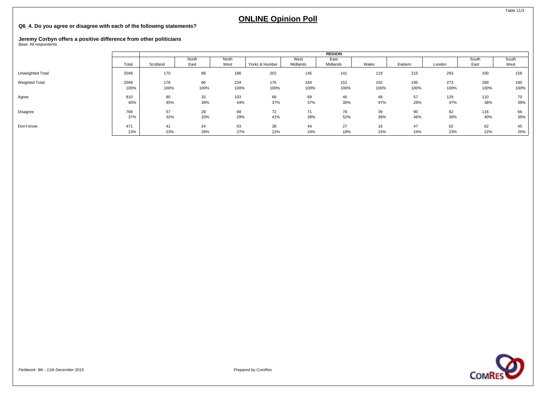#### **Q6\_4. Do you agree or disagree with each of the following statements?**

# **Jeremy Corbyn offers a positive difference from other politicians** Base: All respondents

|                  |       |          |       |       |                |          | <b>REGION</b> |       |         |        |       |       |
|------------------|-------|----------|-------|-------|----------------|----------|---------------|-------|---------|--------|-------|-------|
|                  |       |          | North | North |                | West     | East          |       |         |        | South | South |
|                  | Total | Scotland | East  | West  | Yorks & Humber | Midlands | Midlands      | Wales | Eastern | London | East  | West  |
| Unweighted Total | 2049  | 170      | 88    | 188   | 202            | 145      | 141           | 119   | 215     | 293    | 330   | 158   |
| Weighted Total   | 2049  | 178      | 86    | 234   | 176            | 184      | 152           | 102   | 195     | 273    | 289   | 180   |
|                  | 100%  | 100%     | 100%  | 100%  | 100%           | 100%     | 100%          | 100%  | 100%    | 100%   | 100%  | 100%  |
| Agree            | 810   | 80       | 33    | 103   | 66             | 69       | 46            | 48    | 57      | 129    | 110   | 70    |
|                  | 40%   | 45%      | 39%   | 44%   | 37%            | 37%      | 30%           | 47%   | 29%     | 47%    | 38%   | 39%   |
| Disagree         | 768   | 57       | 29    | 68    | 72             | 71       | 78            | 39    | 90      | 82     | 116   | 66    |
|                  | 37%   | 32%      | 33%   | 29%   | 41%            | 39%      | 52%           | 38%   | 46%     | 30%    | 40%   | 36%   |
| Don't know       | 471   | 41       | 24    | 63    | 38             | 44       | 27            | 16    | 47      | 62     | 62    | 45    |
|                  | 23%   | 23%      | 28%   | 27%   | 22%            | 24%      | 18%           | 15%   | 24%     | 23%    | 22%   | 25%   |



Table 11/3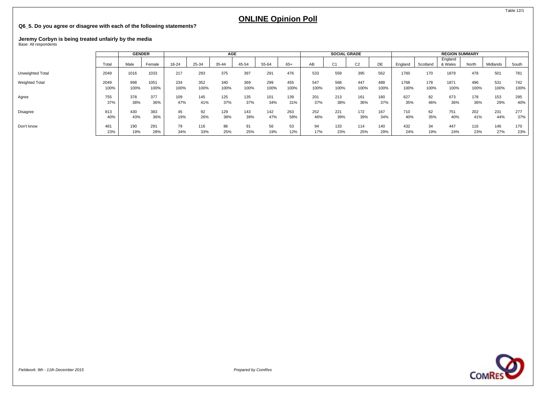#### **Q6\_5. Do you agree or disagree with each of the following statements?**

# **Jeremy Corbyn is being treated unfairly by the media** Base: All respondents

|                       |       | <b>GENDER</b> |        |       |       | AGE   |       |       |       |      |                | <b>SOCIAL GRADE</b> |      |         |          | <b>REGION SUMMARY</b> |       |          |       |
|-----------------------|-------|---------------|--------|-------|-------|-------|-------|-------|-------|------|----------------|---------------------|------|---------|----------|-----------------------|-------|----------|-------|
|                       | Total | Male          | Female | 18-24 | 25-34 | 35-44 | 45-54 | 55-64 | $65+$ | AB   | C <sub>1</sub> | $\sim$<br>UZ.       | DE   | England | Scotland | England<br>& Wales    | North | Midlands | South |
| Unweighted Total      | 2049  | 1016          | 1033   | 217   | 293   | 375   | 397   | 291   | 476   | 533  | 559            | 395                 | 562  | 1760    | 170      | 1879                  | 478   | 501      | 781   |
| <b>Weighted Total</b> | 2049  | 998           | 1051   | 234   | 352   | 340   | 369   | 299   | 455   | 547  | 568            | 447                 | 488  | 1768    | 178      | 1871                  | 496   | 531      | 742   |
|                       | 100%  | 100%          | 100%   | 100%  | 100%  | 100%  | 100%  | 100%  | 100%  | 100% | 100%           | 100%                | 100% | 100%    | 100%     | 100%                  | 100%  | 100%     | 100%  |
| Agree                 | 755   | 378           | 377    | 109   | 145   | 125   | 135   | 101   | 139   | 201  | 213            | 161                 | 180  | 627     | 82       | 673                   | 178   | 153      | 295   |
|                       | 37%   | 38%           | 36%    | 47%   | 41%   | 37%   | 37%   | 34%   | 31%   | 37%  | 38%            | 36%                 | 37%  | 35%     | 46%      | 36%                   | 36%   | 29%      | 40%   |
| Disagree              | 813   | 430           | 383    | 45    | 92    | 129   | 143   | 142   | 263   | 252  | 221            | 172                 | 167  | 710     | 62       | 751                   | 202   | 231      | 277   |
|                       | 40%   | 43%           | 36%    | 19%   | 26%   | 38%   | 39%   | 47%   | 58%   | 46%  | 39%            | 39%                 | 34%  | 40%     | 35%      | 40%                   | 41%   | 44%      | 37%   |
| Don't know            | 481   | 190           | 291    | 79    | 116   | 86    | 91    | 56    | 53    | 94   | 133            | 114                 | 140  | 432     | 34       | 447                   | 116   | 146      | 170   |
|                       | 23%   | 19%           | 28%    | 34%   | 33%   | 25%   | 25%   | 19%   | 12%   | 17%  | 23%            | 25%                 | 29%  | 24%     | 19%      | 24%                   | 23%   | 27%      | 23%   |

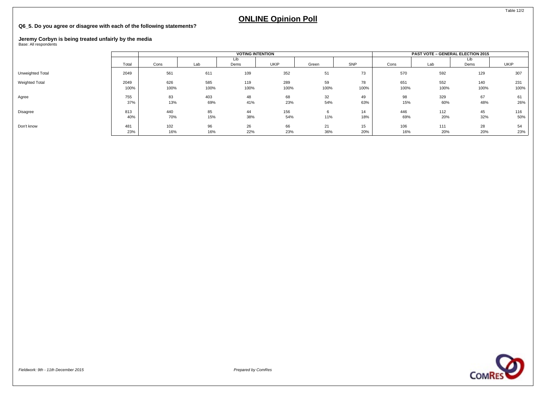### **Q6\_5. Do you agree or disagree with each of the following statements?**

## **Jeremy Corbyn is being treated unfairly by the media** Base: All respondents

|                  |              |             |             | <b>VOTING INTENTION</b> |             |            |            |             | <b>PAST VOTE - GENERAL ELECTION 2015</b> |             |             |
|------------------|--------------|-------------|-------------|-------------------------|-------------|------------|------------|-------------|------------------------------------------|-------------|-------------|
|                  | Total        | Cons        | Lab         | Lib<br>Dems             | <b>UKIP</b> | Green      | SNP        | Cons        | Lab                                      | Lib<br>Dems | <b>UKIP</b> |
| Unweighted Total | 2049         | 561         | 611         | 109                     | 352         | 51         | 73         | 570         | 592                                      | 129         | 307         |
| Weighted Total   | 2049<br>100% | 626<br>100% | 585<br>100% | 119<br>100%             | 289<br>100% | 59<br>100% | 78<br>100% | 651<br>100% | 552<br>100%                              | 140<br>100% | 231<br>100% |
| Agree            | 755<br>37%   | 83<br>13%   | 403<br>69%  | 48<br>41%               | 68<br>23%   | 32<br>54%  | 49<br>63%  | 98<br>15%   | 329<br>60%                               | 67<br>48%   | 61<br>26%   |
| Disagree         | 813<br>40%   | 440<br>70%  | 85<br>15%   | 44<br>38%               | 156<br>54%  | 11%        | 14<br>18%  | 446<br>69%  | 112<br>20%                               | 45<br>32%   | 116<br>50%  |
| Don't know       | 481<br>23%   | 102<br>16%  | 96<br>16%   | 26<br>22%               | 66<br>23%   | 21<br>36%  | 15<br>20%  | 106<br>16%  | 111<br>20%                               | 28<br>20%   | 54<br>23%   |



Table 12/2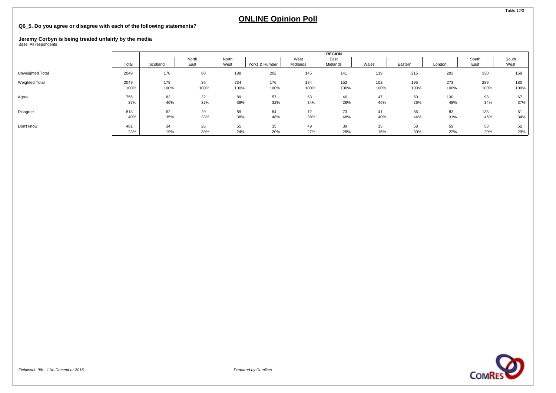### **Q6\_5. Do you agree or disagree with each of the following statements?**

# **Jeremy Corbyn is being treated unfairly by the media** Base: All respondents

|                  |       |          |               |               |                |                  | <b>REGION</b>    |       |         |        |               |               |
|------------------|-------|----------|---------------|---------------|----------------|------------------|------------------|-------|---------|--------|---------------|---------------|
|                  | Total | Scotland | North<br>East | North<br>West | Yorks & Humber | West<br>Midlands | East<br>Midlands | Wales | Eastern | London | South<br>East | South<br>West |
| Unweighted Total | 2049  | 170      | 88            | 188           | 202            | 145              | 141              | 119   | 215     | 293    | 330           | 158           |
| Weighted Total   | 2049  | 178      | 86            | 234           | 176            | 184              | 152              | 102   | 195     | 273    | 289           | 180           |
|                  | 100%  | 100%     | 100%          | 100%          | 100%           | 100%             | 100%             | 100%  | 100%    | 100%   | 100%          | 100%          |
| Agree            | 755   | 82       | 32            | 89            | 57             | 63               | 40               | 47    | 50      | 130    | 98            | 67            |
|                  | 37%   | 46%      | 37%           | 38%           | 32%            | 34%              | 26%              | 46%   | 26%     | 48%    | 34%           | 37%           |
| Disagree         | 813   | 62       | 29            | 89            | 84             | 72               | 73               | 41    | 86      | 83     | 133           | 61            |
|                  | 40%   | 35%      | 33%           | 38%           | 48%            | 39%              | 48%              | 40%   | 44%     | 31%    | 46%           | 34%           |
| Don't know       | 481   | 34       | 26            | 55            | 35             | 49               | 39               | 15    | 58      | 59     | 58            | 52            |
|                  | 23%   | 19%      | 30%           | 24%           | 20%            | 27%              | 26%              | 15%   | 30%     | 22%    | 20%           | 29%           |

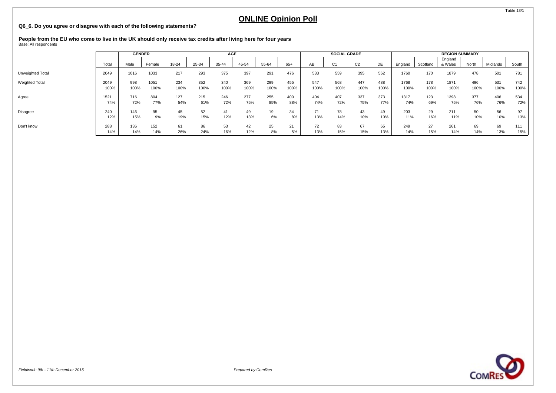### **Q6\_6. Do you agree or disagree with each of the following statements?**

**People from the EU who come to live in the UK should only receive tax credits after living here for four years** Base: All respondents

|                       |       | <b>GENDER</b> |        |       |       | AGE   |       |       |      |      | <b>SOCIAL GRADE</b> |                |      |         |          | <b>REGION SUMMARY</b> |       |          |       |
|-----------------------|-------|---------------|--------|-------|-------|-------|-------|-------|------|------|---------------------|----------------|------|---------|----------|-----------------------|-------|----------|-------|
|                       | Total | Male          | Female | 18-24 | 25-34 | 35-44 | 45-54 | 55-64 | 65+  | AB   | C <sub>1</sub>      | C <sub>2</sub> | DE   | England | Scotland | England<br>& Wales    | North | Midlands | South |
| Unweighted Total      | 2049  | 1016          | 1033   | 217   | 293   | 375   | 397   | 291   | 476  | 533  | 559                 | 395            | 562  | 1760    | 170      | 1879                  | 478   | 501      | 781   |
| <b>Weighted Total</b> | 2049  | 998           | 1051   | 234   | 352   | 340   | 369   | 299   | 455  | 547  | 568                 | 447            | 488  | 1768    | 178      | 1871                  | 496   | 531      | 742   |
|                       | 100%  | 100%          | 100%   | 100%  | 100%  | 100%  | 100%  | 100%  | 100% | 100% | 100%                | 100%           | 100% | 100%    | 100%     | 100%                  | 100%  | 100%     | 100%  |
| Agree                 | 1521  | 716           | 804    | 127   | 215   | 246   | 277   | 255   | 400  | 404  | 407                 | 337            | 373  | 1317    | 123      | 1398                  | 377   | 406      | 534   |
|                       | 74%   | 72%           | 77%    | 54%   | 61%   | 72%   | 75%   | 85%   | 88%  | 74%  | 72%                 | 75%            | 77%  | 74%     | 69%      | 75%                   | 76%   | 76%      | 72%   |
| Disagree              | 240   | 146           | 95     | 45    | 52    | 41    | 49    | 19    | 34   | 71   | 78                  | 43             | 49   | 203     | 29       | 211                   | 50    | 56       | 97    |
|                       | 12%   | 15%           | 9%     | 19%   | 15%   | 12%   | 13%   | 6%    | 8%   | 13%  | 14%                 | 10%            | 10%  | 11%     | 16%      | 11%                   | 10%   | 10%      | 13%   |
| Don't know            | 288   | 136           | 152    | 61    | 86    | 53    | 42    | 25    | 21   | 72   | 83                  | 67             | 65   | 249     | 27       | 261                   | 69    | 69       | 111   |
|                       | 14%   | 14%           | 14%    | 26%   | 24%   | 16%   | 12%   | 8%    | 5%   | 13%  | 15%                 | 15%            | 13%  | 14%     | 15%      | 14%                   | 14%   | 13%      | 15%   |

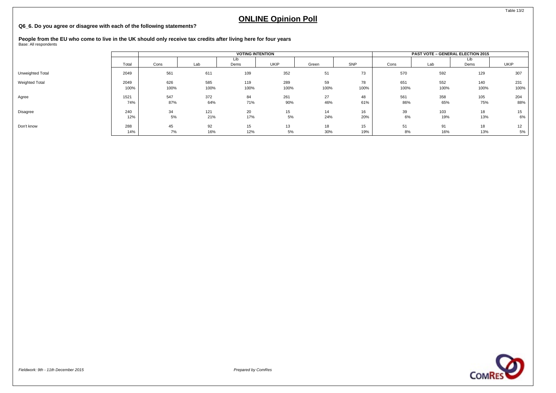### **Q6\_6. Do you agree or disagree with each of the following statements?**

**People from the EU who come to live in the UK should only receive tax credits after living here for four years** Base: All respondents

|                  |       |      |      |      | <b>VOTING INTENTION</b> |       |      |      | PAST VOTE - GENERAL ELECTION 2015 |             |             |
|------------------|-------|------|------|------|-------------------------|-------|------|------|-----------------------------------|-------------|-------------|
|                  | Total | Cons | Lab  | Dems | <b>UKIP</b>             | Green | SNP  | Cons | Lab                               | Lib<br>Dems | <b>UKIP</b> |
| Unweighted Total | 2049  | 561  | 611  | 109  | 352                     | 51    | 73   | 570  | 592                               | 129         | 307         |
| Weighted Total   | 2049  | 626  | 585  | 119  | 289                     | 59    | 78   | 651  | 552                               | 140         | 231         |
|                  | 100%  | 100% | 100% | 100% | 100%                    | 100%  | 100% | 100% | 100%                              | 100%        | 100%        |
| Agree            | 1521  | 547  | 372  | 84   | 261                     | 27    | 48   | 561  | 358                               | 105         | 204         |
|                  | 74%   | 87%  | 64%  | 71%  | 90%                     | 46%   | 61%  | 86%  | 65%                               | 75%         | 88%         |
| Disagree         | 240   | 34   | 121  | 20   | 15                      | 14    | 16   | 39   | 103                               | 18          | 15          |
|                  | 12%   | 5%   | 21%  | 17%  | 5%                      | 24%   | 20%  | 6%   | 19%                               | 13%         | 6%          |
| Don't know       | 288   | 45   | 92   | 15   | 13                      | 18    | 15   | 51   | 91                                | 18          | 12          |
|                  | 14%   | 7%   | 16%  | 12%  | 5%                      | 30%   | 19%  | 8%   | 16%                               | 13%         | 5%          |

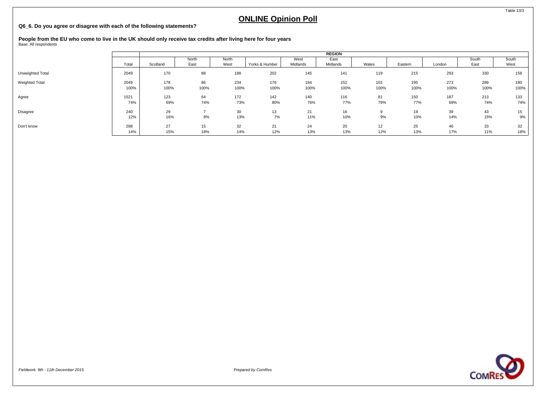### **Q6\_6. Do you agree or disagree with each of the following statements?**

**People from the EU who come to live in the UK should only receive tax credits after living here for four years** Base: All respondents

|                  |       |          |       |       |                |          | <b>REGION</b> |       |         |        |       |       |
|------------------|-------|----------|-------|-------|----------------|----------|---------------|-------|---------|--------|-------|-------|
|                  |       |          | North | North |                | West     | East          |       |         |        | South | South |
|                  | Total | Scotland | East  | West  | Yorks & Humber | Midlands | Midlands      | Wales | Eastern | London | East  | West  |
| Unweighted Total | 2049  | 170      | 88    | 188   | 202            | 145      | 141           | 119   | 215     | 293    | 330   | 158   |
| Weighted Total   | 2049  | 178      | 86    | 234   | 176            | 184      | 152           | 102   | 195     | 273    | 289   | 180   |
|                  | 100%  | 100%     | 100%  | 100%  | 100%           | 100%     | 100%          | 100%  | 100%    | 100%   | 100%  | 100%  |
|                  |       |          |       |       |                |          |               |       |         |        |       |       |
| Agree            | 1521  | 123      | 64    | 172   | 142            | 140      | 116           | 81    | 150     | 187    | 213   | 133   |
|                  | 74%   | 69%      | 74%   | 73%   | 80%            | 76%      | 77%           | 79%   | 77%     | 69%    | 74%   | 74%   |
| Disagree         | 240   | 29       |       | 30    | 13             | 21       | 16            | 9     | 19      | 39     | 43    | 15    |
|                  | 12%   | 16%      | 8%    | 13%   | 7%             | 11%      | 10%           | 9%    | 10%     | 14%    | 15%   | 9%    |
| Don't know       | 288   | 27       | 15    | 32    | 21             | 24       | 20            | 12    | 25      | 46     | 33    | 32    |
|                  | 14%   | 15%      | 18%   | 14%   | 12%            | 13%      | 13%           | 12%   | 13%     | 17%    | 11%   | 18%   |



Table 13/3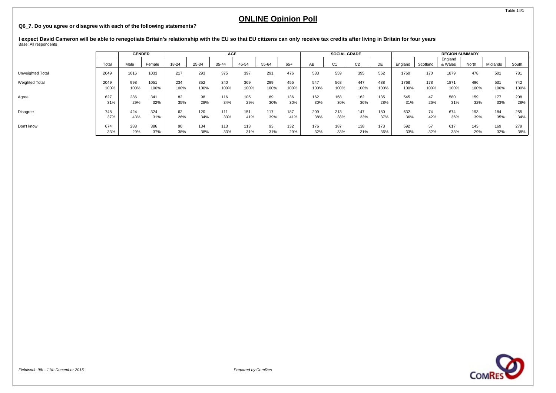#### **Q6\_7. Do you agree or disagree with each of the following statements?**

I expect David Cameron will be able to renegotiate Britain's relationship with the EU so that EU citizens can only receive tax credits after living in Britain for four years<br><sub>Base:</sub> All respondents

|                       |       | <b>GENDER</b> |        |       |       | <b>AGE</b> |       |       |      |      | <b>SOCIAL GRADE</b> |                |      |         |          | <b>REGION SUMMARY</b> |       |          |       |
|-----------------------|-------|---------------|--------|-------|-------|------------|-------|-------|------|------|---------------------|----------------|------|---------|----------|-----------------------|-------|----------|-------|
|                       | Total | Male          | Female | 18-24 | 25-34 | 35-44      | 45-54 | 55-64 | 65+  | AВ   | C <sub>1</sub>      | C <sub>2</sub> | DE   | England | Scotland | England<br>& Wales    | North | Midlands | South |
| Unweighted Total      | 2049  | 1016          | 1033   | 217   | 293   | 375        | 397   | 291   | 476  | 533  | 559                 | 395            | 562  | 1760    | 170      | 1879                  | 478   | 501      | 781   |
| <b>Weighted Total</b> | 2049  | 998           | 1051   | 234   | 352   | 340        | 369   | 299   | 455  | 547  | 568                 | 447            | 488  | 1768    | 178      | 1871                  | 496   | 531      | 742   |
|                       | 100%  | 100%          | 100%   | 100%  | 100%  | 100%       | 100%  | 100%  | 100% | 100% | 100%                | 100%           | 100% | 100%    | 100%     | 100%                  | 100%  | 100%     | 100%  |
| Agree                 | 627   | 286           | 341    | 82    | 98    | 116        | 105   | 89    | 136  | 162  | 168                 | 162            | 135  | 545     | 47       | 580                   | 159   | 177      | 208   |
|                       | 31%   | 29%           | 32%    | 35%   | 28%   | 34%        | 29%   | 30%   | 30%  | 30%  | 30%                 | 36%            | 28%  | 31%     | 26%      | 31%                   | 32%   | 33%      | 28%   |
| Disagree              | 748   | 424           | 324    | 62    | 120   | 111        | 151   | 117   | 187  | 209  | 213                 | 147            | 180  | 632     | 74       | 674                   | 193   | 184      | 255   |
|                       | 37%   | 43%           | 31%    | 26%   | 34%   | 33%        | 41%   | 39%   | 41%  | 38%  | 38%                 | 33%            | 37%  | 36%     | 42%      | 36%                   | 39%   | 35%      | 34%   |
| Don't know            | 674   | 288           | 386    | 90    | 134   | 113        | 113   | 93    | 132  | 176  | 187                 | 138            | 173  | 592     | 57       | 617                   | 143   | 169      | 279   |
|                       | 33%   | 29%           | 37%    | 38%   | 38%   | 33%        | 31%   | 31%   | 29%  | 32%  | 33%                 | 31%            | 36%  | 33%     | 32%      | 33%                   | 29%   | 32%      | 38%   |

**COMRES** 

Table 14/1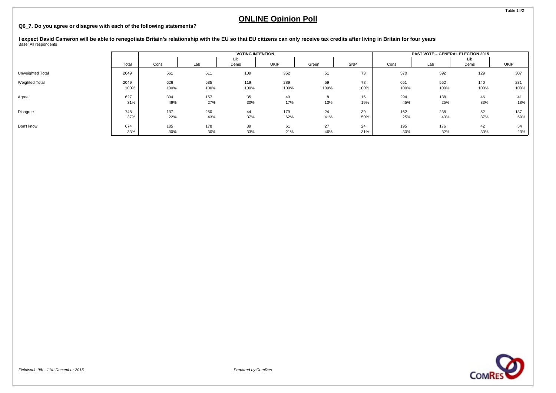#### **Q6\_7. Do you agree or disagree with each of the following statements?**

I expect David Cameron will be able to renegotiate Britain's relationship with the EU so that EU citizens can only receive tax credits after living in Britain for four years<br><sub>Base:</sub> All respondents

|                  |              |             |             |             | <b>VOTING INTENTION</b> |            |            |             | <b>PAST VOTE - GENERAL ELECTION 2015</b> |             |             |
|------------------|--------------|-------------|-------------|-------------|-------------------------|------------|------------|-------------|------------------------------------------|-------------|-------------|
|                  | Total        | Cons        | Lab         | Lib<br>Dems | UKIP                    | Green      | SNP        | Cons        | Lab                                      | Lib<br>Dems | UKIP        |
| Unweighted Total | 2049         | 561         | 611         | 109         | 352                     | 51         | 73         | 570         | 592                                      | 129         | 307         |
| Weighted Total   | 2049<br>100% | 626<br>100% | 585<br>100% | 119<br>100% | 289<br>100%             | 59<br>100% | 78<br>100% | 651<br>100% | 552<br>100%                              | 140<br>100% | 231<br>100% |
| Agree            | 627<br>31%   | 304<br>49%  | 157<br>27%  | 35<br>30%   | 49<br>17%               | 13%        | 15<br>19%  | 294<br>45%  | 138<br>25%                               | 46<br>33%   | 41<br>18%   |
| Disagree         | 748<br>37%   | 137<br>22%  | 250<br>43%  | 44<br>37%   | 179<br>62%              | 24<br>41%  | 39<br>50%  | 162<br>25%  | 238<br>43%                               | 52<br>37%   | 137<br>59%  |
| Don't know       | 674<br>33%   | 185<br>30%  | 178<br>30%  | 39<br>33%   | 61<br>21%               | 27<br>46%  | 24<br>31%  | 195<br>30%  | 176<br>32%                               | 42<br>30%   | 54<br>23%   |



Table 14/2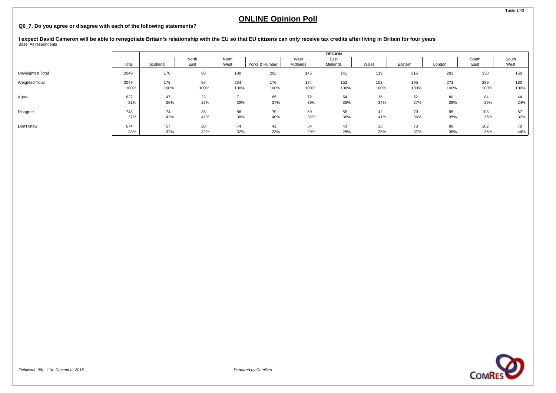### **Q6\_7. Do you agree or disagree with each of the following statements?**

I expect David Cameron will be able to renegotiate Britain's relationship with the EU so that EU citizens can only receive tax credits after living in Britain for four years<br><sub>Base:</sub> All respondents

|                  |            |           |           |           |                |           | <b>REGION</b> |           |           |           |           |           |
|------------------|------------|-----------|-----------|-----------|----------------|-----------|---------------|-----------|-----------|-----------|-----------|-----------|
|                  |            |           | North     | North     |                | West      | East          |           |           |           | South     | South     |
|                  | Total      | Scotland  | East      | West      | Yorks & Humber | Midlands  | Midlands      | Wales     | Eastern   | London    | East      | West      |
| Unweighted Total | 2049       | 170       | 88        | 188       | 202            | 145       | 141           | 119       | 215       | 293       | 330       | 158       |
| Weighted Total   | 2049       | 178       | 86        | 234       | 176            | 184       | 152           | 102       | 195       | 273       | 289       | 180       |
|                  | 100%       | 100%      | 100%      | 100%      | 100%           | 100%      | 100%          | 100%      | 100%      | 100%      | 100%      | 100%      |
| Agree            | 627<br>31% | 47<br>26% | 23<br>27% | 71<br>30% | 65<br>37%      | 72<br>39% | 54<br>35%     | 35<br>34% | 52<br>27% | 80<br>29% | 84<br>29% | 44<br>24% |
| Disagree         | 748        | 74        | 35        | 88        | 70             | 59        | 55            | 42        | 70        | 95        | 103       | 57        |
|                  | 37%        | 42%       | 41%       | 38%       | 40%            | 32%       | 36%           | 41%       | 36%       | 35%       | 36%       | 32%       |
| Don't know       | 674        | 57        | 28        | 74        | 41             | 54        | 43            | 25        | 73        | 98        | 102       | 79        |
|                  | 33%        | 32%       | 32%       | 32%       | 23%            | 29%       | 28%           | 25%       | 37%       | 36%       | 35%       | 44%       |

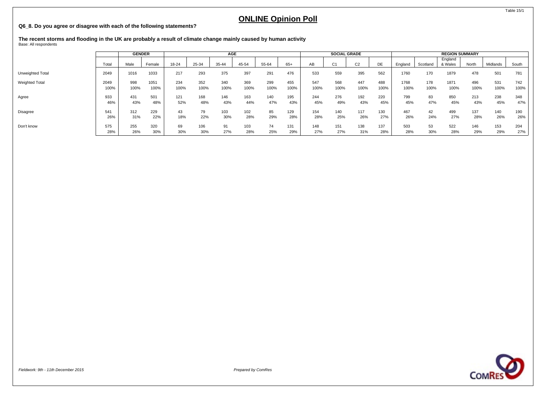### **Q6\_8. Do you agree or disagree with each of the following statements?**

**The recent storms and flooding in the UK are probably a result of climate change mainly caused by human activity** Base: All respondents

|                         |       | <b>GENDER</b> |        |       |       | AGE   |       |       |      |      | <b>SOCIAL GRADE</b> |                |      |         |          | <b>REGION SUMMARY</b> |       |          |       |
|-------------------------|-------|---------------|--------|-------|-------|-------|-------|-------|------|------|---------------------|----------------|------|---------|----------|-----------------------|-------|----------|-------|
|                         | Total | Male          | Female | 18-24 | 25-34 | 35-44 | 45-54 | 55-64 | 65+  | AB   | C <sub>1</sub>      | C <sub>2</sub> | DE   | England | Scotland | England<br>& Wales    | North | Midlands | South |
| <b>Unweighted Total</b> | 2049  | 1016          | 1033   | 217   | 293   | 375   | 397   | 291   | 476  | 533  | 559                 | 395            | 562  | 1760    | 170      | 1879                  | 478   | 501      | 781   |
| Weighted Total          | 2049  | 998           | 1051   | 234   | 352   | 340   | 369   | 299   | 455  | 547  | 568                 | 447            | 488  | 1768    | 178      | 1871                  | 496   | 531      | 742   |
|                         | 100%  | 100%          | 100%   | 100%  | 100%  | 100%  | 100%  | 100%  | 100% | 100% | 100%                | 100%           | 100% | 100%    | 100%     | 100%                  | 100%  | 100%     | 100%  |
| Agree                   | 933   | 431           | 501    | 121   | 168   | 146   | 163   | 140   | 195  | 244  | 276                 | 192            | 220  | 799     | 83       | 850                   | 213   | 238      | 348   |
|                         | 46%   | 43%           | 48%    | 52%   | 48%   | 43%   | 44%   | 47%   | 43%  | 45%  | 49%                 | 43%            | 45%  | 45%     | 47%      | 45%                   | 43%   | 45%      | 47%   |
| Disagree                | 541   | 312           | 229    | 43    | 79    | 103   | 102   | 85    | 129  | 154  | 140                 | 117            | 130  | 467     | 42       | 499                   | 137   | 140      | 190   |
|                         | 26%   | 31%           | 22%    | 18%   | 22%   | 30%   | 28%   | 29%   | 28%  | 28%  | 25%                 | 26%            | 27%  | 26%     | 24%      | 27%                   | 28%   | 26%      | 26%   |
| Don't know              | 575   | 255           | 320    | 69    | 106   | 91    | 103   | 74    | 131  | 148  | 151                 | 138            | 137  | 503     | 53       | 522                   | 146   | 153      | 204   |
|                         | 28%   | 26%           | 30%    | 30%   | 30%   | 27%   | 28%   | 25%   | 29%  | 27%  | 27%                 | 31%            | 28%  | 28%     | 30%      | 28%                   | 29%   | 29%      | 27%   |

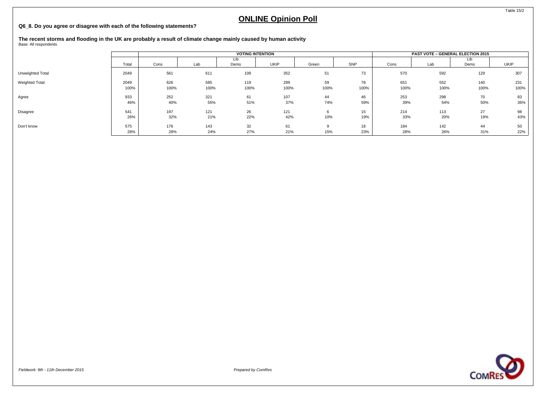### **Q6\_8. Do you agree or disagree with each of the following statements?**

**The recent storms and flooding in the UK are probably a result of climate change mainly caused by human activity** Base: All respondents

|                  |              |             |             | <b>VOTING INTENTION</b> |             |            |            |             | <b>PAST VOTE - GENERAL ELECTION 2015</b> |             |             |
|------------------|--------------|-------------|-------------|-------------------------|-------------|------------|------------|-------------|------------------------------------------|-------------|-------------|
|                  | Total        | Cons        | Lab         | Lib<br>Dems             | UKIP        | Green      | SNP        | Cons        | Lab                                      | Lib<br>Dems | <b>UKIP</b> |
| Unweighted Total | 2049         | 561         | 611         | 109                     | 352         | 51         | 73         | 570         | 592                                      | 129         | 307         |
| Weighted Total   | 2049<br>100% | 626<br>100% | 585<br>100% | 119<br>100%             | 289<br>100% | 59<br>100% | 78<br>100% | 651<br>100% | 552<br>100%                              | 140<br>100% | 231<br>100% |
| Agree            | 933<br>46%   | 252<br>40%  | 321<br>55%  | 61<br>51%               | 107<br>37%  | 44<br>74%  | 46<br>59%  | 253<br>39%  | 298<br>54%                               | 70<br>50%   | 83<br>36%   |
| Disagree         | 541<br>26%   | 197<br>32%  | 121<br>21%  | 26<br>22%               | 121<br>42%  | 10%        | 15<br>19%  | 214<br>33%  | 113<br>20%                               | 27<br>19%   | 98<br>43%   |
| Don't know       | 575<br>28%   | 176<br>28%  | 143<br>24%  | 32<br>27%               | 61<br>21%   | 15%        | 18<br>23%  | 184<br>28%  | 142<br>26%                               | 44<br>31%   | 50<br>22%   |

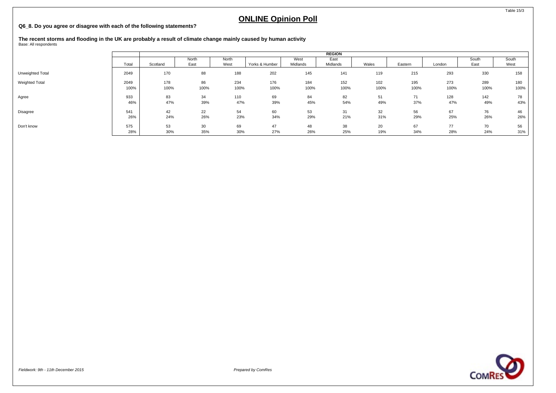### **Q6\_8. Do you agree or disagree with each of the following statements?**

**The recent storms and flooding in the UK are probably a result of climate change mainly caused by human activity** Base: All respondents

|                  |       |          |       |       |                |          | <b>REGION</b> |       |         |        |       |       |
|------------------|-------|----------|-------|-------|----------------|----------|---------------|-------|---------|--------|-------|-------|
|                  |       |          | North | North |                | West     | East          |       |         |        | South | South |
|                  | Total | Scotland | East  | West  | Yorks & Humber | Midlands | Midlands      | Wales | Eastern | London | East  | West  |
| Unweighted Total | 2049  | 170      | 88    | 188   | 202            | 145      | 141           | 119   | 215     | 293    | 330   | 158   |
| Weighted Total   | 2049  | 178      | 86    | 234   | 176            | 184      | 152           | 102   | 195     | 273    | 289   | 180   |
|                  | 100%  | 100%     | 100%  | 100%  | 100%           | 100%     | 100%          | 100%  | 100%    | 100%   | 100%  | 100%  |
| Agree            | 933   | 83       | 34    | 110   | 69             | 84       | 82            | 51    | 71      | 128    | 142   | 78    |
|                  | 46%   | 47%      | 39%   | 47%   | 39%            | 45%      | 54%           | 49%   | 37%     | 47%    | 49%   | 43%   |
| Disagree         | 541   | 42       | 22    | 54    | 60             | 53       | 31            | 32    | 56      | 67     | 76    | 46    |
|                  | 26%   | 24%      | 26%   | 23%   | 34%            | 29%      | 21%           | 31%   | 29%     | 25%    | 26%   | 26%   |
| Don't know       | 575   | 53       | 30    | 69    | 47             | 48       | 38            | 20    | 67      | 77     | 70    | 56    |
|                  | 28%   | 30%      | 35%   | 30%   | 27%            | 26%      | 25%           | 19%   | 34%     | 28%    | 24%   | 31%   |

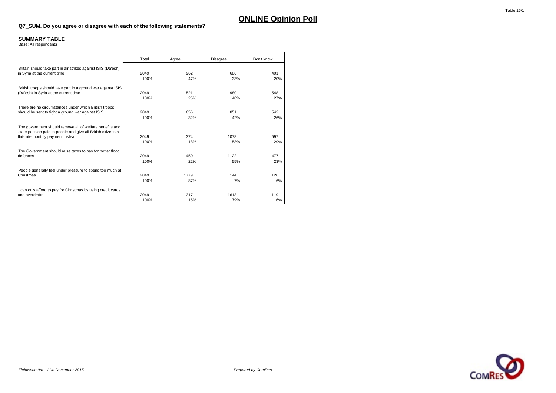### **Q7\_SUM. Do you agree or disagree with each of the following statements?**

#### **SUMMARY TABLE**

Base: All respondents

|                                                                                                                                                               | Total        | Agree      | Disagree    | Don't know |
|---------------------------------------------------------------------------------------------------------------------------------------------------------------|--------------|------------|-------------|------------|
| Britain should take part in air strikes against ISIS (Da'esh)                                                                                                 | 2049         | 962        | 686         | 401        |
| in Syria at the current time                                                                                                                                  | 100%         | 47%        | 33%         | 20%        |
| British troops should take part in a ground war against ISIS                                                                                                  | 2049         | 521        | 980         | 548        |
| (Da'esh) in Syria at the current time                                                                                                                         | 100%         | 25%        | 48%         | 27%        |
| There are no circumstances under which British troops                                                                                                         | 2049         | 656        | 851         | 542        |
| should be sent to fight a ground war against ISIS                                                                                                             | 100%         | 32%        | 42%         | 26%        |
| The government should remove all of welfare benefits and<br>state pension paid to people and give all British citizens a<br>flat-rate monthly payment instead | 2049<br>100% | 374<br>18% | 1078<br>53% | 597<br>29% |
| The Government should raise taxes to pay for better flood                                                                                                     | 2049         | 450        | 1122        | 477        |
| defences                                                                                                                                                      | 100%         | 22%        | 55%         | 23%        |
| People generally feel under pressure to spend too much at                                                                                                     | 2049         | 1779       | 144         | 126        |
| Christmas                                                                                                                                                     | 100%         | 87%        | 7%          | 6%         |
| I can only afford to pay for Christmas by using credit cards                                                                                                  | 2049         | 317        | 1613        | 119        |
| and overdrafts                                                                                                                                                | 100%         | 15%        | 79%         | 6%         |

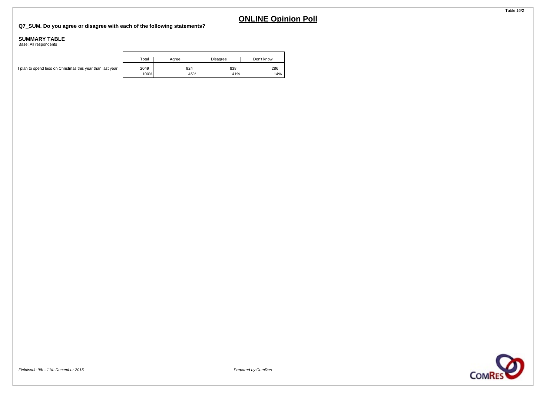### **Q7\_SUM. Do you agree or disagree with each of the following statements?**

#### **SUMMARY TABLE**

Base: All respondents

|                                                            | Total | Aaree | Disagree | Don't know |
|------------------------------------------------------------|-------|-------|----------|------------|
| I plan to spend less on Christmas this year than last year | 2049  | 924   | 838      | 286        |
|                                                            | 100%  | 45%   | 41%      | 14%        |

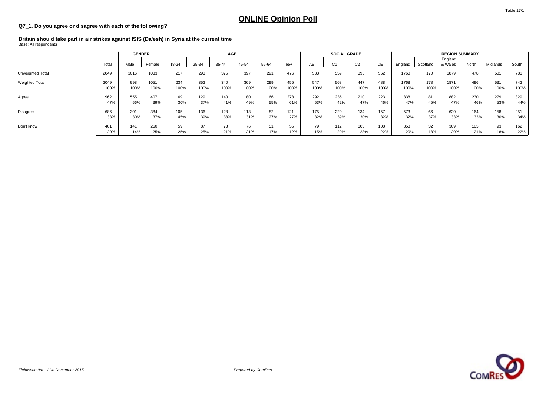### **Q7\_1. Do you agree or disagree with each of the following?**

# **Britain should take part in air strikes against ISIS (Da'esh) in Syria at the current time** Base: All respondents

|                       |       | <b>GENDER</b> |        |       |       | <b>AGE</b> |       |       |      |      | <b>SOCIAL GRADE</b> |                |      |         |          | <b>REGION SUMMARY</b> |       |          |       |
|-----------------------|-------|---------------|--------|-------|-------|------------|-------|-------|------|------|---------------------|----------------|------|---------|----------|-----------------------|-------|----------|-------|
|                       | Total | Male          | Female | 18-24 | 25-34 | 35-44      | 45-54 | 55-64 | 65+  | AВ   | C <sub>1</sub>      | C <sub>2</sub> | DE   | England | Scotland | England<br>& Wales    | North | Midlands | South |
| Unweighted Total      | 2049  | 1016          | 1033   | 217   | 293   | 375        | 397   | 291   | 476  | 533  | 559                 | 395            | 562  | 1760    | 170      | 1879                  | 478   | 501      | 781   |
| <b>Weighted Total</b> | 2049  | 998           | 1051   | 234   | 352   | 340        | 369   | 299   | 455  | 547  | 568                 | 447            | 488  | 1768    | 178      | 1871                  | 496   | 531      | 742   |
|                       | 100%  | 100%          | 100%   | 100%  | 100%  | 100%       | 100%  | 100%  | 100% | 100% | 100%                | 100%           | 100% | 100%    | 100%     | 100%                  | 100%  | 100%     | 100%  |
| Agree                 | 962   | 555           | 407    | 69    | 129   | 140        | 180   | 166   | 278  | 292  | 236                 | 210            | 223  | 838     | 81       | 882                   | 230   | 279      | 329   |
|                       | 47%   | 56%           | 39%    | 30%   | 37%   | 41%        | 49%   | 55%   | 61%  | 53%  | 42%                 | 47%            | 46%  | 47%     | 45%      | 47%                   | 46%   | 53%      | 44%   |
| Disagree              | 686   | 301           | 384    | 105   | 136   | 128        | 113   | 82    | 121  | 175  | 220                 | 134            | 157  | 573     | 66       | 620                   | 164   | 158      | 251   |
|                       | 33%   | 30%           | 37%    | 45%   | 39%   | 38%        | 31%   | 27%   | 27%  | 32%  | 39%                 | 30%            | 32%  | 32%     | 37%      | 33%                   | 33%   | 30%      | 34%   |
| Don't know            | 401   | 141           | 260    | 59    | 87    | 73         | 76    | 51    | 55   | 79   | 112                 | 103            | 108  | 358     | 32       | 369                   | 103   | 93       | 162   |
|                       | 20%   | 14%           | 25%    | 25%   | 25%   | 21%        | 21%   | 17%   | 12%  | 15%  | 20%                 | 23%            | 22%  | 20%     | 18%      | 20%                   | 21%   | 18%      | 22%   |

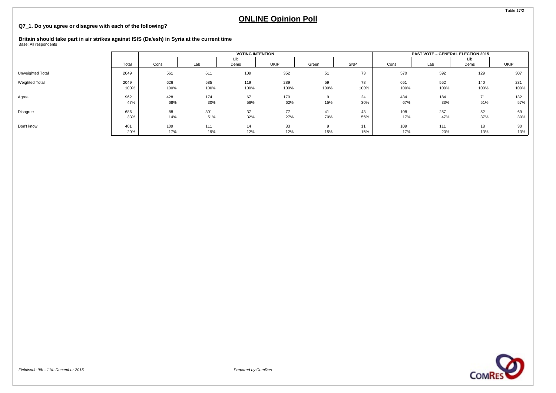### **Q7\_1. Do you agree or disagree with each of the following?**

# **Britain should take part in air strikes against ISIS (Da'esh) in Syria at the current time** Base: All respondents

|                       |              |             |             | <b>VOTING INTENTION</b> |             |            |            |             | <b>PAST VOTE - GENERAL ELECTION 2015</b> |             |             |
|-----------------------|--------------|-------------|-------------|-------------------------|-------------|------------|------------|-------------|------------------------------------------|-------------|-------------|
|                       | Total        | Cons        | Lab         | Lib<br>Dems             | <b>UKIP</b> | Green      | SNP        | Cons        | Lab                                      | Lib<br>Dems | UKIP        |
| Unweighted Total      | 2049         | 561         | 611         | 109                     | 352         | 51         | 73         | 570         | 592                                      | 129         | 307         |
| <b>Weighted Total</b> | 2049<br>100% | 626<br>100% | 585<br>100% | 119<br>100%             | 289<br>100% | 59<br>100% | 78<br>100% | 651<br>100% | 552<br>100%                              | 140<br>100% | 231<br>100% |
| Agree                 | 962<br>47%   | 428<br>68%  | 174<br>30%  | 67<br>56%               | 179<br>62%  | 15%        | 24<br>30%  | 434<br>67%  | 184<br>33%                               | 71<br>51%   | 132<br>57%  |
| Disagree              | 686<br>33%   | 88<br>14%   | 301<br>51%  | 37<br>32%               | 77<br>27%   | 41<br>70%  | 43<br>55%  | 108<br>17%  | 257<br>47%                               | 52<br>37%   | 69<br>30%   |
| Don't know            | 401<br>20%   | 109<br>17%  | 111<br>19%  | 14<br>12%               | 33<br>12%   | 15%        | 11<br>15%  | 109<br>17%  | 111<br>20%                               | 18<br>13%   | 30<br>13%   |



Table 17/2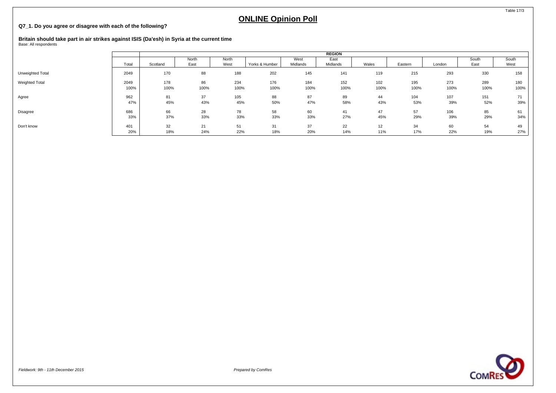### **Q7\_1. Do you agree or disagree with each of the following?**

# **Britain should take part in air strikes against ISIS (Da'esh) in Syria at the current time** Base: All respondents

|                  |       |          |       |       |                |          | <b>REGION</b> |       |         |        |       |       |
|------------------|-------|----------|-------|-------|----------------|----------|---------------|-------|---------|--------|-------|-------|
|                  |       |          | North | North |                | West     | East          |       |         |        | South | South |
|                  | Total | Scotland | East  | West  | Yorks & Humber | Midlands | Midlands      | Wales | Eastern | London | East  | West  |
| Unweighted Total | 2049  | 170      | 88    | 188   | 202            | 145      | 141           | 119   | 215     | 293    | 330   | 158   |
| Weighted Total   | 2049  | 178      | 86    | 234   | 176            | 184      | 152           | 102   | 195     | 273    | 289   | 180   |
|                  | 100%  | 100%     | 100%  | 100%  | 100%           | 100%     | 100%          | 100%  | 100%    | 100%   | 100%  | 100%  |
| Agree            | 962   | 81       | 37    | 105   | 88             | 87       | 89            | 44    | 104     | 107    | 151   | 71    |
|                  | 47%   | 45%      | 43%   | 45%   | 50%            | 47%      | 58%           | 43%   | 53%     | 39%    | 52%   | 39%   |
| Disagree         | 686   | 66       | 28    | 78    | 58             | 60       | 41            | 47    | 57      | 106    | 85    | 61    |
|                  | 33%   | 37%      | 33%   | 33%   | 33%            | 33%      | 27%           | 45%   | 29%     | 39%    | 29%   | 34%   |
| Don't know       | 401   | 32       | 21    | 51    | 31             | 37       | 22            | 12    | 34      | 60     | 54    | 49    |
|                  | 20%   | 18%      | 24%   | 22%   | 18%            | 20%      | 14%           | 11%   | 17%     | 22%    | 19%   | 27%   |

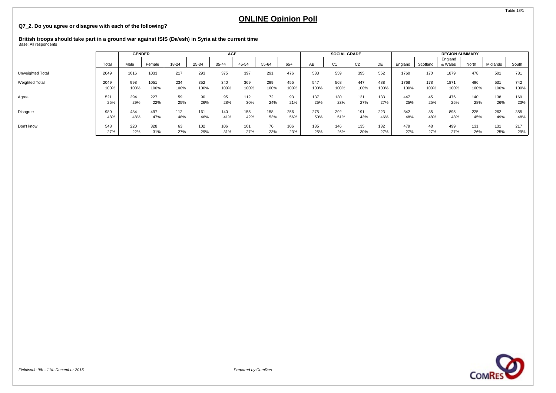### **Q7\_2. Do you agree or disagree with each of the following?**

# **British troops should take part in a ground war against ISIS (Da'esh) in Syria at the current time** Base: All respondents

|                       |       | <b>GENDER</b> |        |       |       | AGE   |       |       |       |      | <b>SOCIAL GRADE</b> |                |      |         |          | <b>REGION SUMMARY</b> |       |          |       |
|-----------------------|-------|---------------|--------|-------|-------|-------|-------|-------|-------|------|---------------------|----------------|------|---------|----------|-----------------------|-------|----------|-------|
|                       | Total | Male          | Female | 18-24 | 25-34 | 35-44 | 45-54 | 55-64 | $65+$ | AB   | C <sub>1</sub>      | C <sub>2</sub> | DE   | England | Scotland | England<br>& Wales    | North | Midlands | South |
| Unweighted Total      | 2049  | 1016          | 1033   | 217   | 293   | 375   | 397   | 291   | 476   | 533  | 559                 | 395            | 562  | 1760    | 170      | 1879                  | 478   | 501      | 781   |
| <b>Weighted Total</b> | 2049  | 998           | 1051   | 234   | 352   | 340   | 369   | 299   | 455   | 547  | 568                 | 447            | 488  | 1768    | 178      | 1871                  | 496   | 531      | 742   |
|                       | 100%  | 100%          | 100%   | 100%  | 100%  | 100%  | 100%  | 100%  | 100%  | 100% | 100%                | 100%           | 100% | 100%    | 100%     | 100%                  | 100%  | 100%     | 100%  |
| Agree                 | 521   | 294           | 227    | 59    | 90    | 95    | 112   | 72    | 93    | 137  | 130                 | 121            | 133  | 447     | 45       | 476                   | 140   | 138      | 169   |
|                       | 25%   | 29%           | 22%    | 25%   | 26%   | 28%   | 30%   | 24%   | 21%   | 25%  | 23%                 | 27%            | 27%  | 25%     | 25%      | 25%                   | 28%   | 26%      | 23%   |
| Disagree              | 980   | 484           | 497    | 112   | 161   | 140   | 155   | 158   | 256   | 275  | 292                 | 191            | 223  | 842     | 85       | 895                   | 225   | 262      | 355   |
|                       | 48%   | 48%           | 47%    | 48%   | 46%   | 41%   | 42%   | 53%   | 56%   | 50%  | 51%                 | 43%            | 46%  | 48%     | 48%      | 48%                   | 45%   | 49%      | 48%   |
| Don't know            | 548   | 220           | 328    | 63    | 102   | 106   | 101   | 70    | 106   | 135  | 146                 | 135            | 132  | 479     | 48       | 499                   | 131   | 131      | 217   |
|                       | 27%   | 22%           | 31%    | 27%   | 29%   | 31%   | 27%   | 23%   | 23%   | 25%  | 26%                 | 30%            | 27%  | 27%     | 27%      | 27%                   | 26%   | 25%      | 29%   |

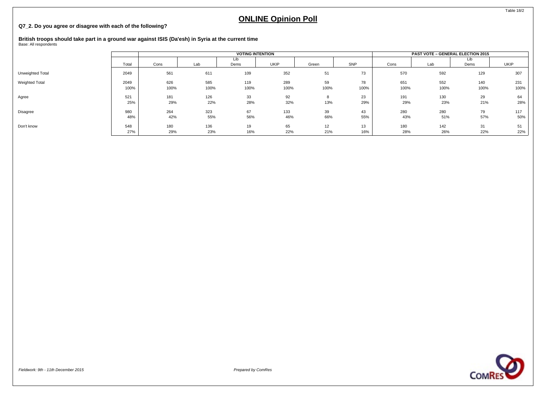### **Q7\_2. Do you agree or disagree with each of the following?**

## **British troops should take part in a ground war against ISIS (Da'esh) in Syria at the current time** Base: All respondents

|                  |              |             |             | <b>VOTING INTENTION</b> |             |            |            |             | <b>PAST VOTE - GENERAL ELECTION 2015</b> |             |             |
|------------------|--------------|-------------|-------------|-------------------------|-------------|------------|------------|-------------|------------------------------------------|-------------|-------------|
|                  | Total        | Cons        | Lab         | Lib<br>Dems             | UKIP        | Green      | SNP        | Cons        | Lab                                      | LID<br>Dems | UKIP        |
| Unweighted Total | 2049         | 561         | 611         | 109                     | 352         | 51         | 73         | 570         | 592                                      | 129         | 307         |
| Weighted Total   | 2049<br>100% | 626<br>100% | 585<br>100% | 119<br>100%             | 289<br>100% | 59<br>100% | 78<br>100% | 651<br>100% | 552<br>100%                              | 140<br>100% | 231<br>100% |
| Agree            | 521<br>25%   | 181<br>29%  | 126<br>22%  | 33<br>28%               | 92<br>32%   | 13%        | 23<br>29%  | 191<br>29%  | 130<br>23%                               | 29<br>21%   | 64<br>28%   |
| Disagree         | 980<br>48%   | 264<br>42%  | 323<br>55%  | 67<br>56%               | 133<br>46%  | 39<br>66%  | 43<br>55%  | 280<br>43%  | 280<br>51%                               | 79<br>57%   | 117<br>50%  |
| Don't know       | 548<br>27%   | 180<br>29%  | 136<br>23%  | 19<br>16%               | 65<br>22%   | 12<br>21%  | 13<br>16%  | 180<br>28%  | 142<br>26%                               | 31<br>22%   | 51<br>22%   |



Table 18/2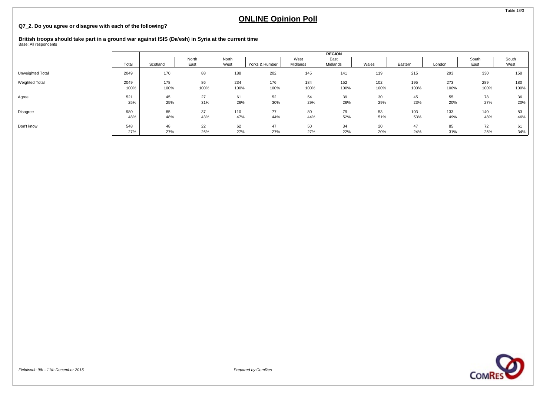### **Q7\_2. Do you agree or disagree with each of the following?**

# **British troops should take part in a ground war against ISIS (Da'esh) in Syria at the current time** Base: All respondents

|                  |       |          |       |       |                |          | <b>REGION</b> |       |         |        |       |       |
|------------------|-------|----------|-------|-------|----------------|----------|---------------|-------|---------|--------|-------|-------|
|                  |       |          | North | North |                | West     | East          |       |         |        | South | South |
|                  | Total | Scotland | East  | West  | Yorks & Humber | Midlands | Midlands      | Wales | Eastern | London | East  | West  |
| Unweighted Total | 2049  | 170      | 88    | 188   | 202            | 145      | 141           | 119   | 215     | 293    | 330   | 158   |
| Weighted Total   | 2049  | 178      | 86    | 234   | 176            | 184      | 152           | 102   | 195     | 273    | 289   | 180   |
|                  | 100%  | 100%     | 100%  | 100%  | 100%           | 100%     | 100%          | 100%  | 100%    | 100%   | 100%  | 100%  |
| Agree            | 521   | 45       | 27    | 61    | 52             | 54       | 39            | 30    | 45      | 55     | 78    | 36    |
|                  | 25%   | 25%      | 31%   | 26%   | 30%            | 29%      | 26%           | 29%   | 23%     | 20%    | 27%   | 20%   |
| Disagree         | 980   | 85       | 37    | 110   | 77             | 80       | 79            | 53    | 103     | 133    | 140   | 83    |
|                  | 48%   | 48%      | 43%   | 47%   | 44%            | 44%      | 52%           | 51%   | 53%     | 49%    | 48%   | 46%   |
| Don't know       | 548   | 48       | 22    | 62    | 47             | 50       | 34            | 20    | 47      | 85     | 72    | 61    |
|                  | 27%   | 27%      | 26%   | 27%   | 27%            | 27%      | 22%           | 20%   | 24%     | 31%    | 25%   | 34%   |

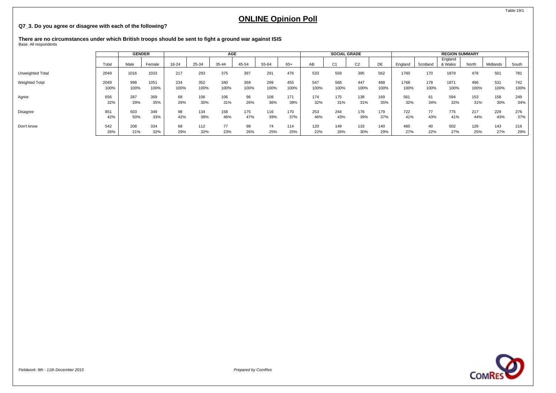### **Q7\_3. Do you agree or disagree with each of the following?**

**There are no circumstances under which British troops should be sent to fight a ground war against ISIS** Base: All respondents

|                         |       | <b>GENDER</b> |        |       |       | <b>AGE</b> |       |       |       |      | <b>SOCIAL GRADE</b> |                |      |         |          | <b>REGION SUMMARY</b> |       |          |       |
|-------------------------|-------|---------------|--------|-------|-------|------------|-------|-------|-------|------|---------------------|----------------|------|---------|----------|-----------------------|-------|----------|-------|
|                         | Total | Male          | Female | 18-24 | 25-34 | 35-44      | 45-54 | 55-64 | $65+$ | AВ   | C <sub>1</sub>      | C <sub>2</sub> | DE   | England | Scotland | England<br>& Wales    | North | Midlands | South |
| <b>Unweighted Total</b> | 2049  | 1016          | 1033   | 217   | 293   | 375        | 397   | 291   | 476   | 533  | 559                 | 395            | 562  | 1760    | 170      | 1879                  | 478   | 501      | 781   |
| <b>Weighted Total</b>   | 2049  | 998           | 1051   | 234   | 352   | 340        | 369   | 299   | 455   | 547  | 568                 | 447            | 488  | 1768    | 178      | 1871                  | 496   | 531      | 742   |
|                         | 100%  | 100%          | 100%   | 100%  | 100%  | 100%       | 100%  | 100%  | 100%  | 100% | 100%                | 100%           | 100% | 100%    | 100%     | 100%                  | 100%  | 100%     | 100%  |
| Agree                   | 656   | 287           | 369    | 68    | 106   | 106        | 96    | 108   | 171   | 174  | 175                 | 138            | 169  | 561     | 61       | 594                   | 153   | 158      | 249   |
|                         | 32%   | 29%           | 35%    | 29%   | 30%   | 31%        | 26%   | 36%   | 38%   | 32%  | 31%                 | 31%            | 35%  | 32%     | 34%      | 32%                   | 31%   | 30%      | 34%   |
| Disagree                | 851   | 503           | 349    | 98    | 134   | 158        | 175   | 116   | 170   | 253  | 244                 | 176            | 179  | 722     | 77       | 775                   | 217   | 229      | 276   |
|                         | 42%   | 50%           | 33%    | 42%   | 38%   | 46%        | 47%   | 39%   | 37%   | 46%  | 43%                 | 39%            | 37%  | 41%     | 43%      | 41%                   | 44%   | 43%      | 37%   |
| Don't know              | 542   | 208           | 334    | 68    | 112   | 77         | 98    | 74    | 114   | 120  | 149                 | 133            | 140  | 485     | 40       | 502                   | 126   | 143      | 216   |
|                         | 26%   | 21%           | 32%    | 29%   | 32%   | 23%        | 26%   | 25%   | 25%   | 22%  | 26%                 | 30%            | 29%  | 27%     | 22%      | 27%                   | 25%   | 27%      | 29%   |

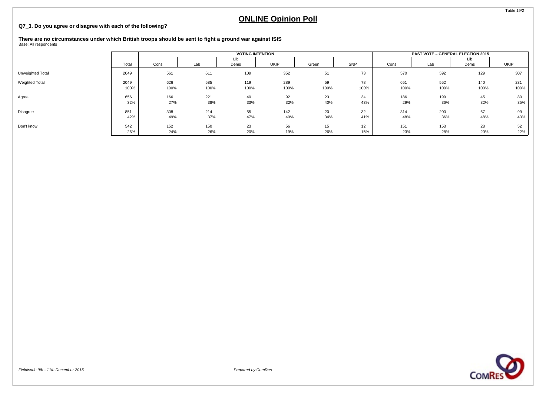#### **Q7\_3. Do you agree or disagree with each of the following?**

**There are no circumstances under which British troops should be sent to fight a ground war against ISIS** Base: All respondents

**VOTING INTENTION PAST VOTE – GENERAL ELECTION 2015** Total Cons Lab Lib<br>Dems Dems | UKIP | Green | SNP | Cons | Lab Lib Dems UKIP Unweighted Total 2049 561 611 109 352 51 73 570 592 129 307 Weighted Total 626 585 119 289 59 78 | 651 552 140 231 100% 100% 100% 100% 100% 100% 100% 100% 100% 100% 100% Agree 656 166 166 221 40 92 23 23 34 186 199 45 80 30 199 45 32% 27% 38% 33% 32% 40% 43% 29% 36% 32% 35% Disagree 851 308 214 55 142 20 32 314 200 67 99 42% | 49% 37% 47% 34% 41% | 48% 43% 43% Don't know | 542 | 152 150 23 56 15 12 | 151 153 28 52 26% 24% 26% 20% 19% 26% 15% 23% 28% 20% 22%



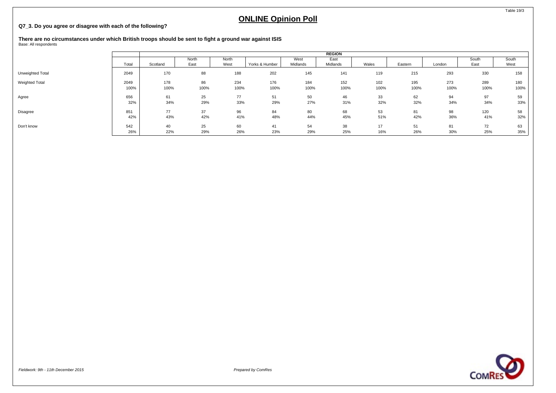### **Q7\_3. Do you agree or disagree with each of the following?**

**There are no circumstances under which British troops should be sent to fight a ground war against ISIS** Base: All respondents

|                       |       |          |       |       |                |          | <b>REGION</b> |       |         |        |       |       |
|-----------------------|-------|----------|-------|-------|----------------|----------|---------------|-------|---------|--------|-------|-------|
|                       |       |          | North | North |                | West     | East          |       |         |        | South | South |
|                       | Total | Scotland | East  | West  | Yorks & Humber | Midlands | Midlands      | Wales | Eastern | London | East  | West  |
| Unweighted Total      | 2049  | 170      | 88    | 188   | 202            | 145      | 141           | 119   | 215     | 293    | 330   | 158   |
| <b>Weighted Total</b> | 2049  | 178      | 86    | 234   | 176            | 184      | 152           | 102   | 195     | 273    | 289   | 180   |
|                       | 100%  | 100%     | 100%  | 100%  | 100%           | 100%     | 100%          | 100%  | 100%    | 100%   | 100%  | 100%  |
| Agree                 | 656   | 61       | 25    | 77    | 51             | 50       | 46            | 33    | 62      | 94     | 97    | 59    |
|                       | 32%   | 34%      | 29%   | 33%   | 29%            | 27%      | 31%           | 32%   | 32%     | 34%    | 34%   | 33%   |
| Disagree              | 851   | 77       | 37    | 96    | 84             | 80       | 68            | 53    | 81      | 98     | 120   | 58    |
|                       | 42%   | 43%      | 42%   | 41%   | 48%            | 44%      | 45%           | 51%   | 42%     | 36%    | 41%   | 32%   |
| Don't know            | 542   | 40       | 25    | 60    | 41             | 54       | 38            | 17    | 51      | 81     | 72    | 63    |
|                       | 26%   | 22%      | 29%   | 26%   | 23%            | 29%      | 25%           | 16%   | 26%     | 30%    | 25%   | 35%   |



Table 19/3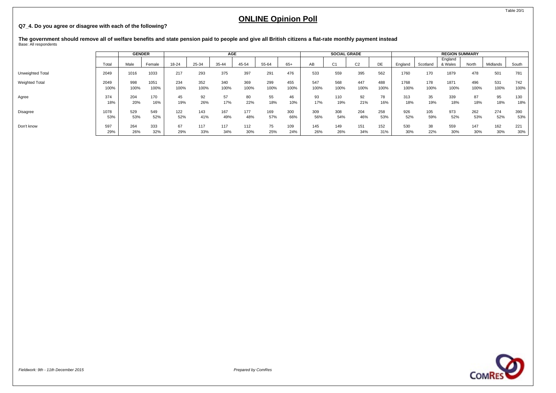### **Q7\_4. Do you agree or disagree with each of the following?**

**The government should remove all of welfare benefits and state pension paid to people and give all British citizens a flat-rate monthly payment instead** Base: All respondents

|                       |       | <b>GENDER</b> |        |       |       | AGE   |       |       |       |      | <b>SOCIAL GRADE</b> |                |      |         |          | <b>REGION SUMMARY</b> |       |          |       |
|-----------------------|-------|---------------|--------|-------|-------|-------|-------|-------|-------|------|---------------------|----------------|------|---------|----------|-----------------------|-------|----------|-------|
|                       | Total | Male          | Female | 18-24 | 25-34 | 35-44 | 45-54 | 55-64 | $65+$ | AB   | C <sub>1</sub>      | C <sub>2</sub> | DE   | England | Scotland | England<br>& Wales    | North | Midlands | South |
| Unweighted Total      | 2049  | 1016          | 1033   | 217   | 293   | 375   | 397   | 291   | 476   | 533  | 559                 | 395            | 562  | 1760    | 170      | 1879                  | 478   | 501      | 781   |
| <b>Weighted Total</b> | 2049  | 998           | 1051   | 234   | 352   | 340   | 369   | 299   | 455   | 547  | 568                 | 447            | 488  | 1768    | 178      | 1871                  | 496   | 531      | 742   |
|                       | 100%  | 100%          | 100%   | 100%  | 100%  | 100%  | 100%  | 100%  | 100%  | 100% | 100%                | 100%           | 100% | 100%    | 100%     | 100%                  | 100%  | 100%     | 100%  |
| Agree                 | 374   | 204           | 170    | 45    | 92    | 57    | 80    | 55    | 46    | 93   | 110                 | 92             | 78   | 313     | 35       | 339                   | 87    | 95       | 130   |
|                       | 18%   | 20%           | 16%    | 19%   | 26%   | 17%   | 22%   | 18%   | 10%   | 17%  | 19%                 | 21%            | 16%  | 18%     | 19%      | 18%                   | 18%   | 18%      | 18%   |
| <b>Disagree</b>       | 1078  | 529           | 549    | 122   | 143   | 167   | 177   | 169   | 300   | 309  | 308                 | 204            | 258  | 926     | 105      | 973                   | 262   | 274      | 390   |
|                       | 53%   | 53%           | 52%    | 52%   | 41%   | 49%   | 48%   | 57%   | 66%   | 56%  | 54%                 | 46%            | 53%  | 52%     | 59%      | 52%                   | 53%   | 52%      | 53%   |
| Don't know            | 597   | 264           | 333    | 67    | 117   | 117   | 112   | 75    | 109   | 145  | 149                 | 151            | 152  | 530     | 38       | 559                   | 147   | 162      | 221   |
|                       | 29%   | 26%           | 32%    | 29%   | 33%   | 34%   | 30%   | 25%   | 24%   | 26%  | 26%                 | 34%            | 31%  | 30%     | 22%      | 30%                   | 30%   | 30%      | 30%   |

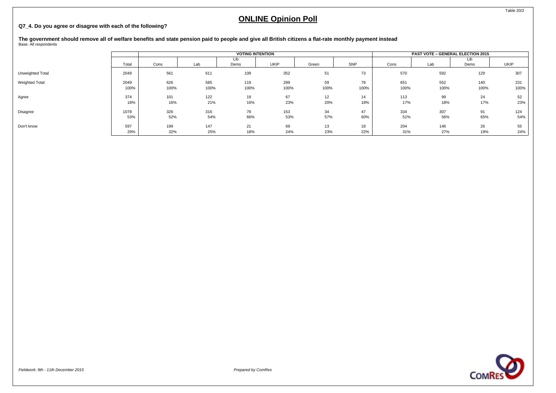### **Q7\_4. Do you agree or disagree with each of the following?**

# **The government should remove all of welfare benefits and state pension paid to people and give all British citizens a flat-rate monthly payment instead** Base: All respondents

|                  |       |      |      |             | <b>VOTING INTENTION</b> |       |      |      | <b>PAST VOTE - GENERAL ELECTION 2015</b> |             |             |
|------------------|-------|------|------|-------------|-------------------------|-------|------|------|------------------------------------------|-------------|-------------|
|                  | Total | Cons | Lab  | Lib<br>Dems | UKIP                    | Green | SNP  | Cons | Lab                                      | Lib<br>Dems | <b>UKIP</b> |
| Unweighted Total | 2049  | 561  | 611  | 109         | 352                     | 51    | 73   | 570  | 592                                      | 129         | 307         |
| Weighted Total   | 2049  | 626  | 585  | 119         | 289                     | 59    | 78   | 651  | 552                                      | 140         | 231         |
|                  | 100%  | 100% | 100% | 100%        | 100%                    | 100%  | 100% | 100% | 100%                                     | 100%        | 100%        |
| Agree            | 374   | 101  | 122  | 19          | 67                      | 12    | 14   | 113  | 99                                       | 24          | 52          |
|                  | 18%   | 16%  | 21%  | 16%         | 23%                     | 20%   | 18%  | 17%  | 18%                                      | 17%         | 23%         |
| Disagree         | 1078  | 326  | 316  | 79          | 153                     | 34    | 47   | 334  | 307                                      | 91          | 124         |
|                  | 53%   | 52%  | 54%  | 66%         | 53%                     | 57%   | 60%  | 51%  | 56%                                      | 65%         | 54%         |
| Don't know       | 597   | 199  | 147  | 21          | 69                      | 13    | 18   | 204  | 146                                      | 26          | 55          |
|                  | 29%   | 32%  | 25%  | 18%         | 24%                     | 23%   | 22%  | 31%  | 27%                                      | 19%         | 24%         |

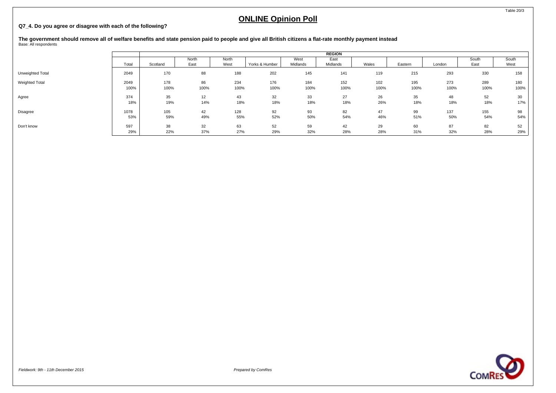### **Q7\_4. Do you agree or disagree with each of the following?**

**The government should remove all of welfare benefits and state pension paid to people and give all British citizens a flat-rate monthly payment instead** Base: All respondents

|                  |       |          |       |       |                |          | <b>REGION</b> |       |         |        |       |       |
|------------------|-------|----------|-------|-------|----------------|----------|---------------|-------|---------|--------|-------|-------|
|                  |       |          | North | North |                | West     | East          |       |         |        | South | South |
|                  | Total | Scotland | East  | West  | Yorks & Humber | Midlands | Midlands      | Wales | Eastern | London | East  | West  |
| Unweighted Total | 2049  | 170      | 88    | 188   | 202            | 145      | 141           | 119   | 215     | 293    | 330   | 158   |
| Weighted Total   | 2049  | 178      | 86    | 234   | 176            | 184      | 152           | 102   | 195     | 273    | 289   | 180   |
|                  | 100%  | 100%     | 100%  | 100%  | 100%           | 100%     | 100%          | 100%  | 100%    | 100%   | 100%  | 100%  |
| Agree            | 374   | 35       | 12    | 43    | 32             | 33       | 27            | 26    | 35      | 48     | 52    | 30    |
|                  | 18%   | 19%      | 14%   | 18%   | 18%            | 18%      | 18%           | 26%   | 18%     | 18%    | 18%   | 17%   |
| Disagree         | 1078  | 105      | 42    | 128   | 92             | 93       | 82            | 47    | 99      | 137    | 155   | 98    |
|                  | 53%   | 59%      | 49%   | 55%   | 52%            | 50%      | 54%           | 46%   | 51%     | 50%    | 54%   | 54%   |
| Don't know       | 597   | 38       | 32    | 63    | 52             | 59       | 42            | 29    | 60      | 87     | 82    | 52    |
|                  | 29%   | 22%      | 37%   | 27%   | 29%            | 32%      | 28%           | 28%   | 31%     | 32%    | 28%   | 29%   |

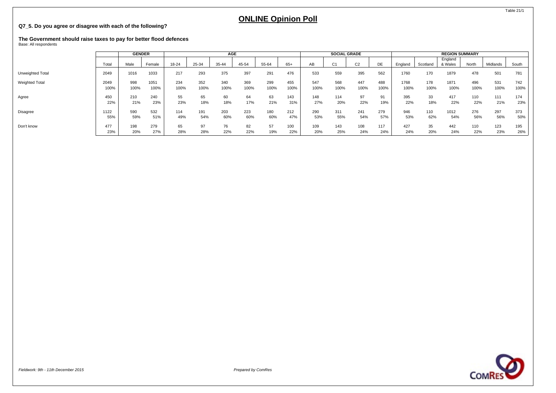### **Q7\_5. Do you agree or disagree with each of the following?**

# **The Government should raise taxes to pay for better flood defences** Base: All respondents

|                       |       | <b>GENDER</b> |        |       |       | AGE   |       |       |      |      | <b>SOCIAL GRADE</b> |                |      |         |          | <b>REGION SUMMARY</b> |       |          |       |
|-----------------------|-------|---------------|--------|-------|-------|-------|-------|-------|------|------|---------------------|----------------|------|---------|----------|-----------------------|-------|----------|-------|
|                       | Total | Male          | Female | 18-24 | 25-34 | 35-44 | 45-54 | 55-64 | 65+  | AВ   | C <sub>1</sub>      | C <sub>2</sub> | DE   | England | Scotland | England<br>& Wales    | North | Midlands | South |
| Unweighted Total      | 2049  | 1016          | 1033   | 217   | 293   | 375   | 397   | 291   | 476  | 533  | 559                 | 395            | 562  | 1760    | 170      | 1879                  | 478   | 501      | 781   |
| <b>Weighted Total</b> | 2049  | 998           | 1051   | 234   | 352   | 340   | 369   | 299   | 455  | 547  | 568                 | 447            | 488  | 1768    | 178      | 1871                  | 496   | 531      | 742   |
|                       | 100%  | 100%          | 100%   | 100%  | 100%  | 100%  | 100%  | 100%  | 100% | 100% | 100%                | 100%           | 100% | 100%    | 100%     | 100%                  | 100%  | 100%     | 100%  |
| Agree                 | 450   | 210           | 240    | 55    | 65    | 60    | 64    | 63    | 143  | 148  | 114                 | 97             | 91   | 395     | 33       | 417                   | 110   | 111      | 174   |
|                       | 22%   | 21%           | 23%    | 23%   | 18%   | 18%   | 17%   | 21%   | 31%  | 27%  | 20%                 | 22%            | 19%  | 22%     | 18%      | 22%                   | 22%   | 21%      | 23%   |
| Disagree              | 1122  | 590           | 532    | 114   | 191   | 203   | 223   | 180   | 212  | 290  | 311                 | 241            | 279  | 946     | 110      | 1012                  | 276   | 297      | 373   |
|                       | 55%   | 59%           | 51%    | 49%   | 54%   | 60%   | 60%   | 60%   | 47%  | 53%  | 55%                 | 54%            | 57%  | 53%     | 62%      | 54%                   | 56%   | 56%      | 50%   |
| Don't know            | 477   | 198           | 279    | 65    | 97    | 76    | 82    | 57    | 100  | 109  | 143                 | 108            | 117  | 427     | 35       | 442                   | 110   | 123      | 195   |
|                       | 23%   | 20%           | 27%    | 28%   | 28%   | 22%   | 22%   | 19%   | 22%  | 20%  | 25%                 | 24%            | 24%  | 24%     | 20%      | 24%                   | 22%   | 23%      | 26%   |



Table 21/1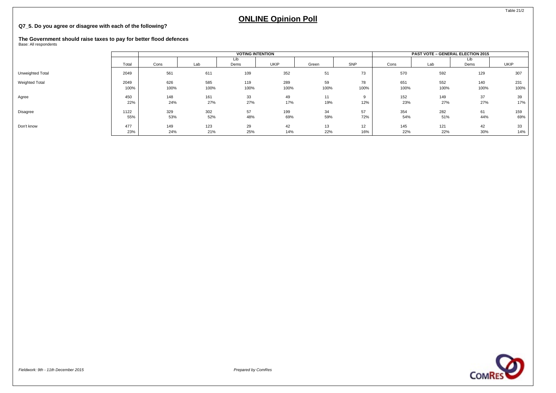### **Q7\_5. Do you agree or disagree with each of the following?**

## **The Government should raise taxes to pay for better flood defences** Base: All respondents

|                  |       |      |      | <b>VOTING INTENTION</b> |             |       |          |      | <b>PAST VOTE - GENERAL ELECTION 2015</b> |             |      |
|------------------|-------|------|------|-------------------------|-------------|-------|----------|------|------------------------------------------|-------------|------|
|                  | Total | Cons | Lab  | Lib<br>Dems             | <b>UKIP</b> | Green | SNP      | Cons | Lab                                      | Lib<br>Dems | UKIP |
| Unweighted Total | 2049  | 561  | 611  | 109                     | 352         | 51    | 73       | 570  | 592                                      | 129         | 307  |
| Weighted Total   | 2049  | 626  | 585  | 119                     | 289         | 59    | 78       | 651  | 552                                      | 140         | 231  |
|                  | 100%  | 100% | 100% | 100%                    | 100%        | 100%  | 100%     | 100% | 100%                                     | 100%        | 100% |
| Agree            | 450   | 148  | 161  | 33                      | 49          | 11    | $\Omega$ | 152  | 149                                      | 37          | 39   |
|                  | 22%   | 24%  | 27%  | 27%                     | 17%         | 19%   | 12%      | 23%  | 27%                                      | 27%         | 17%  |
| Disagree         | 1122  | 329  | 302  | 57                      | 199         | 34    | 57       | 354  | 282                                      | 61          | 159  |
|                  | 55%   | 53%  | 52%  | 48%                     | 69%         | 59%   | 72%      | 54%  | 51%                                      | 44%         | 69%  |
| Don't know       | 477   | 149  | 123  | 29                      | 42          | 13    | 12       | 145  | 121                                      | 42          | 33   |
|                  | 23%   | 24%  | 21%  | 25%                     | 14%         | 22%   | 16%      | 22%  | 22%                                      | 30%         | 14%  |



Fieldwork: 9th - 11th December 2015 Prepared by ComRes

Table 21/2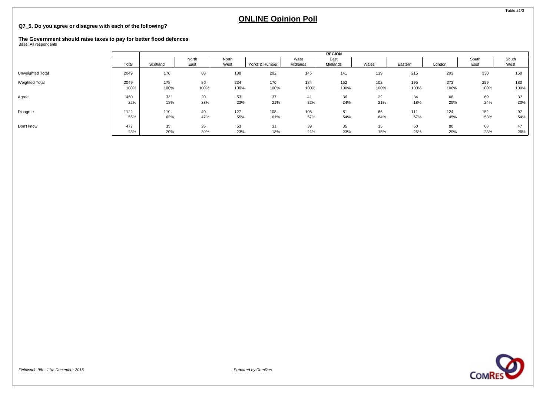### **Q7\_5. Do you agree or disagree with each of the following?**

## **The Government should raise taxes to pay for better flood defences** Base: All respondents

|                  |       |          |       |       |                |          | <b>REGION</b> |       |         |        |       |       |
|------------------|-------|----------|-------|-------|----------------|----------|---------------|-------|---------|--------|-------|-------|
|                  |       |          | North | North |                | West     | East          |       |         |        | South | South |
|                  | Total | Scotland | East  | West  | Yorks & Humber | Midlands | Midlands      | Wales | Eastern | London | East  | West  |
| Unweighted Total | 2049  | 170      | 88    | 188   | 202            | 145      | 141           | 119   | 215     | 293    | 330   | 158   |
| Weighted Total   | 2049  | 178      | 86    | 234   | 176            | 184      | 152           | 102   | 195     | 273    | 289   | 180   |
|                  | 100%  | 100%     | 100%  | 100%  | 100%           | 100%     | 100%          | 100%  | 100%    | 100%   | 100%  | 100%  |
| Agree            | 450   | 33       | 20    | 53    | 37             | 41       | 36            | 22    | 34      | 68     | 69    | 37    |
|                  | 22%   | 18%      | 23%   | 23%   | 21%            | 22%      | 24%           | 21%   | 18%     | 25%    | 24%   | 20%   |
| Disagree         | 1122  | 110      | 40    | 127   | 108            | 105      | 81            | 66    | 111     | 124    | 152   | 97    |
|                  | 55%   | 62%      | 47%   | 55%   | 61%            | 57%      | 54%           | 64%   | 57%     | 45%    | 53%   | 54%   |
| Don't know       | 477   | 35       | 25    | 53    | 31             | 39       | 35            | 15    | 50      | 80     | 68    | 47    |
|                  | 23%   | 20%      | 30%   | 23%   | 18%            | 21%      | 23%           | 15%   | 25%     | 29%    | 23%   | 26%   |



Table 21/3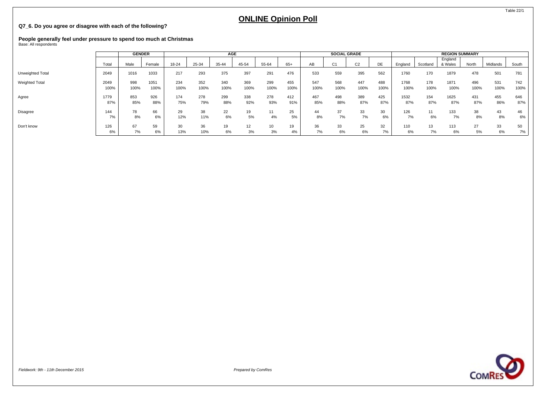### **Q7\_6. Do you agree or disagree with each of the following?**

# **People generally feel under pressure to spend too much at Christmas** Base: All respondents

|                       |              | <b>GENDER</b> |              |             |             | <b>AGE</b>  |             |             |             |             | <b>SOCIAL GRADE</b> |                |             |              |             | <b>REGION SUMMARY</b> |             |             |             |
|-----------------------|--------------|---------------|--------------|-------------|-------------|-------------|-------------|-------------|-------------|-------------|---------------------|----------------|-------------|--------------|-------------|-----------------------|-------------|-------------|-------------|
|                       | Total        | Male          | Female       | 18-24       | 25-34       | 35-44       | 45-54       | 55-64       | $65+$       | AВ          | C <sub>1</sub>      | C <sub>2</sub> | DE          | England      | Scotland    | England<br>& Wales    | North       | Midlands    | South       |
| Unweighted Total      | 2049         | 1016          | 1033         | 217         | 293         | 375         | 397         | 291         | 476         | 533         | 559                 | 395            | 562         | 1760         | 170         | 1879                  | 478         | 501         | 781         |
| <b>Weighted Total</b> | 2049<br>100% | 998<br>100%   | 1051<br>100% | 234<br>100% | 352<br>100% | 340<br>100% | 369<br>100% | 299<br>100% | 455<br>100% | 547<br>100% | 568<br>100%         | 447<br>100%    | 488<br>100% | 1768<br>100% | 178<br>100% | 1871<br>100%          | 496<br>100% | 531<br>100% | 742<br>100% |
| Agree                 | 1779<br>87%  | 853<br>85%    | 926<br>88%   | 174<br>75%  | 278<br>79%  | 299<br>88%  | 338<br>92%  | 278<br>93%  | 412<br>91%  | 467<br>85%  | 498<br>88%          | 389<br>87%     | 425<br>87%  | 1532<br>87%  | 154<br>87%  | 1625<br>87%           | 431<br>87%  | 455<br>86%  | 646<br>87%  |
| Disagree              | 144<br>7%    | 78<br>8%      | 66<br>6%     | 29<br>12%   | 38<br>11%   | 22<br>6%    | 19<br>5%    | 4%          | 25<br>5%    | 44<br>8%    | 37<br>7%            | 33<br>7%       | 30<br>6%    | 126<br>7%    | 11<br>6%    | 133<br>7%             | 38<br>8%    | 43<br>8%    | $6\%$       |
| Don't know            | 126<br>6%    | 67<br>7%      | 59<br>6%     | 30<br>13%   | 36<br>10%   | 19<br>6%    | 12<br>3%    | 10<br>3%    | 19<br>4%    | 36<br>7%    | 33<br>6%            | 25<br>6%       | 32<br>7%    | 110<br>6%    | 13<br>7%    | 113<br>6%             | 27<br>5%    | 33<br>6%    | 50<br>7%    |



Table 22/1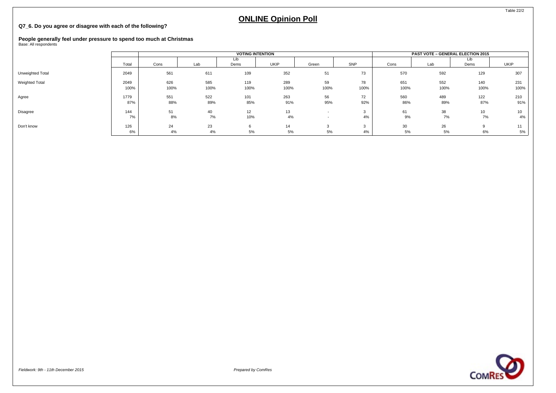### **Q7\_6. Do you agree or disagree with each of the following?**

## **People generally feel under pressure to spend too much at Christmas** Base: All respondents

|                  |              |             |             | <b>VOTING INTENTION</b> |             |                          |            |             | <b>PAST VOTE - GENERAL ELECTION 2015</b> |             |                       |
|------------------|--------------|-------------|-------------|-------------------------|-------------|--------------------------|------------|-------------|------------------------------------------|-------------|-----------------------|
|                  | Total        | Cons        | Lab         | Lib<br>Dems             | <b>UKIP</b> | Green                    | SNP        | Cons        | Lab                                      | Lib<br>Dems | UKIP                  |
| Unweighted Total | 2049         | 561         | 611         | 109                     | 352         | 51                       | 73         | 570         | 592                                      | 129         | 307                   |
| Weighted Total   | 2049<br>100% | 626<br>100% | 585<br>100% | 119<br>100%             | 289<br>100% | 59<br>100%               | 78<br>100% | 651<br>100% | 552<br>100%                              | 140<br>100% | 231<br>100%           |
| Agree            | 1779<br>87%  | 551<br>88%  | 522<br>89%  | 101<br>85%              | 263<br>91%  | 56<br>95%                | 72<br>92%  | 560<br>86%  | 489<br>89%                               | 122<br>87%  | 210<br>91%            |
| Disagree         | 144<br>7%    | 51<br>8%    | 40<br>7%    | 12<br>10%               | 13<br>4%    | $\overline{\phantom{a}}$ | 3<br>4%    | 61<br>9%    | 38<br>7%                                 | 10<br>7%    | 10 <sup>1</sup><br>4% |
| Don't know       | 126<br>6%    | 24<br>4%    | 23<br>4%    | 6<br>5%                 | 14<br>5%    | 5%                       | 3<br>4%    | 30<br>5%    | 26<br>5%                                 | 6%          | 5%                    |



Table 22/2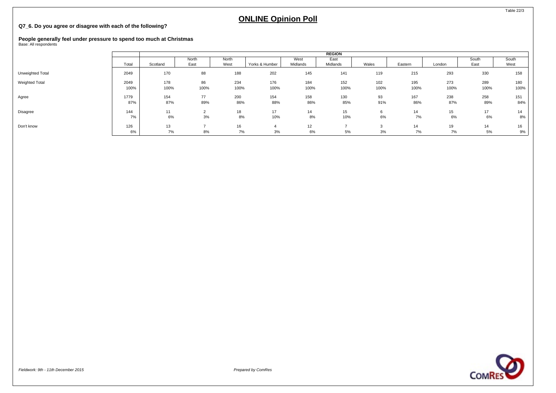### **Q7\_6. Do you agree or disagree with each of the following?**

## **People generally feel under pressure to spend too much at Christmas** Base: All respondents

|                  |       |          |       |       |                |          | <b>REGION</b> |       |         |        |       |       |
|------------------|-------|----------|-------|-------|----------------|----------|---------------|-------|---------|--------|-------|-------|
|                  |       |          | North | North |                | West     | East          |       |         |        | South | South |
|                  | Total | Scotland | East  | West  | Yorks & Humber | Midlands | Midlands      | Wales | Eastern | London | East  | West  |
| Unweighted Total | 2049  | 170      | 88    | 188   | 202            | 145      | 141           | 119   | 215     | 293    | 330   | 158   |
| Weighted Total   | 2049  | 178      | 86    | 234   | 176            | 184      | 152           | 102   | 195     | 273    | 289   | 180   |
|                  | 100%  | 100%     | 100%  | 100%  | 100%           | 100%     | 100%          | 100%  | 100%    | 100%   | 100%  | 100%  |
| Agree            | 1779  | 154      | 77    | 200   | 154            | 158      | 130           | 93    | 167     | 238    | 258   | 151   |
|                  | 87%   | 87%      | 89%   | 86%   | 88%            | 86%      | 85%           | 91%   | 86%     | 87%    | 89%   | 84%   |
| Disagree         | 144   | 11       |       | 18    | 17             | 14       | 15            |       | 14      | 15     | 17    | 14    |
|                  | 7%    | 6%       | 3%    | $8\%$ | 10%            | 8%       | 10%           | 6%    | 7%      | 6%     | 6%    | 8%    |
| Don't know       | 126   | 13       |       | 16    | 4              | 12       |               |       | 14      | 19     | 14    | 16    |
|                  | 6%    | 7%       | 8%    | 7%    | 3%             | 6%       | 5%            | 3%    | 7%      | 7%     | 5%    | 9%    |



Table 22/3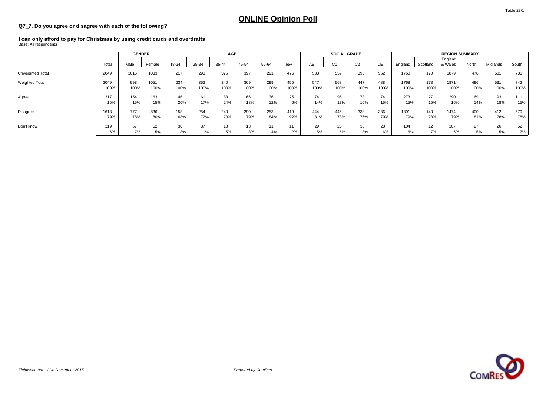### **Q7\_7. Do you agree or disagree with each of the following?**

# **I can only afford to pay for Christmas by using credit cards and overdrafts** Base: All respondents

|                       |       | <b>GENDER</b> |        |       |       | AGE   |       |       |      |      | <b>SOCIAL GRADE</b> |                |      |         |          | <b>REGION SUMMARY</b> |       |          |       |
|-----------------------|-------|---------------|--------|-------|-------|-------|-------|-------|------|------|---------------------|----------------|------|---------|----------|-----------------------|-------|----------|-------|
|                       | Total | Male          | Female | 18-24 | 25-34 | 35-44 | 45-54 | 55-64 | 65+  | AB   | C <sub>1</sub>      | C <sub>2</sub> | DE   | England | Scotland | England<br>& Wales    | North | Midlands | South |
| Unweighted Total      | 2049  | 1016          | 1033   | 217   | 293   | 375   | 397   | 291   | 476  | 533  | 559                 | 395            | 562  | 1760    | 170      | 1879                  | 478   | 501      | 781   |
| <b>Weighted Total</b> | 2049  | 998           | 1051   | 234   | 352   | 340   | 369   | 299   | 455  | 547  | 568                 | 447            | 488  | 1768    | 178      | 1871                  | 496   | 531      | 742   |
|                       | 100%  | 100%          | 100%   | 100%  | 100%  | 100%  | 100%  | 100%  | 100% | 100% | 100%                | 100%           | 100% | 100%    | 100%     | 100%                  | 100%  | 100%     | 100%  |
| Agree                 | 317   | 154           | 163    | 46    | 61    | 83    | 66    | 36    | 25   | 74   | 96                  | 73             | 74   | 273     | 27       | 290                   | 69    | 93       | 111   |
|                       | 15%   | 15%           | 15%    | 20%   | 17%   | 24%   | 18%   | 12%   | 6%   | 14%  | 17%                 | 16%            | 15%  | 15%     | 15%      | 16%                   | 14%   | 18%      | 15%   |
| Disagree              | 1613  | 777           | 836    | 158   | 254   | 240   | 290   | 253   | 419  | 444  | 445                 | 338            | 386  | 1391    | 140      | 1474                  | 400   | 412      | 579   |
|                       | 79%   | 78%           | 80%    | 68%   | 72%   | 70%   | 79%   | 84%   | 92%  | 81%  | 78%                 | 76%            | 79%  | 79%     | 78%      | 79%                   | 81%   | 78%      | 78%   |
| Don't know            | 119   | 67            | 52     | 30    | 37    | 18    | 13    | 11    | 11   | 29   | 26                  | 36             | 28   | 104     | 12       | 107                   | 27    | 26       | 52    |
|                       | 6%    | 7%            | 5%     | 13%   | 11%   | 5%    | 3%    | 4%    | 2%   | 5%   | 5%                  | 8%             | 6%   | 6%      | 7%       | 6%                    | 5%    | 5%       | 7%    |

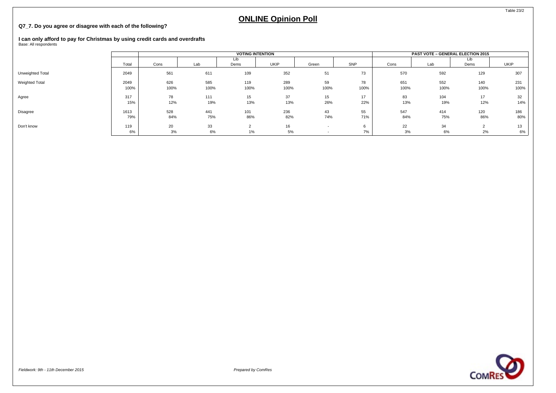### **Q7\_7. Do you agree or disagree with each of the following?**

# **I can only afford to pay for Christmas by using credit cards and overdrafts** Base: All respondents

|                  |              |             |             | <b>VOTING INTENTION</b> |             |            |            |             | <b>PAST VOTE - GENERAL ELECTION 2015</b> |                   |             |
|------------------|--------------|-------------|-------------|-------------------------|-------------|------------|------------|-------------|------------------------------------------|-------------------|-------------|
|                  | Total        | Cons        | Lab         | Dems                    | UKIP        | Green      | SNP        | Cons        | Lab                                      | Lib<br>Dems       | <b>UKIP</b> |
| Unweighted Total | 2049         | 561         | 611         | 109                     | 352         | 51         | 73         | 570         | 592                                      | 129               | 307         |
| Weighted Total   | 2049<br>100% | 626<br>100% | 585<br>100% | 119<br>100%             | 289<br>100% | 59<br>100% | 78<br>100% | 651<br>100% | 552<br>100%                              | 140<br>100%       | 231<br>100% |
| Agree            | 317<br>15%   | 78<br>12%   | 111<br>19%  | 15<br>13%               | 37<br>13%   | 15<br>26%  | 17<br>22%  | 83<br>13%   | 104<br>19%                               | 17<br>12%         | 32<br>14%   |
| Disagree         | 1613<br>79%  | 528<br>84%  | 441<br>75%  | 101<br>86%              | 236<br>82%  | 43<br>74%  | 55<br>71%  | 547<br>84%  | 414<br>75%                               | 120<br>86%        | 186<br>80%  |
| Don't know       | 119<br>6%    | 20<br>3%    | 33<br>6%    | $1\%$                   | 16<br>5%    |            | 7%         | 22<br>3%    | 34<br>6%                                 | $\sim$<br>∠<br>2% | 13<br>6%    |



Table 23/2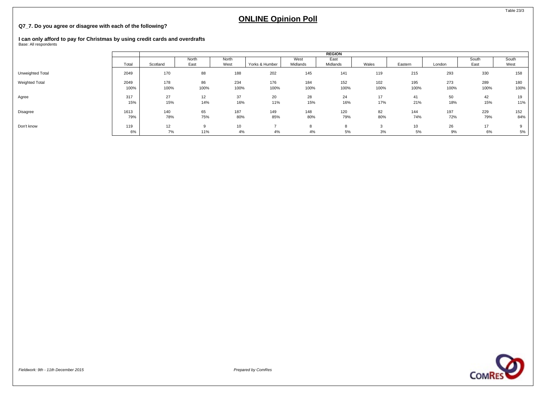### **Q7\_7. Do you agree or disagree with each of the following?**

# **I can only afford to pay for Christmas by using credit cards and overdrafts** Base: All respondents

|                  |       |          |       |       |                |          | <b>REGION</b> |       |         |        |       |       |
|------------------|-------|----------|-------|-------|----------------|----------|---------------|-------|---------|--------|-------|-------|
|                  |       |          | North | North |                | West     | East          |       |         |        | South | South |
|                  | Total | Scotland | East  | West  | Yorks & Humber | Midlands | Midlands      | Wales | Eastern | London | East  | West  |
| Unweighted Total | 2049  | 170      | 88    | 188   | 202            | 145      | 141           | 119   | 215     | 293    | 330   | 158   |
| Weighted Total   | 2049  | 178      | 86    | 234   | 176            | 184      | 152           | 102   | 195     | 273    | 289   | 180   |
|                  | 100%  | 100%     | 100%  | 100%  | 100%           | 100%     | 100%          | 100%  | 100%    | 100%   | 100%  | 100%  |
| Agree            | 317   | 27       | 12    | 37    | 20             | 28       | 24            | 17    | 41      | 50     | 42    | 19    |
|                  | 15%   | 15%      | 14%   | 16%   | 11%            | 15%      | 16%           | 17%   | 21%     | 18%    | 15%   | 11%   |
| Disagree         | 1613  | 140      | 65    | 187   | 149            | 148      | 120           | 82    | 144     | 197    | 229   | 152   |
|                  | 79%   | 78%      | 75%   | 80%   | 85%            | 80%      | 79%           | 80%   | 74%     | 72%    | 79%   | 84%   |
| Don't know       | 119   | 12       |       | 10    |                | 8        | $\Omega$      |       | 10      | 26     | 17    |       |
|                  | 6%    | 7%       | 11%   | 4%    | 4%             | 4%       | 5%            | 3%    | 5%      | 9%     | 6%    | 5%    |



Table 23/3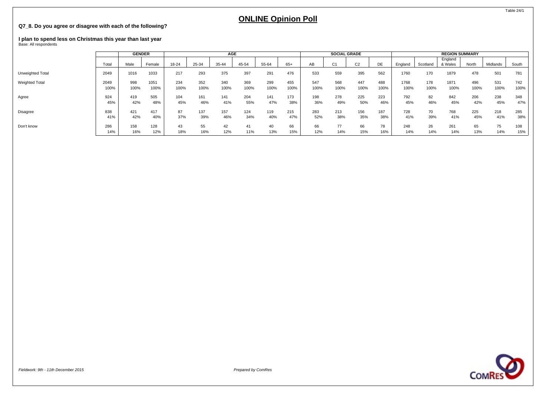### **Q7\_8. Do you agree or disagree with each of the following?**

# **I plan to spend less on Christmas this year than last year** Base: All respondents

|                       |              | <b>GENDER</b> |              |             |             | AGE         |             |             |             |             | <b>SOCIAL GRADE</b> |                |             |              |             | <b>REGION SUMMARY</b> |             |             |             |
|-----------------------|--------------|---------------|--------------|-------------|-------------|-------------|-------------|-------------|-------------|-------------|---------------------|----------------|-------------|--------------|-------------|-----------------------|-------------|-------------|-------------|
|                       | Total        | Male          | Female       | 18-24       | 25-34       | 35-44       | 45-54       | 55-64       | 65+         | AВ          | C <sub>1</sub>      | C <sub>2</sub> | DE          | England      | Scotland    | England<br>& Wales    | North       | Midlands    | South       |
| Unweighted Total      | 2049         | 1016          | 1033         | 217         | 293         | 375         | 397         | 291         | 476         | 533         | 559                 | 395            | 562         | 1760         | 170         | 1879                  | 478         | 501         | 781         |
| <b>Weighted Total</b> | 2049<br>100% | 998<br>100%   | 1051<br>100% | 234<br>100% | 352<br>100% | 340<br>100% | 369<br>100% | 299<br>100% | 455<br>100% | 547<br>100% | 568<br>100%         | 447<br>100%    | 488<br>100% | 1768<br>100% | 178<br>100% | 1871<br>100%          | 496<br>100% | 531<br>100% | 742<br>100% |
| Agree                 | 924<br>45%   | 419<br>42%    | 505<br>48%   | 104<br>45%  | 161<br>46%  | 141<br>41%  | 204<br>55%  | 141<br>47%  | 173<br>38%  | 198<br>36%  | 278<br>49%          | 225<br>50%     | 223<br>46%  | 792<br>45%   | 82<br>46%   | 842<br>45%            | 206<br>42%  | 238<br>45%  | 348<br>47%  |
| Disagree              | 838<br>41%   | 421<br>42%    | 417<br>40%   | 87<br>37%   | 137<br>39%  | 157<br>46%  | 124<br>34%  | 119<br>40%  | 215<br>47%  | 283<br>52%  | 213<br>38%          | 156<br>35%     | 187<br>38%  | 728<br>41%   | 70<br>39%   | 768<br>41%            | 225<br>45%  | 218<br>41%  | 285<br>38%  |
| Don't know            | 286<br>14%   | 158<br>16%    | 128<br>12%   | 43<br>18%   | 55<br>16%   | 42<br>12%   | 41<br>11%   | 40<br>13%   | 66<br>15%   | 66<br>12%   | 14%                 | 66<br>15%      | 78<br>16%   | 248<br>14%   | 26<br>14%   | 261<br>14%            | 65<br>13%   | 75<br>14%   | 108<br>15%  |



Table 24/1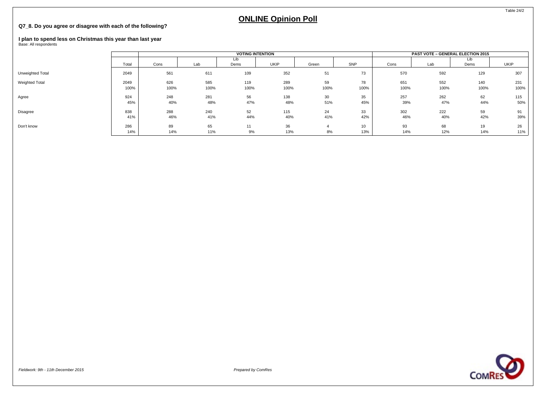### **Q7\_8. Do you agree or disagree with each of the following?**

# **I plan to spend less on Christmas this year than last year** Base: All respondents

|                  |              |             |             | <b>VOTING INTENTION</b> |             |            |            |             | <b>PAST VOTE - GENERAL ELECTION 2015</b> |             |             |
|------------------|--------------|-------------|-------------|-------------------------|-------------|------------|------------|-------------|------------------------------------------|-------------|-------------|
|                  | Total        | Cons        | Lab         | Lib<br>Dems             | UKIP        | Green      | SNP        | Cons        | Lab                                      | Lib<br>Dems | <b>UKIP</b> |
| Unweighted Total | 2049         | 561         | 611         | 109                     | 352         | 51         | 73         | 570         | 592                                      | 129         | 307         |
| Weighted Total   | 2049<br>100% | 626<br>100% | 585<br>100% | 119<br>100%             | 289<br>100% | 59<br>100% | 78<br>100% | 651<br>100% | 552<br>100%                              | 140<br>100% | 231<br>100% |
| Agree            | 924<br>45%   | 248<br>40%  | 281<br>48%  | 56<br>47%               | 138<br>48%  | 30<br>51%  | 35<br>45%  | 257<br>39%  | 262<br>47%                               | 62<br>44%   | 115<br>50%  |
| Disagree         | 838<br>41%   | 288<br>46%  | 240<br>41%  | 52<br>44%               | 115<br>40%  | 24<br>41%  | 33<br>42%  | 302<br>46%  | 222<br>40%                               | 59<br>42%   | 91<br>39%   |
| Don't know       | 286<br>14%   | 89<br>14%   | 65<br>11%   | 11<br>9%                | 36<br>13%   | 8%         | 10<br>13%  | 93<br>14%   | 68<br>12%                                | 19<br>14%   | 26<br>11%   |



Table 24/2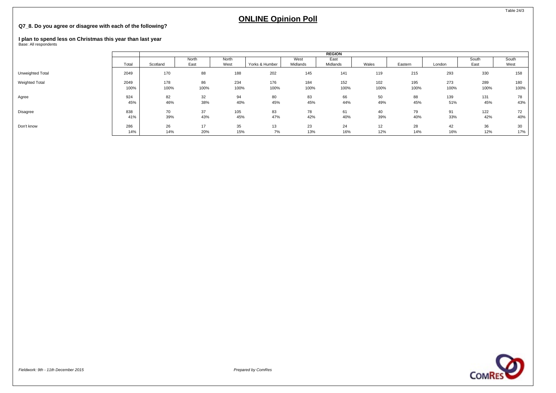## **ONLINE Opinion Poll**

## **Q7\_8. Do you agree or disagree with each of the following?**

## **I plan to spend less on Christmas this year than last year** Base: All respondents

|                  |       | <b>REGION</b> |       |       |                |          |          |       |         |        |       |       |
|------------------|-------|---------------|-------|-------|----------------|----------|----------|-------|---------|--------|-------|-------|
|                  |       |               | North | North |                | West     | East     |       |         |        | South | South |
|                  | Total | Scotland      | East  | West  | Yorks & Humber | Midlands | Midlands | Wales | Eastern | London | East  | West  |
| Unweighted Total | 2049  | 170           | 88    | 188   | 202            | 145      | 141      | 119   | 215     | 293    | 330   | 158   |
| Weighted Total   | 2049  | 178           | 86    | 234   | 176            | 184      | 152      | 102   | 195     | 273    | 289   | 180   |
|                  | 100%  | 100%          | 100%  | 100%  | 100%           | 100%     | 100%     | 100%  | 100%    | 100%   | 100%  | 100%  |
| Agree            | 924   | 82            | 32    | 94    | 80             | 83       | 66       | 50    | 88      | 139    | 131   | 78    |
|                  | 45%   | 46%           | 38%   | 40%   | 45%            | 45%      | 44%      | 49%   | 45%     | 51%    | 45%   | 43%   |
| Disagree         | 838   | 70            | 37    | 105   | 83             | 78       | 61       | 40    | 79      | 91     | 122   | 72    |
|                  | 41%   | 39%           | 43%   | 45%   | 47%            | 42%      | 40%      | 39%   | 40%     | 33%    | 42%   | 40%   |
| Don't know       | 286   | 26            | 17    | 35    | 13             | 23       | 24       | 12    | 28      | 42     | 36    | 30    |
|                  | 14%   | 14%           | 20%   | 15%   | 7%             | 13%      | 16%      | 12%   | 14%     | 16%    | 12%   | 17%   |



Table 24/3